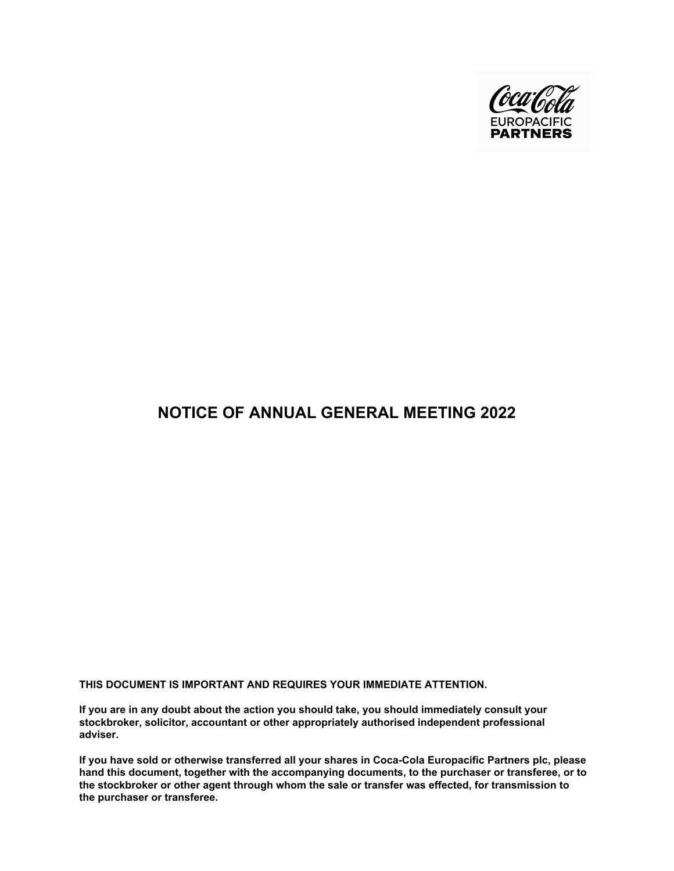

# **NOTICE OF ANNUAL GENERAL MEETING 2022**

**THIS DOCUMENT IS IMPORTANT AND REQUIRES YOUR IMMEDIATE ATTENTION.**

**If you are in any doubt about the action you should take, you should immediately consult your stockbroker, solicitor, accountant or other appropriately authorised independent professional adviser.**

**If you have sold or otherwise transferred all your shares in Coca-Cola Europacific Partners plc, please hand this document, together with the accompanying documents, to the purchaser or transferee, or to the stockbroker or other agent through whom the sale or transfer was effected, for transmission to the purchaser or transferee.**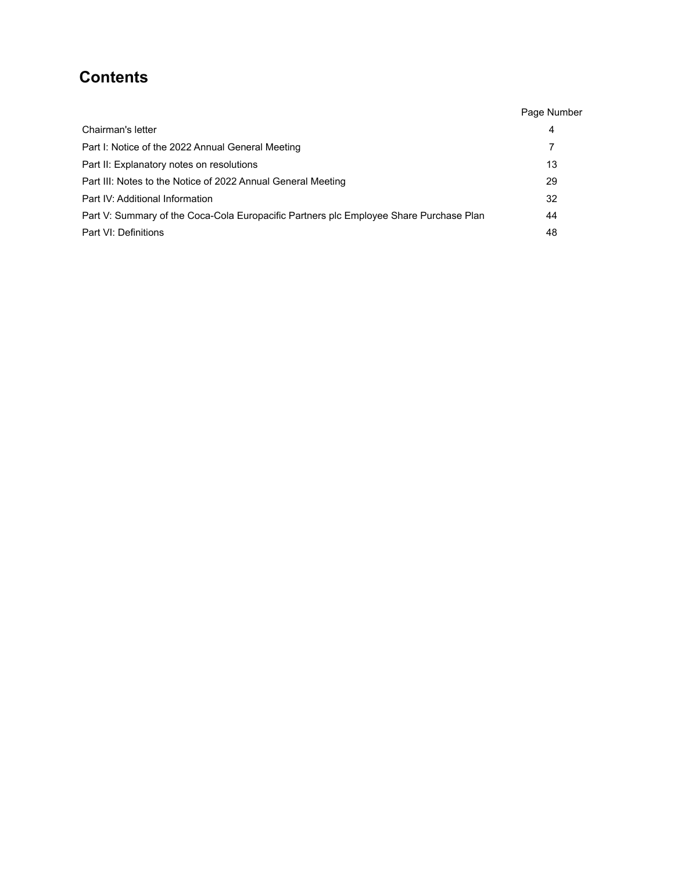# **Contents**

|                                                                                        | Page Number |
|----------------------------------------------------------------------------------------|-------------|
| Chairman's letter                                                                      | 4           |
| Part I: Notice of the 2022 Annual General Meeting                                      | 7           |
| Part II: Explanatory notes on resolutions                                              | 13          |
| Part III: Notes to the Notice of 2022 Annual General Meeting                           | 29          |
| Part IV: Additional Information                                                        | 32          |
| Part V: Summary of the Coca-Cola Europacific Partners plc Employee Share Purchase Plan | 44          |
| Part VI: Definitions                                                                   | 48          |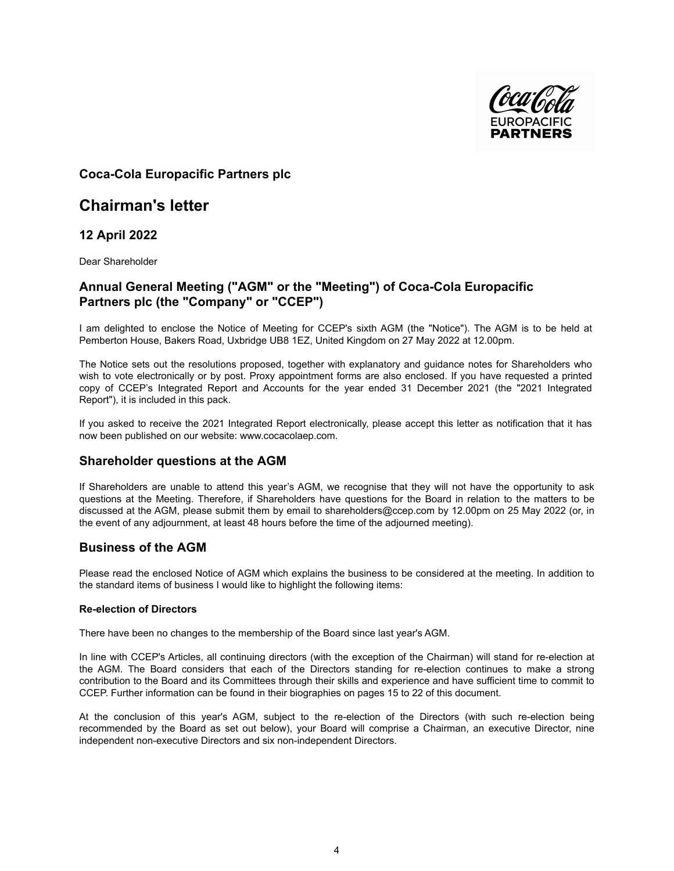

# **Coca-Cola Europacific Partners plc**

# **Chairman's letter**

**12 April 2022**

Dear Shareholder

# **Annual General Meeting ("AGM" or the "Meeting") of Coca-Cola Europacific Partners plc (the "Company" or "CCEP")**

I am delighted to enclose the Notice of Meeting for CCEP's sixth AGM (the "Notice"). The AGM is to be held at Pemberton House, Bakers Road, Uxbridge UB8 1EZ, United Kingdom on 27 May 2022 at 12.00pm.

The Notice sets out the resolutions proposed, together with explanatory and guidance notes for Shareholders who wish to vote electronically or by post. Proxy appointment forms are also enclosed. If you have requested a printed copy of CCEP's Integrated Report and Accounts for the year ended 31 December 2021 (the "2021 Integrated Report"), it is included in this pack.

If you asked to receive the 2021 Integrated Report electronically, please accept this letter as notification that it has now been published on our website: www.cocacolaep.com.

# **Shareholder questions at the AGM**

If Shareholders are unable to attend this year's AGM, we recognise that they will not have the opportunity to ask questions at the Meeting. Therefore, if Shareholders have questions for the Board in relation to the matters to be discussed at the AGM, please submit them by email to shareholders@ccep.com by 12.00pm on 25 May 2022 (or, in the event of any adjournment, at least 48 hours before the time of the adjourned meeting).

# **Business of the AGM**

Please read the enclosed Notice of AGM which explains the business to be considered at the meeting. In addition to the standard items of business I would like to highlight the following items:

#### **Re-election of Directors**

There have been no changes to the membership of the Board since last year's AGM.

In line with CCEP's Articles, all continuing directors (with the exception of the Chairman) will stand for re-election at the AGM. The Board considers that each of the Directors standing for re-election continues to make a strong contribution to the Board and its Committees through their skills and experience and have sufficient time to commit to CCEP. Further information can be found in their biographies on pages 15 to 22 of this document.

At the conclusion of this year's AGM, subject to the re-election of the Directors (with such re-election being recommended by the Board as set out below), your Board will comprise a Chairman, an executive Director, nine independent non-executive Directors and six non-independent Directors.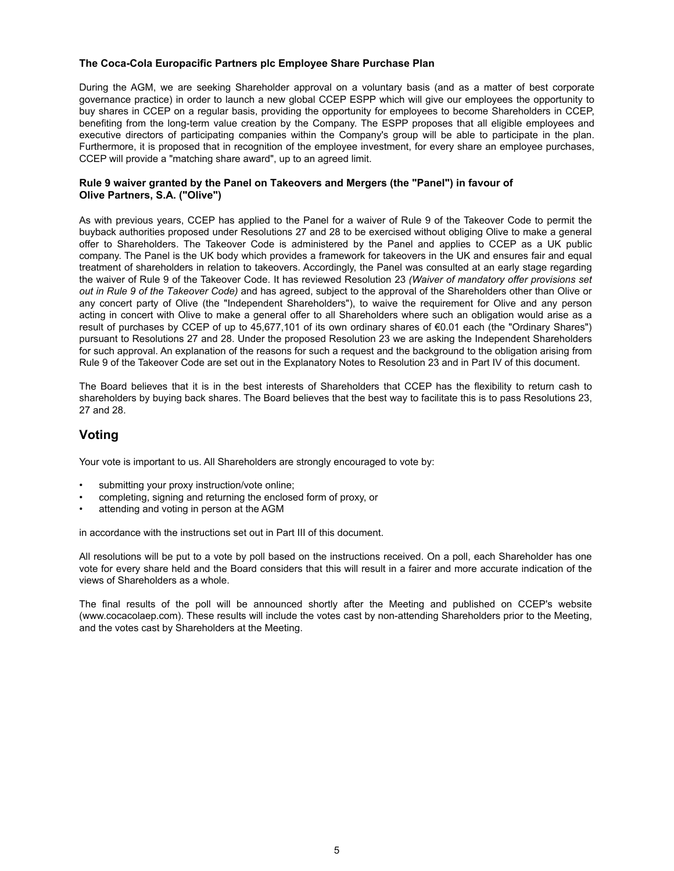## **The Coca-Cola Europacific Partners plc Employee Share Purchase Plan**

During the AGM, we are seeking Shareholder approval on a voluntary basis (and as a matter of best corporate governance practice) in order to launch a new global CCEP ESPP which will give our employees the opportunity to buy shares in CCEP on a regular basis, providing the opportunity for employees to become Shareholders in CCEP, benefiting from the long-term value creation by the Company. The ESPP proposes that all eligible employees and executive directors of participating companies within the Company's group will be able to participate in the plan. Furthermore, it is proposed that in recognition of the employee investment, for every share an employee purchases, CCEP will provide a "matching share award", up to an agreed limit.

### **Rule 9 waiver granted by the Panel on Takeovers and Mergers (the "Panel") in favour of Olive Partners, S.A. ("Olive")**

As with previous years, CCEP has applied to the Panel for a waiver of Rule 9 of the Takeover Code to permit the buyback authorities proposed under Resolutions 27 and 28 to be exercised without obliging Olive to make a general offer to Shareholders. The Takeover Code is administered by the Panel and applies to CCEP as a UK public company. The Panel is the UK body which provides a framework for takeovers in the UK and ensures fair and equal treatment of shareholders in relation to takeovers. Accordingly, the Panel was consulted at an early stage regarding the waiver of Rule 9 of the Takeover Code. It has reviewed Resolution 23 *(Waiver of mandatory offer provisions set out in Rule 9 of the Takeover Code)* and has agreed, subject to the approval of the Shareholders other than Olive or any concert party of Olive (the "Independent Shareholders"), to waive the requirement for Olive and any person acting in concert with Olive to make a general offer to all Shareholders where such an obligation would arise as a result of purchases by CCEP of up to 45,677,101 of its own ordinary shares of €0.01 each (the "Ordinary Shares") pursuant to Resolutions 27 and 28. Under the proposed Resolution 23 we are asking the Independent Shareholders for such approval. An explanation of the reasons for such a request and the background to the obligation arising from Rule 9 of the Takeover Code are set out in the Explanatory Notes to Resolution 23 and in Part IV of this document.

The Board believes that it is in the best interests of Shareholders that CCEP has the flexibility to return cash to shareholders by buying back shares. The Board believes that the best way to facilitate this is to pass Resolutions 23, 27 and 28.

# **Voting**

Your vote is important to us. All Shareholders are strongly encouraged to vote by:

- submitting your proxy instruction/vote online;
- completing, signing and returning the enclosed form of proxy, or
- attending and voting in person at the AGM

in accordance with the instructions set out in Part III of this document.

All resolutions will be put to a vote by poll based on the instructions received. On a poll, each Shareholder has one vote for every share held and the Board considers that this will result in a fairer and more accurate indication of the views of Shareholders as a whole.

The final results of the poll will be announced shortly after the Meeting and published on CCEP's website (www.cocacolaep.com). These results will include the votes cast by non-attending Shareholders prior to the Meeting, and the votes cast by Shareholders at the Meeting.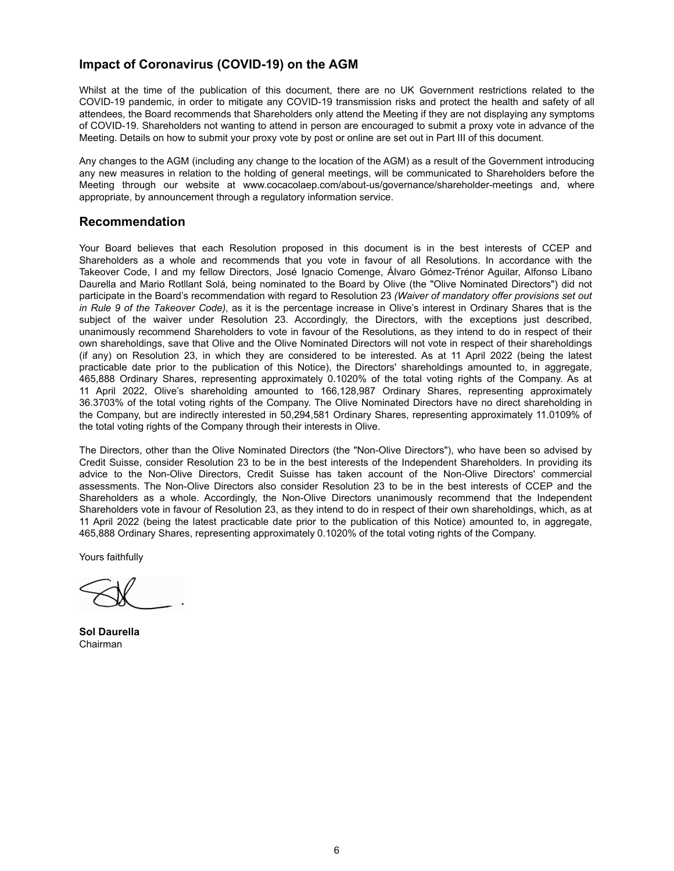# **Impact of Coronavirus (COVID-19) on the AGM**

Whilst at the time of the publication of this document, there are no UK Government restrictions related to the COVID-19 pandemic, in order to mitigate any COVID-19 transmission risks and protect the health and safety of all attendees, the Board recommends that Shareholders only attend the Meeting if they are not displaying any symptoms of COVID-19. Shareholders not wanting to attend in person are encouraged to submit a proxy vote in advance of the Meeting. Details on how to submit your proxy vote by post or online are set out in Part III of this document.

Any changes to the AGM (including any change to the location of the AGM) as a result of the Government introducing any new measures in relation to the holding of general meetings, will be communicated to Shareholders before the Meeting through our website at www.cocacolaep.com/about-us/governance/shareholder-meetings and, where appropriate, by announcement through a regulatory information service.

# **Recommendation**

Your Board believes that each Resolution proposed in this document is in the best interests of CCEP and Shareholders as a whole and recommends that you vote in favour of all Resolutions. In accordance with the Takeover Code, I and my fellow Directors, José Ignacio Comenge, Álvaro Gómez-Trénor Aguilar, Alfonso Líbano Daurella and Mario Rotllant Solá, being nominated to the Board by Olive (the "Olive Nominated Directors") did not participate in the Board's recommendation with regard to Resolution 23 *(Waiver of mandatory offer provisions set out in Rule 9 of the Takeover Code)*, as it is the percentage increase in Olive's interest in Ordinary Shares that is the subject of the waiver under Resolution 23. Accordingly, the Directors, with the exceptions just described, unanimously recommend Shareholders to vote in favour of the Resolutions, as they intend to do in respect of their own shareholdings, save that Olive and the Olive Nominated Directors will not vote in respect of their shareholdings (if any) on Resolution 23, in which they are considered to be interested. As at 11 April 2022 (being the latest practicable date prior to the publication of this Notice), the Directors' shareholdings amounted to, in aggregate, 465,888 Ordinary Shares, representing approximately 0.1020% of the total voting rights of the Company. As at 11 April 2022, Olive's shareholding amounted to 166,128,987 Ordinary Shares, representing approximately 36.3703% of the total voting rights of the Company. The Olive Nominated Directors have no direct shareholding in the Company, but are indirectly interested in 50,294,581 Ordinary Shares, representing approximately 11.0109% of the total voting rights of the Company through their interests in Olive.

The Directors, other than the Olive Nominated Directors (the "Non-Olive Directors"), who have been so advised by Credit Suisse, consider Resolution 23 to be in the best interests of the Independent Shareholders. In providing its advice to the Non-Olive Directors, Credit Suisse has taken account of the Non-Olive Directors' commercial assessments. The Non-Olive Directors also consider Resolution 23 to be in the best interests of CCEP and the Shareholders as a whole. Accordingly, the Non-Olive Directors unanimously recommend that the Independent Shareholders vote in favour of Resolution 23, as they intend to do in respect of their own shareholdings, which, as at 11 April 2022 (being the latest practicable date prior to the publication of this Notice) amounted to, in aggregate, 465,888 Ordinary Shares, representing approximately 0.1020% of the total voting rights of the Company.

Yours faithfully

**Sol Daurella**  Chairman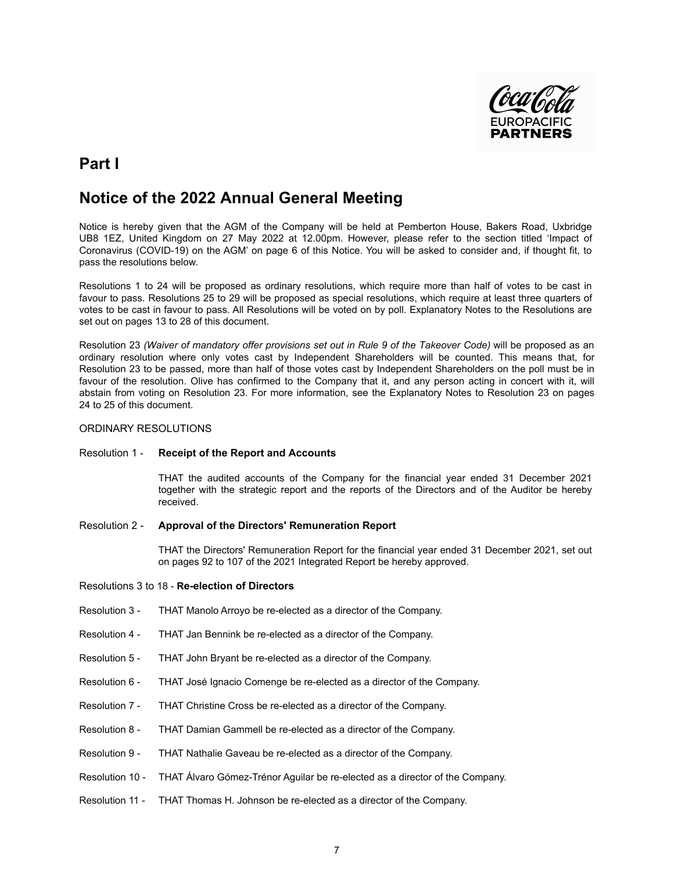

# **Part I**

# **Notice of the 2022 Annual General Meeting**

Notice is hereby given that the AGM of the Company will be held at Pemberton House, Bakers Road, Uxbridge UB8 1EZ, United Kingdom on 27 May 2022 at 12.00pm. However, please refer to the section titled 'Impact of Coronavirus (COVID-19) on the AGM' on page 6 of this Notice. You will be asked to consider and, if thought fit, to pass the resolutions below.

Resolutions 1 to 24 will be proposed as ordinary resolutions, which require more than half of votes to be cast in favour to pass. Resolutions 25 to 29 will be proposed as special resolutions, which require at least three quarters of votes to be cast in favour to pass. All Resolutions will be voted on by poll. Explanatory Notes to the Resolutions are set out on pages 13 to 28 of this document.

Resolution 23 *(Waiver of mandatory offer provisions set out in Rule 9 of the Takeover Code)* will be proposed as an ordinary resolution where only votes cast by Independent Shareholders will be counted. This means that, for Resolution 23 to be passed, more than half of those votes cast by Independent Shareholders on the poll must be in favour of the resolution. Olive has confirmed to the Company that it, and any person acting in concert with it, will abstain from voting on Resolution 23. For more information, see the Explanatory Notes to Resolution 23 on pages 24 to 25 of this document.

#### ORDINARY RESOLUTIONS

Resolution 1 - **Receipt of the Report and Accounts**

THAT the audited accounts of the Company for the financial year ended 31 December 2021 together with the strategic report and the reports of the Directors and of the Auditor be hereby received.

# Resolution 2 - **Approval of the Directors' Remuneration Report**

THAT the Directors' Remuneration Report for the financial year ended 31 December 2021, set out on pages 92 to 107 of the 2021 Integrated Report be hereby approved.

- Resolutions 3 to 18 **Re-election of Directors**
- Resolution 3 THAT Manolo Arroyo be re-elected as a director of the Company.
- Resolution 4 THAT Jan Bennink be re-elected as a director of the Company.
- Resolution 5 THAT John Bryant be re-elected as a director of the Company.
- Resolution 6 THAT José Ignacio Comenge be re-elected as a director of the Company.
- Resolution 7 THAT Christine Cross be re-elected as a director of the Company.
- Resolution 8 THAT Damian Gammell be re-elected as a director of the Company.
- Resolution 9 THAT Nathalie Gaveau be re-elected as a director of the Company.
- Resolution 10 THAT Álvaro Gómez-Trénor Aguilar be re-elected as a director of the Company.
- Resolution 11 THAT Thomas H. Johnson be re-elected as a director of the Company.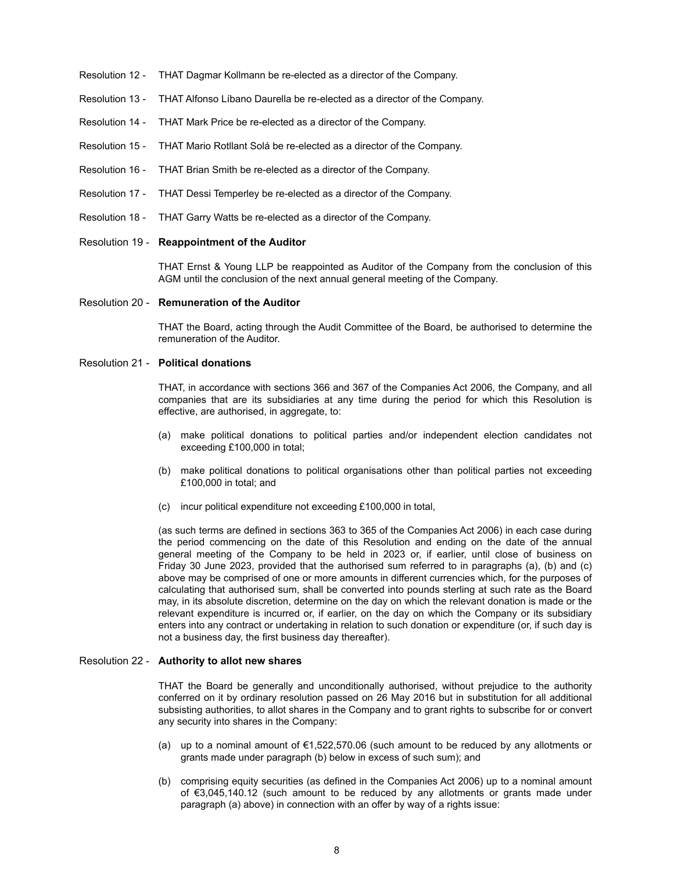- Resolution 12 THAT Dagmar Kollmann be re-elected as a director of the Company.
- Resolution 13 THAT Alfonso Líbano Daurella be re-elected as a director of the Company.
- Resolution 14 THAT Mark Price be re-elected as a director of the Company.
- Resolution 15 THAT Mario Rotllant Solá be re-elected as a director of the Company.
- Resolution 16 THAT Brian Smith be re-elected as a director of the Company.
- Resolution 17 THAT Dessi Temperley be re-elected as a director of the Company.
- Resolution 18 THAT Garry Watts be re-elected as a director of the Company.

### Resolution 19 - **Reappointment of the Auditor**

THAT Ernst & Young LLP be reappointed as Auditor of the Company from the conclusion of this AGM until the conclusion of the next annual general meeting of the Company.

#### Resolution 20 - **Remuneration of the Auditor**

THAT the Board, acting through the Audit Committee of the Board, be authorised to determine the remuneration of the Auditor.

## Resolution 21 - **Political donations**

THAT, in accordance with sections 366 and 367 of the Companies Act 2006, the Company, and all companies that are its subsidiaries at any time during the period for which this Resolution is effective, are authorised, in aggregate, to:

- (a) make political donations to political parties and/or independent election candidates not exceeding £100,000 in total;
- (b) make political donations to political organisations other than political parties not exceeding £100,000 in total; and
- (c) incur political expenditure not exceeding £100,000 in total,

(as such terms are defined in sections 363 to 365 of the Companies Act 2006) in each case during the period commencing on the date of this Resolution and ending on the date of the annual general meeting of the Company to be held in 2023 or, if earlier, until close of business on Friday 30 June 2023, provided that the authorised sum referred to in paragraphs (a), (b) and (c) above may be comprised of one or more amounts in different currencies which, for the purposes of calculating that authorised sum, shall be converted into pounds sterling at such rate as the Board may, in its absolute discretion, determine on the day on which the relevant donation is made or the relevant expenditure is incurred or, if earlier, on the day on which the Company or its subsidiary enters into any contract or undertaking in relation to such donation or expenditure (or, if such day is not a business day, the first business day thereafter).

#### Resolution 22 - **Authority to allot new shares**

THAT the Board be generally and unconditionally authorised, without prejudice to the authority conferred on it by ordinary resolution passed on 26 May 2016 but in substitution for all additional subsisting authorities, to allot shares in the Company and to grant rights to subscribe for or convert any security into shares in the Company:

- (a) up to a nominal amount of €1,522,570.06 (such amount to be reduced by any allotments or grants made under paragraph (b) below in excess of such sum); and
- (b) comprising equity securities (as defined in the Companies Act 2006) up to a nominal amount of €3,045,140.12 (such amount to be reduced by any allotments or grants made under paragraph (a) above) in connection with an offer by way of a rights issue: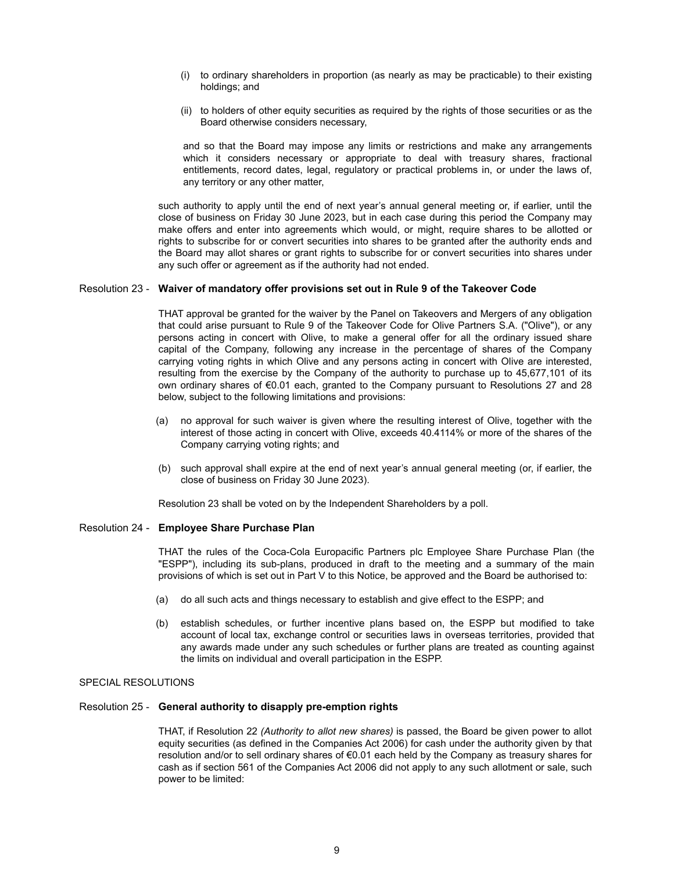- (i) to ordinary shareholders in proportion (as nearly as may be practicable) to their existing holdings; and
- (ii) to holders of other equity securities as required by the rights of those securities or as the Board otherwise considers necessary,

and so that the Board may impose any limits or restrictions and make any arrangements which it considers necessary or appropriate to deal with treasury shares, fractional entitlements, record dates, legal, regulatory or practical problems in, or under the laws of, any territory or any other matter,

such authority to apply until the end of next year's annual general meeting or, if earlier, until the close of business on Friday 30 June 2023, but in each case during this period the Company may make offers and enter into agreements which would, or might, require shares to be allotted or rights to subscribe for or convert securities into shares to be granted after the authority ends and the Board may allot shares or grant rights to subscribe for or convert securities into shares under any such offer or agreement as if the authority had not ended.

#### Resolution 23 - **Waiver of mandatory offer provisions set out in Rule 9 of the Takeover Code**

THAT approval be granted for the waiver by the Panel on Takeovers and Mergers of any obligation that could arise pursuant to Rule 9 of the Takeover Code for Olive Partners S.A. ("Olive"), or any persons acting in concert with Olive, to make a general offer for all the ordinary issued share capital of the Company, following any increase in the percentage of shares of the Company carrying voting rights in which Olive and any persons acting in concert with Olive are interested, resulting from the exercise by the Company of the authority to purchase up to 45,677,101 of its own ordinary shares of €0.01 each, granted to the Company pursuant to Resolutions 27 and 28 below, subject to the following limitations and provisions:

- (a) no approval for such waiver is given where the resulting interest of Olive, together with the interest of those acting in concert with Olive, exceeds 40.4114% or more of the shares of the Company carrying voting rights; and
- (b) such approval shall expire at the end of next year's annual general meeting (or, if earlier, the close of business on Friday 30 June 2023).

Resolution 23 shall be voted on by the Independent Shareholders by a poll.

### Resolution 24 - **Employee Share Purchase Plan**

THAT the rules of the Coca-Cola Europacific Partners plc Employee Share Purchase Plan (the "ESPP"), including its sub-plans, produced in draft to the meeting and a summary of the main provisions of which is set out in Part V to this Notice, be approved and the Board be authorised to:

- (a) do all such acts and things necessary to establish and give effect to the ESPP; and
- (b) establish schedules, or further incentive plans based on, the ESPP but modified to take account of local tax, exchange control or securities laws in overseas territories, provided that any awards made under any such schedules or further plans are treated as counting against the limits on individual and overall participation in the ESPP.

## SPECIAL RESOLUTIONS

### Resolution 25 - **General authority to disapply pre-emption rights**

THAT, if Resolution 22 *(Authority to allot new shares)* is passed, the Board be given power to allot equity securities (as defined in the Companies Act 2006) for cash under the authority given by that resolution and/or to sell ordinary shares of €0.01 each held by the Company as treasury shares for cash as if section 561 of the Companies Act 2006 did not apply to any such allotment or sale, such power to be limited: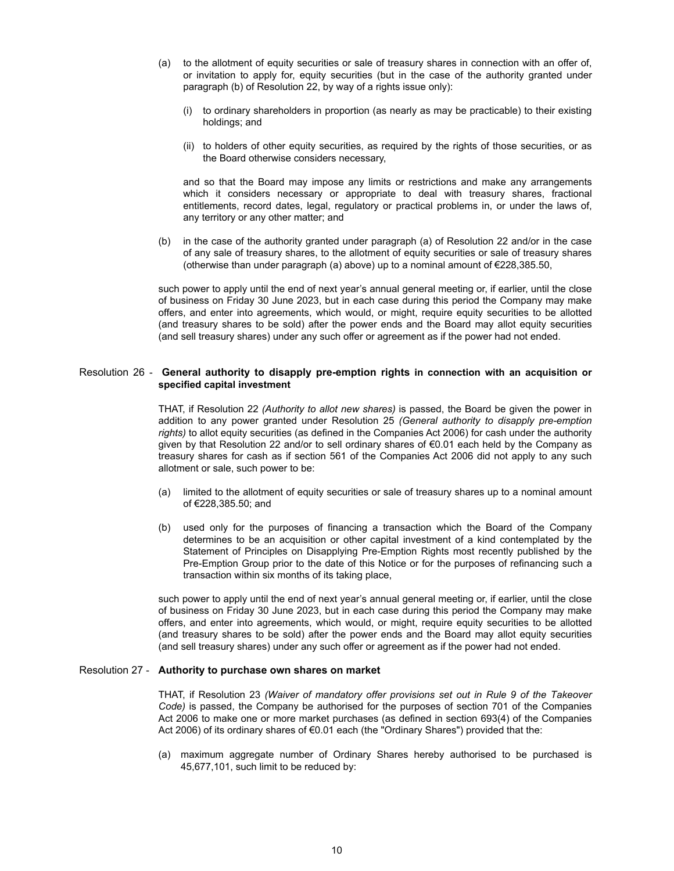- (a) to the allotment of equity securities or sale of treasury shares in connection with an offer of, or invitation to apply for, equity securities (but in the case of the authority granted under paragraph (b) of Resolution 22, by way of a rights issue only):
	- (i) to ordinary shareholders in proportion (as nearly as may be practicable) to their existing holdings; and
	- (ii) to holders of other equity securities, as required by the rights of those securities, or as the Board otherwise considers necessary,

and so that the Board may impose any limits or restrictions and make any arrangements which it considers necessary or appropriate to deal with treasury shares, fractional entitlements, record dates, legal, regulatory or practical problems in, or under the laws of, any territory or any other matter; and

(b) in the case of the authority granted under paragraph (a) of Resolution 22 and/or in the case of any sale of treasury shares, to the allotment of equity securities or sale of treasury shares (otherwise than under paragraph (a) above) up to a nominal amount of €228,385.50,

such power to apply until the end of next year's annual general meeting or, if earlier, until the close of business on Friday 30 June 2023, but in each case during this period the Company may make offers, and enter into agreements, which would, or might, require equity securities to be allotted (and treasury shares to be sold) after the power ends and the Board may allot equity securities (and sell treasury shares) under any such offer or agreement as if the power had not ended.

#### Resolution 26 - **General authority to disapply pre-emption rights in connection with an acquisition or specified capital investment**

THAT, if Resolution 22 *(Authority to allot new shares)* is passed, the Board be given the power in addition to any power granted under Resolution 25 *(General authority to disapply pre-emption rights)* to allot equity securities (as defined in the Companies Act 2006) for cash under the authority given by that Resolution 22 and/or to sell ordinary shares of €0.01 each held by the Company as treasury shares for cash as if section 561 of the Companies Act 2006 did not apply to any such allotment or sale, such power to be:

- (a) limited to the allotment of equity securities or sale of treasury shares up to a nominal amount of €228,385.50; and
- (b) used only for the purposes of financing a transaction which the Board of the Company determines to be an acquisition or other capital investment of a kind contemplated by the Statement of Principles on Disapplying Pre-Emption Rights most recently published by the Pre-Emption Group prior to the date of this Notice or for the purposes of refinancing such a transaction within six months of its taking place,

such power to apply until the end of next year's annual general meeting or, if earlier, until the close of business on Friday 30 June 2023, but in each case during this period the Company may make offers, and enter into agreements, which would, or might, require equity securities to be allotted (and treasury shares to be sold) after the power ends and the Board may allot equity securities (and sell treasury shares) under any such offer or agreement as if the power had not ended.

#### Resolution 27 - **Authority to purchase own shares on market**

THAT, if Resolution 23 *(Waiver of mandatory offer provisions set out in Rule 9 of the Takeover Code)* is passed, the Company be authorised for the purposes of section 701 of the Companies Act 2006 to make one or more market purchases (as defined in section 693(4) of the Companies Act 2006) of its ordinary shares of €0.01 each (the "Ordinary Shares") provided that the:

(a) maximum aggregate number of Ordinary Shares hereby authorised to be purchased is 45,677,101, such limit to be reduced by: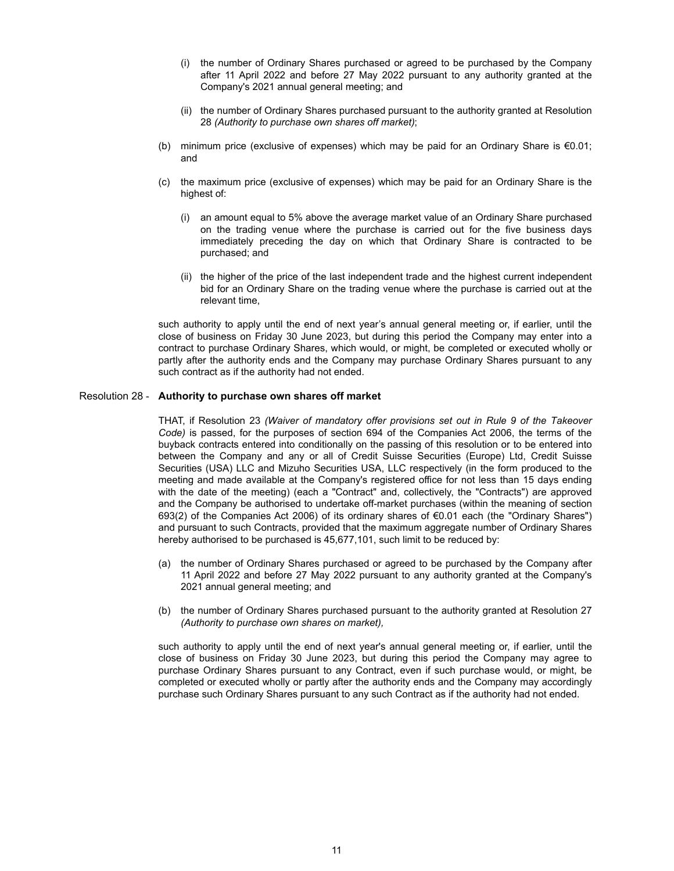- (i) the number of Ordinary Shares purchased or agreed to be purchased by the Company after 11 April 2022 and before 27 May 2022 pursuant to any authority granted at the Company's 2021 annual general meeting; and
- (ii) the number of Ordinary Shares purchased pursuant to the authority granted at Resolution 28 *(Authority to purchase own shares off market)*;
- (b) minimum price (exclusive of expenses) which may be paid for an Ordinary Share is €0.01; and
- (c) the maximum price (exclusive of expenses) which may be paid for an Ordinary Share is the highest of:
	- (i) an amount equal to 5% above the average market value of an Ordinary Share purchased on the trading venue where the purchase is carried out for the five business days immediately preceding the day on which that Ordinary Share is contracted to be purchased; and
	- (ii) the higher of the price of the last independent trade and the highest current independent bid for an Ordinary Share on the trading venue where the purchase is carried out at the relevant time,

such authority to apply until the end of next year's annual general meeting or, if earlier, until the close of business on Friday 30 June 2023, but during this period the Company may enter into a contract to purchase Ordinary Shares, which would, or might, be completed or executed wholly or partly after the authority ends and the Company may purchase Ordinary Shares pursuant to any such contract as if the authority had not ended.

#### Resolution 28 - **Authority to purchase own shares off market**

THAT, if Resolution 23 *(Waiver of mandatory offer provisions set out in Rule 9 of the Takeover Code)* is passed, for the purposes of section 694 of the Companies Act 2006, the terms of the buyback contracts entered into conditionally on the passing of this resolution or to be entered into between the Company and any or all of Credit Suisse Securities (Europe) Ltd, Credit Suisse Securities (USA) LLC and Mizuho Securities USA, LLC respectively (in the form produced to the meeting and made available at the Company's registered office for not less than 15 days ending with the date of the meeting) (each a "Contract" and, collectively, the "Contracts") are approved and the Company be authorised to undertake off-market purchases (within the meaning of section 693(2) of the Companies Act 2006) of its ordinary shares of €0.01 each (the "Ordinary Shares") and pursuant to such Contracts, provided that the maximum aggregate number of Ordinary Shares hereby authorised to be purchased is 45,677,101, such limit to be reduced by:

- (a) the number of Ordinary Shares purchased or agreed to be purchased by the Company after 11 April 2022 and before 27 May 2022 pursuant to any authority granted at the Company's 2021 annual general meeting; and
- (b) the number of Ordinary Shares purchased pursuant to the authority granted at Resolution 27 *(Authority to purchase own shares on market),*

such authority to apply until the end of next year's annual general meeting or, if earlier, until the close of business on Friday 30 June 2023, but during this period the Company may agree to purchase Ordinary Shares pursuant to any Contract, even if such purchase would, or might, be completed or executed wholly or partly after the authority ends and the Company may accordingly purchase such Ordinary Shares pursuant to any such Contract as if the authority had not ended.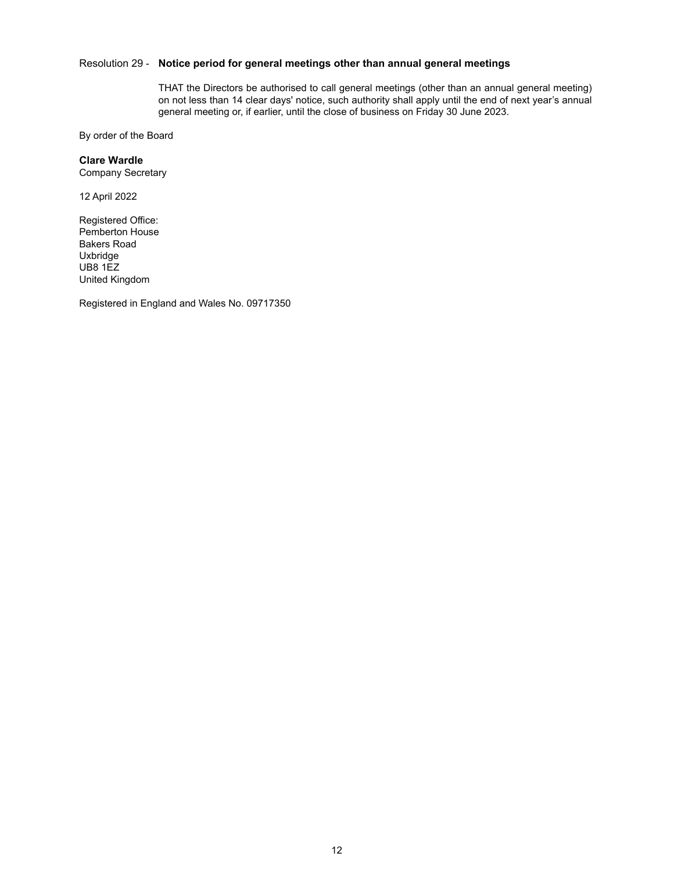# Resolution 29 - **Notice period for general meetings other than annual general meetings**

THAT the Directors be authorised to call general meetings (other than an annual general meeting) on not less than 14 clear days' notice, such authority shall apply until the end of next year's annual general meeting or, if earlier, until the close of business on Friday 30 June 2023.

By order of the Board

#### **Clare Wardle**

Company Secretary

12 April 2022

Registered Office: Pemberton House Bakers Road Uxbridge UB8 1EZ United Kingdom

Registered in England and Wales No. 09717350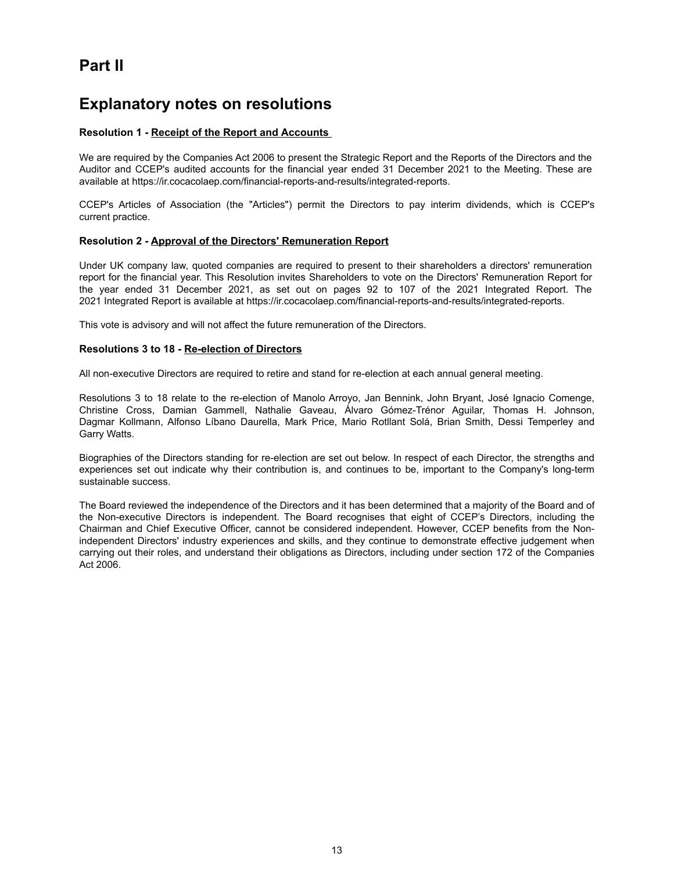# **Part II**

# **Explanatory notes on resolutions**

# **Resolution 1 - Receipt of the Report and Accounts**

We are required by the Companies Act 2006 to present the Strategic Report and the Reports of the Directors and the Auditor and CCEP's audited accounts for the financial year ended 31 December 2021 to the Meeting. These are available at https://ir.cocacolaep.com/financial-reports-and-results/integrated-reports.

CCEP's Articles of Association (the "Articles") permit the Directors to pay interim dividends, which is CCEP's current practice.

#### **Resolution 2 - Approval of the Directors' Remuneration Report**

Under UK company law, quoted companies are required to present to their shareholders a directors' remuneration report for the financial year. This Resolution invites Shareholders to vote on the Directors' Remuneration Report for the year ended 31 December 2021, as set out on pages 92 to 107 of the 2021 Integrated Report. The 2021 Integrated Report is available at https://ir.cocacolaep.com/financial-reports-and-results/integrated-reports.

This vote is advisory and will not affect the future remuneration of the Directors.

#### **Resolutions 3 to 18 - Re-election of Directors**

All non-executive Directors are required to retire and stand for re-election at each annual general meeting.

Resolutions 3 to 18 relate to the re-election of Manolo Arroyo, Jan Bennink, John Bryant, José Ignacio Comenge, Christine Cross, Damian Gammell, Nathalie Gaveau, Álvaro Gómez-Trénor Aguilar, Thomas H. Johnson, Dagmar Kollmann, Alfonso Líbano Daurella, Mark Price, Mario Rotllant Solá, Brian Smith, Dessi Temperley and Garry Watts.

Biographies of the Directors standing for re-election are set out below. In respect of each Director, the strengths and experiences set out indicate why their contribution is, and continues to be, important to the Company's long-term sustainable success.

The Board reviewed the independence of the Directors and it has been determined that a majority of the Board and of the Non-executive Directors is independent. The Board recognises that eight of CCEP's Directors, including the Chairman and Chief Executive Officer, cannot be considered independent. However, CCEP benefits from the Nonindependent Directors' industry experiences and skills, and they continue to demonstrate effective judgement when carrying out their roles, and understand their obligations as Directors, including under section 172 of the Companies Act 2006.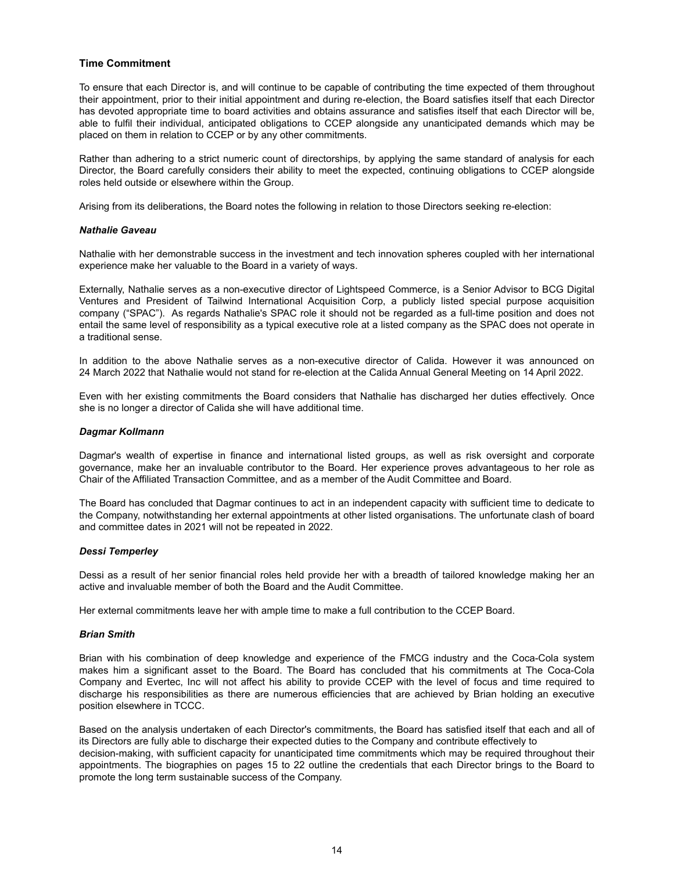## **Time Commitment**

To ensure that each Director is, and will continue to be capable of contributing the time expected of them throughout their appointment, prior to their initial appointment and during re-election, the Board satisfies itself that each Director has devoted appropriate time to board activities and obtains assurance and satisfies itself that each Director will be, able to fulfil their individual, anticipated obligations to CCEP alongside any unanticipated demands which may be placed on them in relation to CCEP or by any other commitments.

Rather than adhering to a strict numeric count of directorships, by applying the same standard of analysis for each Director, the Board carefully considers their ability to meet the expected, continuing obligations to CCEP alongside roles held outside or elsewhere within the Group.

Arising from its deliberations, the Board notes the following in relation to those Directors seeking re-election:

#### *Nathalie Gaveau*

Nathalie with her demonstrable success in the investment and tech innovation spheres coupled with her international experience make her valuable to the Board in a variety of ways.

Externally, Nathalie serves as a non-executive director of Lightspeed Commerce, is a Senior Advisor to BCG Digital Ventures and President of Tailwind International Acquisition Corp, a publicly listed special purpose acquisition company ("SPAC"). As regards Nathalie's SPAC role it should not be regarded as a full-time position and does not entail the same level of responsibility as a typical executive role at a listed company as the SPAC does not operate in a traditional sense.

In addition to the above Nathalie serves as a non-executive director of Calida. However it was announced on 24 March 2022 that Nathalie would not stand for re-election at the Calida Annual General Meeting on 14 April 2022.

Even with her existing commitments the Board considers that Nathalie has discharged her duties effectively. Once she is no longer a director of Calida she will have additional time.

#### *Dagmar Kollmann*

Dagmar's wealth of expertise in finance and international listed groups, as well as risk oversight and corporate governance, make her an invaluable contributor to the Board. Her experience proves advantageous to her role as Chair of the Affiliated Transaction Committee, and as a member of the Audit Committee and Board.

The Board has concluded that Dagmar continues to act in an independent capacity with sufficient time to dedicate to the Company, notwithstanding her external appointments at other listed organisations. The unfortunate clash of board and committee dates in 2021 will not be repeated in 2022.

#### *Dessi Temperley*

Dessi as a result of her senior financial roles held provide her with a breadth of tailored knowledge making her an active and invaluable member of both the Board and the Audit Committee.

Her external commitments leave her with ample time to make a full contribution to the CCEP Board.

#### *Brian Smith*

Brian with his combination of deep knowledge and experience of the FMCG industry and the Coca-Cola system makes him a significant asset to the Board. The Board has concluded that his commitments at The Coca-Cola Company and Evertec, Inc will not affect his ability to provide CCEP with the level of focus and time required to discharge his responsibilities as there are numerous efficiencies that are achieved by Brian holding an executive position elsewhere in TCCC.

Based on the analysis undertaken of each Director's commitments, the Board has satisfied itself that each and all of its Directors are fully able to discharge their expected duties to the Company and contribute effectively to decision-making, with sufficient capacity for unanticipated time commitments which may be required throughout their appointments. The biographies on pages 15 to 22 outline the credentials that each Director brings to the Board to promote the long term sustainable success of the Company.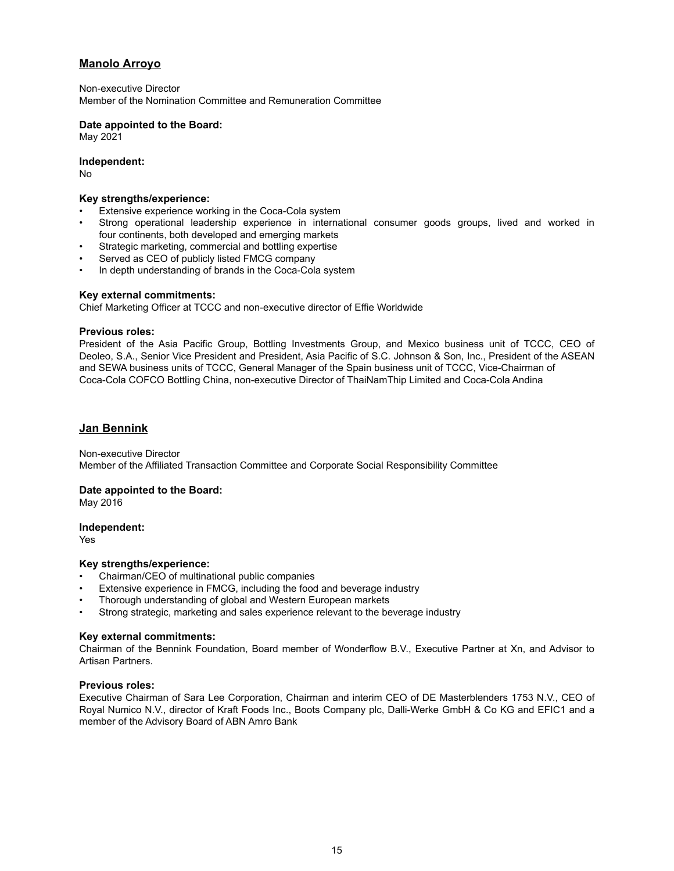# **Manolo Arroyo**

Non-executive Director Member of the Nomination Committee and Remuneration Committee

#### **Date appointed to the Board:**

May 2021

### **Independent:**

No

# **Key strengths/experience:**

- Extensive experience working in the Coca-Cola system
- Strong operational leadership experience in international consumer goods groups, lived and worked in four continents, both developed and emerging markets
- Strategic marketing, commercial and bottling expertise
- Served as CEO of publicly listed FMCG company
- In depth understanding of brands in the Coca-Cola system

# **Key external commitments:**

Chief Marketing Officer at TCCC and non-executive director of Effie Worldwide

#### **Previous roles:**

President of the Asia Pacific Group, Bottling Investments Group, and Mexico business unit of TCCC, CEO of Deoleo, S.A., Senior Vice President and President, Asia Pacific of S.C. Johnson & Son, Inc., President of the ASEAN and SEWA business units of TCCC, General Manager of the Spain business unit of TCCC, Vice-Chairman of Coca-Cola COFCO Bottling China, non-executive Director of ThaiNamThip Limited and Coca-Cola Andina

# **Jan Bennink**

Non-executive Director Member of the Affiliated Transaction Committee and Corporate Social Responsibility Committee

#### **Date appointed to the Board:**

May 2016

#### **Independent:**

Yes

#### **Key strengths/experience:**

- Chairman/CEO of multinational public companies
- Extensive experience in FMCG, including the food and beverage industry
- Thorough understanding of global and Western European markets
- Strong strategic, marketing and sales experience relevant to the beverage industry

#### **Key external commitments:**

Chairman of the Bennink Foundation, Board member of Wonderflow B.V., Executive Partner at Xn, and Advisor to Artisan Partners.

## **Previous roles:**

Executive Chairman of Sara Lee Corporation, Chairman and interim CEO of DE Masterblenders 1753 N.V., CEO of Royal Numico N.V., director of Kraft Foods Inc., Boots Company plc, Dalli-Werke GmbH & Co KG and EFIC1 and a member of the Advisory Board of ABN Amro Bank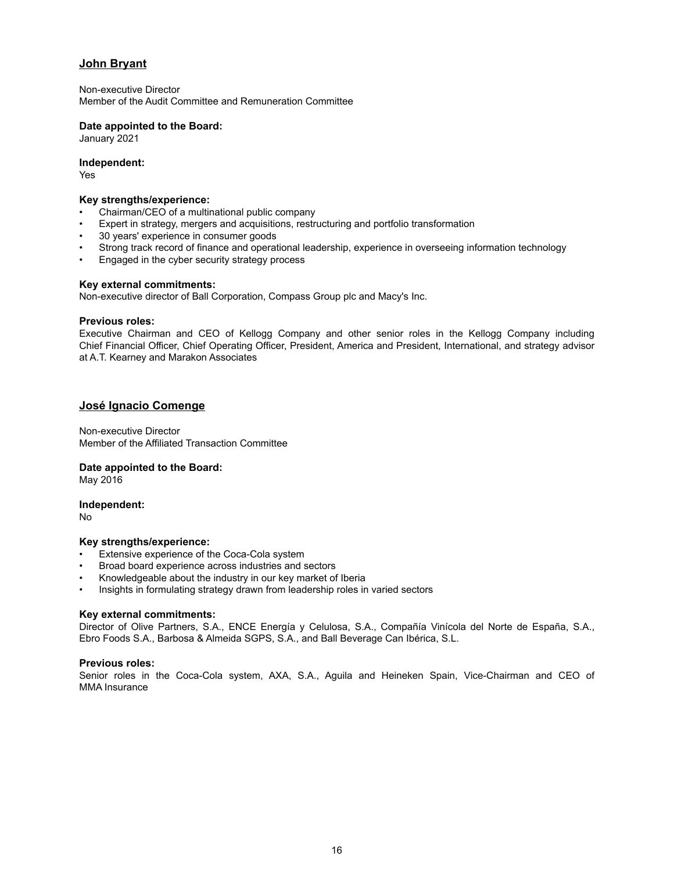# **John Bryant**

Non-executive Director Member of the Audit Committee and Remuneration Committee

# **Date appointed to the Board:**

January 2021

# **Independent:**

Yes

### **Key strengths/experience:**

- Chairman/CEO of a multinational public company
- Expert in strategy, mergers and acquisitions, restructuring and portfolio transformation
- 30 years' experience in consumer goods
- Strong track record of finance and operational leadership, experience in overseeing information technology
- Engaged in the cyber security strategy process

# **Key external commitments:**

Non-executive director of Ball Corporation, Compass Group plc and Macy's Inc.

# **Previous roles:**

Executive Chairman and CEO of Kellogg Company and other senior roles in the Kellogg Company including Chief Financial Officer, Chief Operating Officer, President, America and President, International, and strategy advisor at A.T. Kearney and Marakon Associates

# **José Ignacio Comenge**

Non-executive Director Member of the Affiliated Transaction Committee

# **Date appointed to the Board:**

May 2016

#### **Independent:**

No

#### **Key strengths/experience:**

- Extensive experience of the Coca-Cola system
- Broad board experience across industries and sectors
- Knowledgeable about the industry in our key market of Iberia
- Insights in formulating strategy drawn from leadership roles in varied sectors

# **Key external commitments:**

Director of Olive Partners, S.A., ENCE Energía y Celulosa, S.A., Compañía Vinícola del Norte de España, S.A., Ebro Foods S.A., Barbosa & Almeida SGPS, S.A., and Ball Beverage Can Ibérica, S.L.

# **Previous roles:**

Senior roles in the Coca-Cola system, AXA, S.A., Aguila and Heineken Spain, Vice-Chairman and CEO of MMA Insurance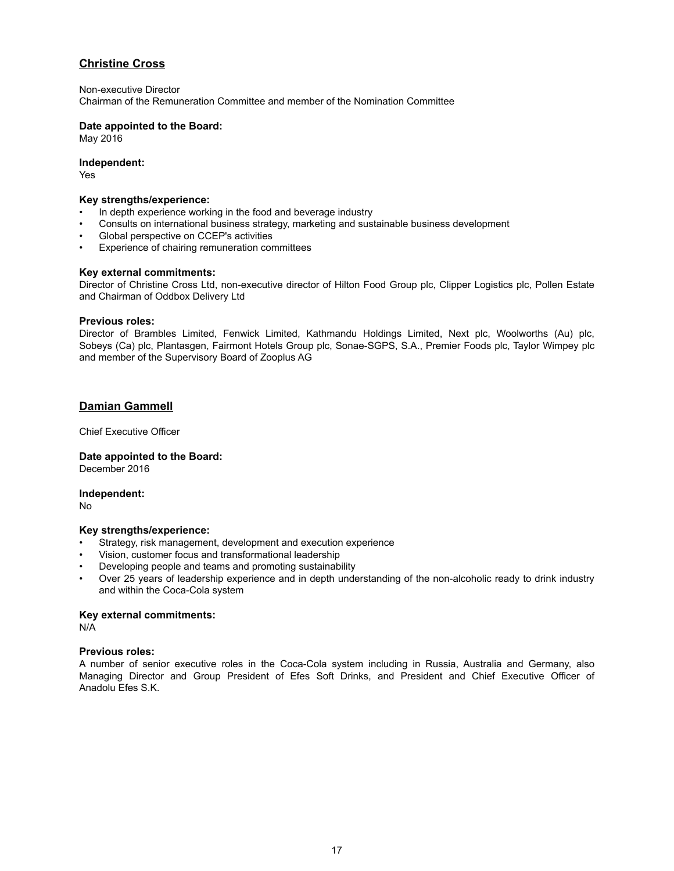# **Christine Cross**

Non-executive Director

Chairman of the Remuneration Committee and member of the Nomination Committee

# **Date appointed to the Board:**

May 2016

#### **Independent:**

Yes

#### **Key strengths/experience:**

- In depth experience working in the food and beverage industry
- Consults on international business strategy, marketing and sustainable business development
- Global perspective on CCEP's activities
- Experience of chairing remuneration committees

#### **Key external commitments:**

Director of Christine Cross Ltd, non-executive director of Hilton Food Group plc, Clipper Logistics plc, Pollen Estate and Chairman of Oddbox Delivery Ltd

#### **Previous roles:**

Director of Brambles Limited, Fenwick Limited, Kathmandu Holdings Limited, Next plc, Woolworths (Au) plc, Sobeys (Ca) plc, Plantasgen, Fairmont Hotels Group plc, Sonae-SGPS, S.A., Premier Foods plc, Taylor Wimpey plc and member of the Supervisory Board of Zooplus AG

# **Damian Gammell**

Chief Executive Officer

**Date appointed to the Board:** December 2016

#### **Independent:**

No

#### **Key strengths/experience:**

- Strategy, risk management, development and execution experience
- Vision, customer focus and transformational leadership
- Developing people and teams and promoting sustainability
- Over 25 years of leadership experience and in depth understanding of the non-alcoholic ready to drink industry and within the Coca-Cola system

#### **Key external commitments:**

N/A

# **Previous roles:**

A number of senior executive roles in the Coca-Cola system including in Russia, Australia and Germany, also Managing Director and Group President of Efes Soft Drinks, and President and Chief Executive Officer of Anadolu Efes S.K.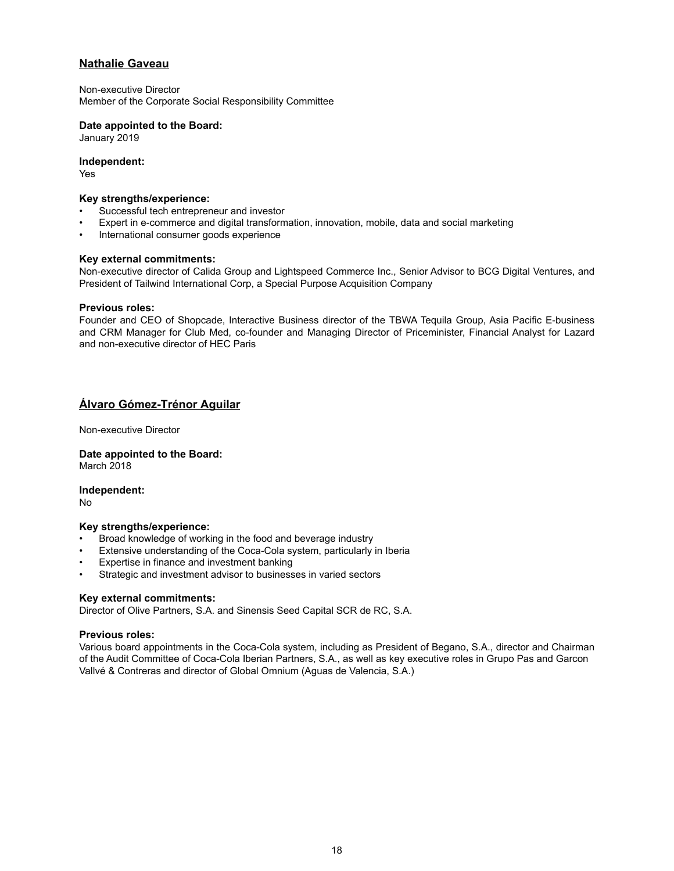# **Nathalie Gaveau**

Non-executive Director Member of the Corporate Social Responsibility Committee

#### **Date appointed to the Board:**

January 2019

#### **Independent:**

Yes

## **Key strengths/experience:**

- Successful tech entrepreneur and investor
- Expert in e-commerce and digital transformation, innovation, mobile, data and social marketing
- International consumer goods experience

#### **Key external commitments:**

Non-executive director of Calida Group and Lightspeed Commerce Inc., Senior Advisor to BCG Digital Ventures, and President of Tailwind International Corp, a Special Purpose Acquisition Company

#### **Previous roles:**

Founder and CEO of Shopcade, Interactive Business director of the TBWA Tequila Group, Asia Pacific E-business and CRM Manager for Club Med, co-founder and Managing Director of Priceminister, Financial Analyst for Lazard and non-executive director of HEC Paris

# **Álvaro Gómez-Trénor Aguilar**

Non-executive Director

#### **Date appointed to the Board:** March 2018

**Independent:**

No

#### **Key strengths/experience:**

- Broad knowledge of working in the food and beverage industry
- Extensive understanding of the Coca-Cola system, particularly in Iberia
- Expertise in finance and investment banking
- Strategic and investment advisor to businesses in varied sectors

#### **Key external commitments:**

Director of Olive Partners, S.A. and Sinensis Seed Capital SCR de RC, S.A.

#### **Previous roles:**

Various board appointments in the Coca-Cola system, including as President of Begano, S.A., director and Chairman of the Audit Committee of Coca-Cola Iberian Partners, S.A., as well as key executive roles in Grupo Pas and Garcon Vallvé & Contreras and director of Global Omnium (Aguas de Valencia, S.A.)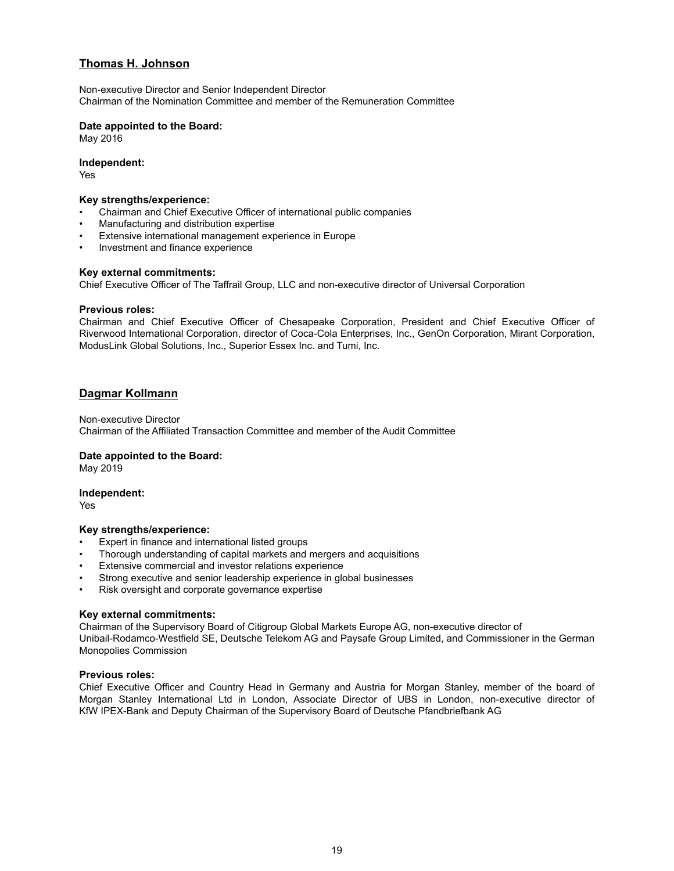# **Thomas H. Johnson**

Non-executive Director and Senior Independent Director Chairman of the Nomination Committee and member of the Remuneration Committee

## **Date appointed to the Board:**

May 2016

#### **Independent:**

Yes

#### **Key strengths/experience:**

- Chairman and Chief Executive Officer of international public companies
- Manufacturing and distribution expertise
- Extensive international management experience in Europe
- Investment and finance experience

#### **Key external commitments:**

Chief Executive Officer of The Taffrail Group, LLC and non-executive director of Universal Corporation

#### **Previous roles:**

Chairman and Chief Executive Officer of Chesapeake Corporation, President and Chief Executive Officer of Riverwood International Corporation, director of Coca-Cola Enterprises, Inc., GenOn Corporation, Mirant Corporation, ModusLink Global Solutions, Inc., Superior Essex Inc. and Tumi, Inc.

# **Dagmar Kollmann**

Non-executive Director Chairman of the Affiliated Transaction Committee and member of the Audit Committee

#### **Date appointed to the Board:**

May 2019

#### **Independent:**

Yes

#### **Key strengths/experience:**

- Expert in finance and international listed groups
- Thorough understanding of capital markets and mergers and acquisitions
- Extensive commercial and investor relations experience
- Strong executive and senior leadership experience in global businesses
- Risk oversight and corporate governance expertise

#### **Key external commitments:**

Chairman of the Supervisory Board of Citigroup Global Markets Europe AG, non-executive director of Unibail-Rodamco-Westfield SE, Deutsche Telekom AG and Paysafe Group Limited, and Commissioner in the German Monopolies Commission

#### **Previous roles:**

Chief Executive Officer and Country Head in Germany and Austria for Morgan Stanley, member of the board of Morgan Stanley International Ltd in London, Associate Director of UBS in London, non-executive director of KfW IPEX-Bank and Deputy Chairman of the Supervisory Board of Deutsche Pfandbriefbank AG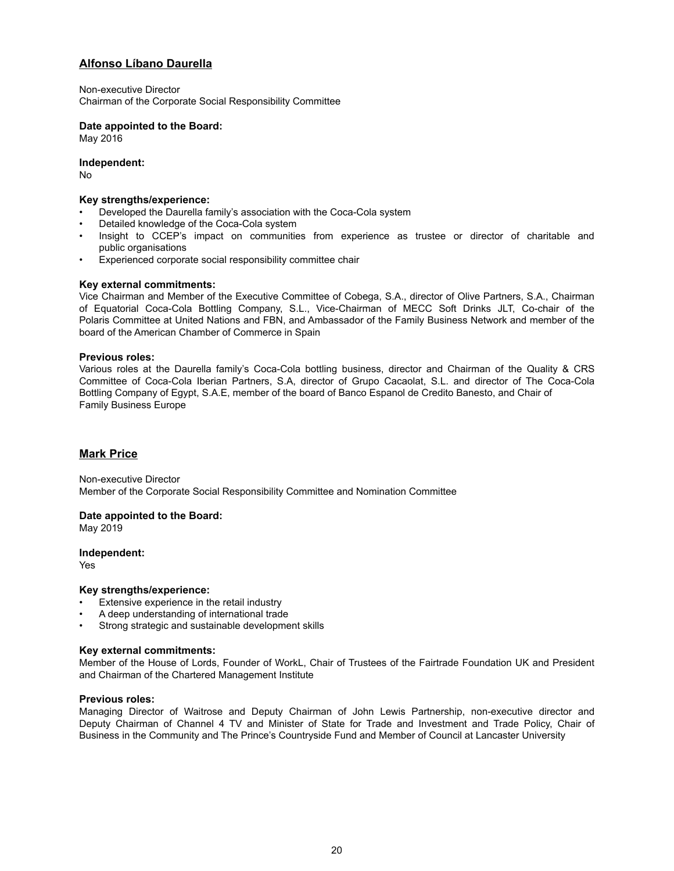# **Alfonso Líbano Daurella**

Non-executive Director Chairman of the Corporate Social Responsibility Committee

# **Date appointed to the Board:**

May 2016

**Independent:**

No

### **Key strengths/experience:**

- Developed the Daurella family's association with the Coca-Cola system
- Detailed knowledge of the Coca-Cola system
- Insight to CCEP's impact on communities from experience as trustee or director of charitable and public organisations
- Experienced corporate social responsibility committee chair

# **Key external commitments:**

Vice Chairman and Member of the Executive Committee of Cobega, S.A., director of Olive Partners, S.A., Chairman of Equatorial Coca-Cola Bottling Company, S.L., Vice-Chairman of MECC Soft Drinks JLT, Co-chair of the Polaris Committee at United Nations and FBN, and Ambassador of the Family Business Network and member of the board of the American Chamber of Commerce in Spain

# **Previous roles:**

Various roles at the Daurella family's Coca-Cola bottling business, director and Chairman of the Quality & CRS Committee of Coca-Cola Iberian Partners, S.A, director of Grupo Cacaolat, S.L. and director of The Coca-Cola Bottling Company of Egypt, S.A.E, member of the board of Banco Espanol de Credito Banesto, and Chair of Family Business Europe

# **Mark Price**

Non-executive Director Member of the Corporate Social Responsibility Committee and Nomination Committee

#### **Date appointed to the Board:**

May 2019

#### **Independent:**

Yes

#### **Key strengths/experience:**

- Extensive experience in the retail industry
- A deep understanding of international trade
- Strong strategic and sustainable development skills

#### **Key external commitments:**

Member of the House of Lords, Founder of WorkL, Chair of Trustees of the Fairtrade Foundation UK and President and Chairman of the Chartered Management Institute

#### **Previous roles:**

Managing Director of Waitrose and Deputy Chairman of John Lewis Partnership, non-executive director and Deputy Chairman of Channel 4 TV and Minister of State for Trade and Investment and Trade Policy, Chair of Business in the Community and The Prince's Countryside Fund and Member of Council at Lancaster University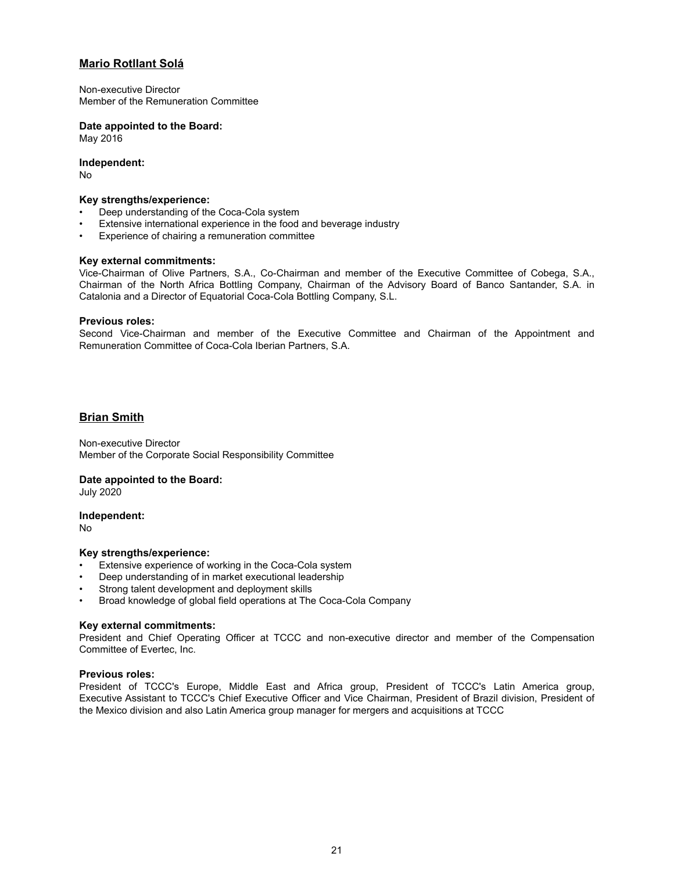# **Mario Rotllant Solá**

Non-executive Director Member of the Remuneration Committee

# **Date appointed to the Board:**

May 2016

**Independent:**

No

### **Key strengths/experience:**

- Deep understanding of the Coca-Cola system
- Extensive international experience in the food and beverage industry
- Experience of chairing a remuneration committee

# **Key external commitments:**

Vice-Chairman of Olive Partners, S.A., Co-Chairman and member of the Executive Committee of Cobega, S.A., Chairman of the North Africa Bottling Company, Chairman of the Advisory Board of Banco Santander, S.A. in Catalonia and a Director of Equatorial Coca-Cola Bottling Company, S.L.

#### **Previous roles:**

Second Vice-Chairman and member of the Executive Committee and Chairman of the Appointment and Remuneration Committee of Coca-Cola Iberian Partners, S.A.

# **Brian Smith**

Non-executive Director Member of the Corporate Social Responsibility Committee

#### **Date appointed to the Board:**

July 2020

#### **Independent:**

No

# **Key strengths/experience:**

- Extensive experience of working in the Coca-Cola system
- Deep understanding of in market executional leadership
- Strong talent development and deployment skills
- Broad knowledge of global field operations at The Coca-Cola Company

# **Key external commitments:**

President and Chief Operating Officer at TCCC and non-executive director and member of the Compensation Committee of Evertec, Inc.

# **Previous roles:**

President of TCCC's Europe, Middle East and Africa group, President of TCCC's Latin America group, Executive Assistant to TCCC's Chief Executive Officer and Vice Chairman, President of Brazil division, President of the Mexico division and also Latin America group manager for mergers and acquisitions at TCCC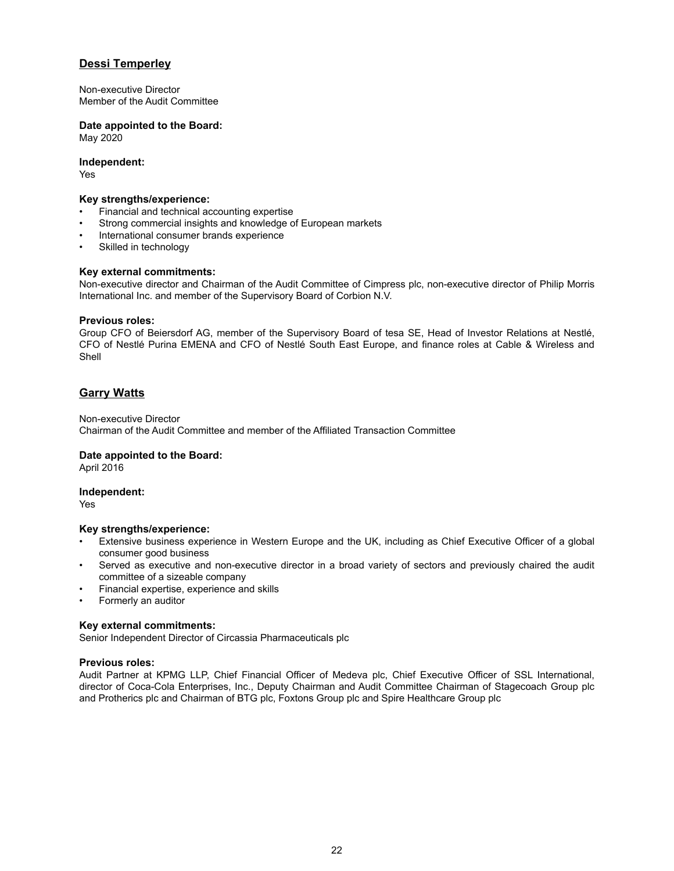# **Dessi Temperley**

Non-executive Director Member of the Audit Committee

# **Date appointed to the Board:**

May 2020

### **Independent:**

Yes

# **Key strengths/experience:**

- Financial and technical accounting expertise
- Strong commercial insights and knowledge of European markets
- International consumer brands experience
- Skilled in technology

# **Key external commitments:**

Non-executive director and Chairman of the Audit Committee of Cimpress plc, non-executive director of Philip Morris International Inc. and member of the Supervisory Board of Corbion N.V.

# **Previous roles:**

Group CFO of Beiersdorf AG, member of the Supervisory Board of tesa SE, Head of Investor Relations at Nestlé, CFO of Nestlé Purina EMENA and CFO of Nestlé South East Europe, and finance roles at Cable & Wireless and Shell

# **Garry Watts**

Non-executive Director Chairman of the Audit Committee and member of the Affiliated Transaction Committee

# **Date appointed to the Board:**

April 2016

# **Independent:**

Yes

#### **Key strengths/experience:**

- Extensive business experience in Western Europe and the UK, including as Chief Executive Officer of a global consumer good business
- Served as executive and non-executive director in a broad variety of sectors and previously chaired the audit committee of a sizeable company
- Financial expertise, experience and skills
- Formerly an auditor

# **Key external commitments:**

Senior Independent Director of Circassia Pharmaceuticals plc

# **Previous roles:**

Audit Partner at KPMG LLP, Chief Financial Officer of Medeva plc, Chief Executive Officer of SSL International, director of Coca-Cola Enterprises, Inc., Deputy Chairman and Audit Committee Chairman of Stagecoach Group plc and Protherics plc and Chairman of BTG plc, Foxtons Group plc and Spire Healthcare Group plc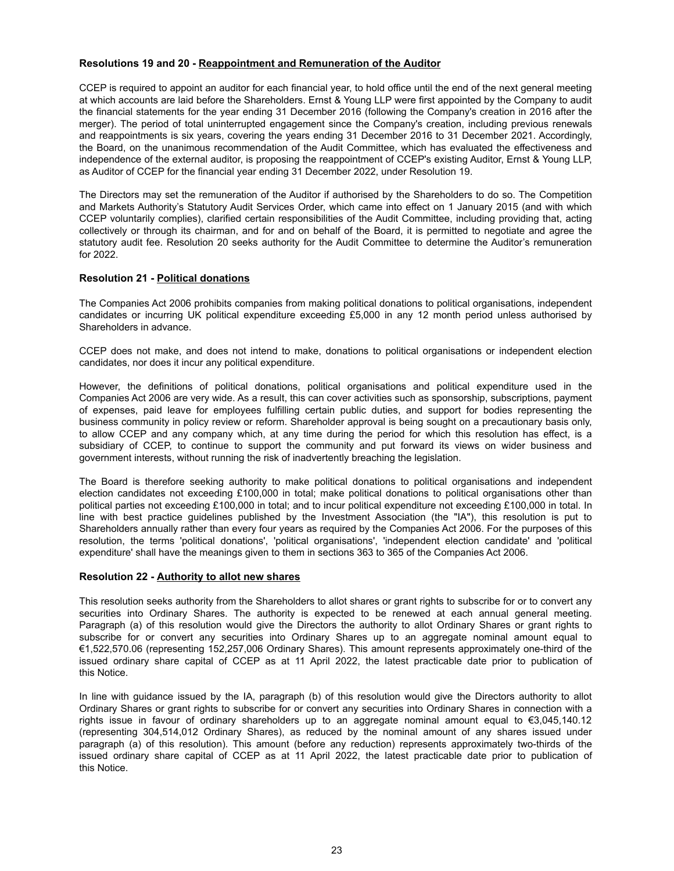## **Resolutions 19 and 20 - Reappointment and Remuneration of the Auditor**

CCEP is required to appoint an auditor for each financial year, to hold office until the end of the next general meeting at which accounts are laid before the Shareholders. Ernst & Young LLP were first appointed by the Company to audit the financial statements for the year ending 31 December 2016 (following the Company's creation in 2016 after the merger). The period of total uninterrupted engagement since the Company's creation, including previous renewals and reappointments is six years, covering the years ending 31 December 2016 to 31 December 2021. Accordingly, the Board, on the unanimous recommendation of the Audit Committee, which has evaluated the effectiveness and independence of the external auditor, is proposing the reappointment of CCEP's existing Auditor, Ernst & Young LLP, as Auditor of CCEP for the financial year ending 31 December 2022, under Resolution 19.

The Directors may set the remuneration of the Auditor if authorised by the Shareholders to do so. The Competition and Markets Authority's Statutory Audit Services Order, which came into effect on 1 January 2015 (and with which CCEP voluntarily complies), clarified certain responsibilities of the Audit Committee, including providing that, acting collectively or through its chairman, and for and on behalf of the Board, it is permitted to negotiate and agree the statutory audit fee. Resolution 20 seeks authority for the Audit Committee to determine the Auditor's remuneration for 2022.

# **Resolution 21 - Political donations**

The Companies Act 2006 prohibits companies from making political donations to political organisations, independent candidates or incurring UK political expenditure exceeding £5,000 in any 12 month period unless authorised by Shareholders in advance.

CCEP does not make, and does not intend to make, donations to political organisations or independent election candidates, nor does it incur any political expenditure.

However, the definitions of political donations, political organisations and political expenditure used in the Companies Act 2006 are very wide. As a result, this can cover activities such as sponsorship, subscriptions, payment of expenses, paid leave for employees fulfilling certain public duties, and support for bodies representing the business community in policy review or reform. Shareholder approval is being sought on a precautionary basis only, to allow CCEP and any company which, at any time during the period for which this resolution has effect, is a subsidiary of CCEP, to continue to support the community and put forward its views on wider business and government interests, without running the risk of inadvertently breaching the legislation.

The Board is therefore seeking authority to make political donations to political organisations and independent election candidates not exceeding £100,000 in total; make political donations to political organisations other than political parties not exceeding £100,000 in total; and to incur political expenditure not exceeding £100,000 in total. In line with best practice guidelines published by the Investment Association (the "IA"), this resolution is put to Shareholders annually rather than every four years as required by the Companies Act 2006. For the purposes of this resolution, the terms 'political donations', 'political organisations', 'independent election candidate' and 'political expenditure' shall have the meanings given to them in sections 363 to 365 of the Companies Act 2006.

#### **Resolution 22 - Authority to allot new shares**

This resolution seeks authority from the Shareholders to allot shares or grant rights to subscribe for or to convert any securities into Ordinary Shares. The authority is expected to be renewed at each annual general meeting. Paragraph (a) of this resolution would give the Directors the authority to allot Ordinary Shares or grant rights to subscribe for or convert any securities into Ordinary Shares up to an aggregate nominal amount equal to €1,522,570.06 (representing 152,257,006 Ordinary Shares). This amount represents approximately one-third of the issued ordinary share capital of CCEP as at 11 April 2022, the latest practicable date prior to publication of this Notice.

In line with guidance issued by the IA, paragraph (b) of this resolution would give the Directors authority to allot Ordinary Shares or grant rights to subscribe for or convert any securities into Ordinary Shares in connection with a rights issue in favour of ordinary shareholders up to an aggregate nominal amount equal to €3,045,140.12 (representing 304,514,012 Ordinary Shares), as reduced by the nominal amount of any shares issued under paragraph (a) of this resolution). This amount (before any reduction) represents approximately two-thirds of the issued ordinary share capital of CCEP as at 11 April 2022, the latest practicable date prior to publication of this Notice.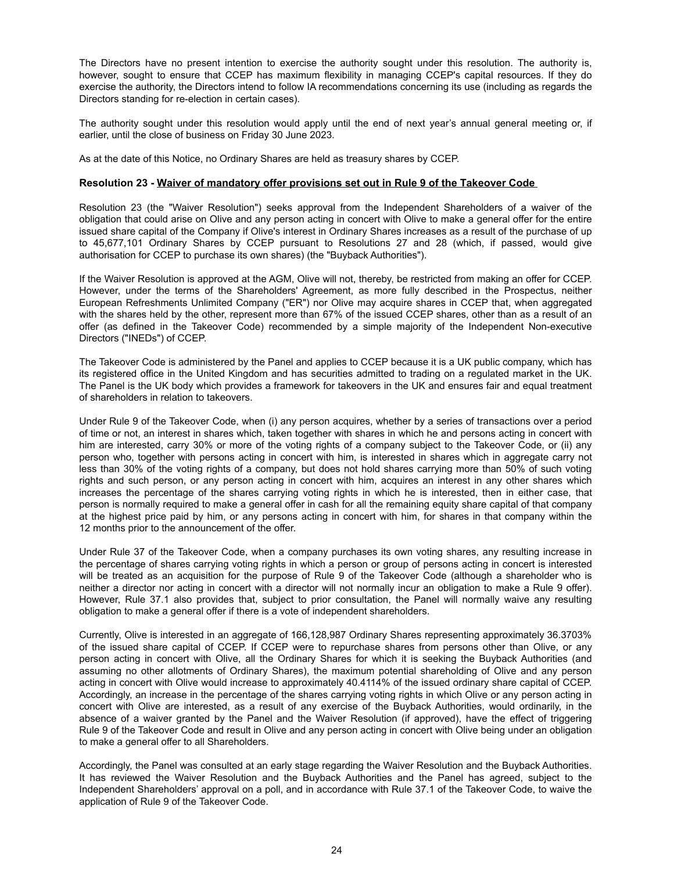The Directors have no present intention to exercise the authority sought under this resolution. The authority is, however, sought to ensure that CCEP has maximum flexibility in managing CCEP's capital resources. If they do exercise the authority, the Directors intend to follow IA recommendations concerning its use (including as regards the Directors standing for re-election in certain cases).

The authority sought under this resolution would apply until the end of next year's annual general meeting or, if earlier, until the close of business on Friday 30 June 2023.

As at the date of this Notice, no Ordinary Shares are held as treasury shares by CCEP.

#### **Resolution 23 - Waiver of mandatory offer provisions set out in Rule 9 of the Takeover Code**

Resolution 23 (the "Waiver Resolution") seeks approval from the Independent Shareholders of a waiver of the obligation that could arise on Olive and any person acting in concert with Olive to make a general offer for the entire issued share capital of the Company if Olive's interest in Ordinary Shares increases as a result of the purchase of up to 45,677,101 Ordinary Shares by CCEP pursuant to Resolutions 27 and 28 (which, if passed, would give authorisation for CCEP to purchase its own shares) (the "Buyback Authorities").

If the Waiver Resolution is approved at the AGM, Olive will not, thereby, be restricted from making an offer for CCEP. However, under the terms of the Shareholders' Agreement, as more fully described in the Prospectus, neither European Refreshments Unlimited Company ("ER") nor Olive may acquire shares in CCEP that, when aggregated with the shares held by the other, represent more than 67% of the issued CCEP shares, other than as a result of an offer (as defined in the Takeover Code) recommended by a simple majority of the Independent Non-executive Directors ("INEDs") of CCEP.

The Takeover Code is administered by the Panel and applies to CCEP because it is a UK public company, which has its registered office in the United Kingdom and has securities admitted to trading on a regulated market in the UK. The Panel is the UK body which provides a framework for takeovers in the UK and ensures fair and equal treatment of shareholders in relation to takeovers.

Under Rule 9 of the Takeover Code, when (i) any person acquires, whether by a series of transactions over a period of time or not, an interest in shares which, taken together with shares in which he and persons acting in concert with him are interested, carry 30% or more of the voting rights of a company subject to the Takeover Code, or (ii) any person who, together with persons acting in concert with him, is interested in shares which in aggregate carry not less than 30% of the voting rights of a company, but does not hold shares carrying more than 50% of such voting rights and such person, or any person acting in concert with him, acquires an interest in any other shares which increases the percentage of the shares carrying voting rights in which he is interested, then in either case, that person is normally required to make a general offer in cash for all the remaining equity share capital of that company at the highest price paid by him, or any persons acting in concert with him, for shares in that company within the 12 months prior to the announcement of the offer.

Under Rule 37 of the Takeover Code, when a company purchases its own voting shares, any resulting increase in the percentage of shares carrying voting rights in which a person or group of persons acting in concert is interested will be treated as an acquisition for the purpose of Rule 9 of the Takeover Code (although a shareholder who is neither a director nor acting in concert with a director will not normally incur an obligation to make a Rule 9 offer). However, Rule 37.1 also provides that, subject to prior consultation, the Panel will normally waive any resulting obligation to make a general offer if there is a vote of independent shareholders.

Currently, Olive is interested in an aggregate of 166,128,987 Ordinary Shares representing approximately 36.3703% of the issued share capital of CCEP. If CCEP were to repurchase shares from persons other than Olive, or any person acting in concert with Olive, all the Ordinary Shares for which it is seeking the Buyback Authorities (and assuming no other allotments of Ordinary Shares), the maximum potential shareholding of Olive and any person acting in concert with Olive would increase to approximately 40.4114% of the issued ordinary share capital of CCEP. Accordingly, an increase in the percentage of the shares carrying voting rights in which Olive or any person acting in concert with Olive are interested, as a result of any exercise of the Buyback Authorities, would ordinarily, in the absence of a waiver granted by the Panel and the Waiver Resolution (if approved), have the effect of triggering Rule 9 of the Takeover Code and result in Olive and any person acting in concert with Olive being under an obligation to make a general offer to all Shareholders.

Accordingly, the Panel was consulted at an early stage regarding the Waiver Resolution and the Buyback Authorities. It has reviewed the Waiver Resolution and the Buyback Authorities and the Panel has agreed, subject to the Independent Shareholders' approval on a poll, and in accordance with Rule 37.1 of the Takeover Code, to waive the application of Rule 9 of the Takeover Code.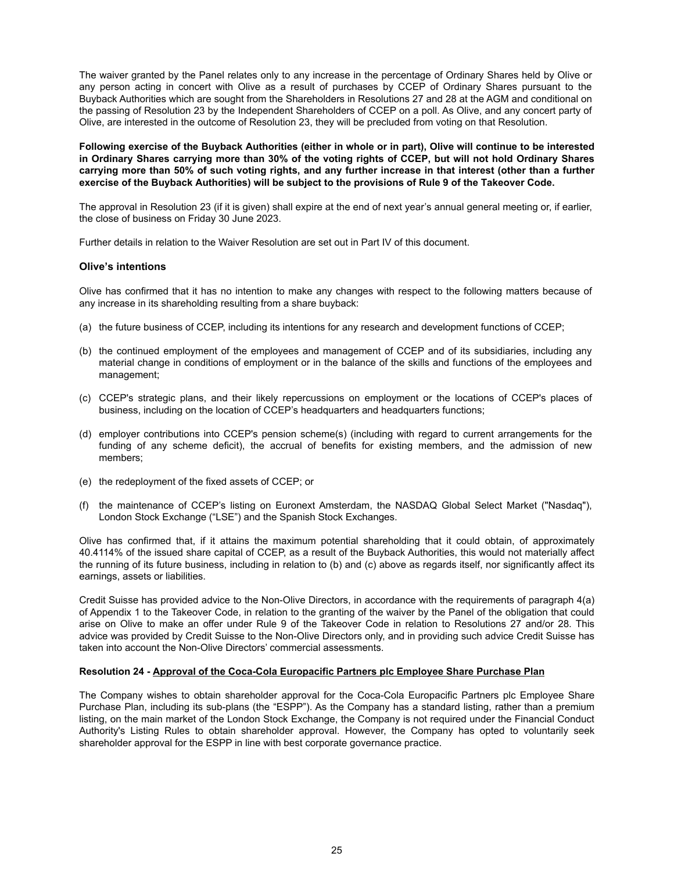The waiver granted by the Panel relates only to any increase in the percentage of Ordinary Shares held by Olive or any person acting in concert with Olive as a result of purchases by CCEP of Ordinary Shares pursuant to the Buyback Authorities which are sought from the Shareholders in Resolutions 27 and 28 at the AGM and conditional on the passing of Resolution 23 by the Independent Shareholders of CCEP on a poll. As Olive, and any concert party of Olive, are interested in the outcome of Resolution 23, they will be precluded from voting on that Resolution.

**Following exercise of the Buyback Authorities (either in whole or in part), Olive will continue to be interested in Ordinary Shares carrying more than 30% of the voting rights of CCEP, but will not hold Ordinary Shares carrying more than 50% of such voting rights, and any further increase in that interest (other than a further exercise of the Buyback Authorities) will be subject to the provisions of Rule 9 of the Takeover Code.**

The approval in Resolution 23 (if it is given) shall expire at the end of next year's annual general meeting or, if earlier, the close of business on Friday 30 June 2023.

Further details in relation to the Waiver Resolution are set out in Part IV of this document.

#### **Olive's intentions**

Olive has confirmed that it has no intention to make any changes with respect to the following matters because of any increase in its shareholding resulting from a share buyback:

- (a) the future business of CCEP, including its intentions for any research and development functions of CCEP;
- (b) the continued employment of the employees and management of CCEP and of its subsidiaries, including any material change in conditions of employment or in the balance of the skills and functions of the employees and management;
- (c) CCEP's strategic plans, and their likely repercussions on employment or the locations of CCEP's places of business, including on the location of CCEP's headquarters and headquarters functions;
- (d) employer contributions into CCEP's pension scheme(s) (including with regard to current arrangements for the funding of any scheme deficit), the accrual of benefits for existing members, and the admission of new members;
- (e) the redeployment of the fixed assets of CCEP; or
- (f) the maintenance of CCEP's listing on Euronext Amsterdam, the NASDAQ Global Select Market ("Nasdaq"), London Stock Exchange ("LSE") and the Spanish Stock Exchanges.

Olive has confirmed that, if it attains the maximum potential shareholding that it could obtain, of approximately 40.4114% of the issued share capital of CCEP, as a result of the Buyback Authorities, this would not materially affect the running of its future business, including in relation to (b) and (c) above as regards itself, nor significantly affect its earnings, assets or liabilities.

Credit Suisse has provided advice to the Non-Olive Directors, in accordance with the requirements of paragraph 4(a) of Appendix 1 to the Takeover Code, in relation to the granting of the waiver by the Panel of the obligation that could arise on Olive to make an offer under Rule 9 of the Takeover Code in relation to Resolutions 27 and/or 28. This advice was provided by Credit Suisse to the Non-Olive Directors only, and in providing such advice Credit Suisse has taken into account the Non-Olive Directors' commercial assessments.

#### **Resolution 24 - Approval of the Coca-Cola Europacific Partners plc Employee Share Purchase Plan**

The Company wishes to obtain shareholder approval for the Coca-Cola Europacific Partners plc Employee Share Purchase Plan, including its sub-plans (the "ESPP"). As the Company has a standard listing, rather than a premium listing, on the main market of the London Stock Exchange, the Company is not required under the Financial Conduct Authority's Listing Rules to obtain shareholder approval. However, the Company has opted to voluntarily seek shareholder approval for the ESPP in line with best corporate governance practice.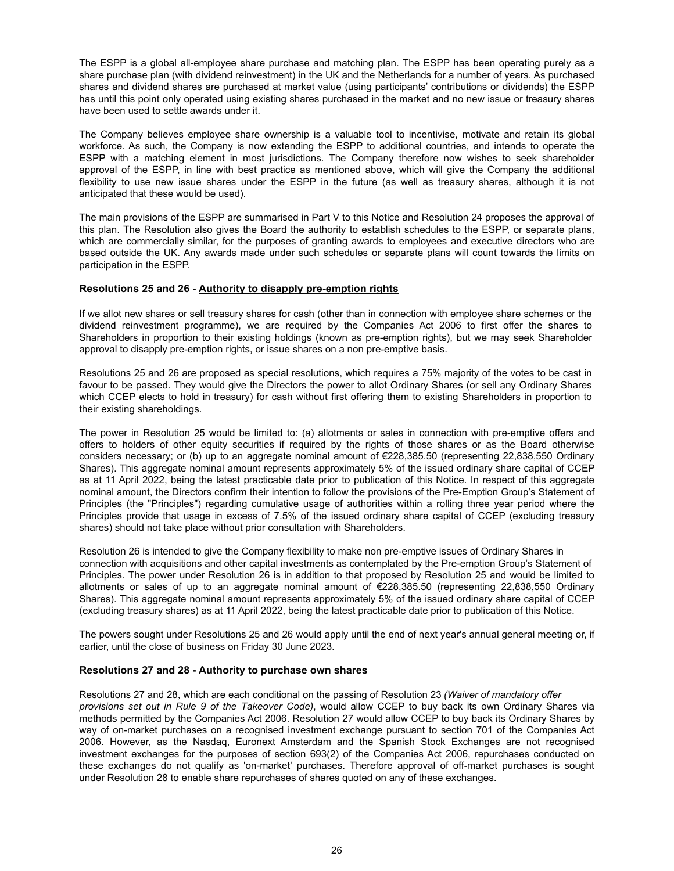The ESPP is a global all-employee share purchase and matching plan. The ESPP has been operating purely as a share purchase plan (with dividend reinvestment) in the UK and the Netherlands for a number of years. As purchased shares and dividend shares are purchased at market value (using participants' contributions or dividends) the ESPP has until this point only operated using existing shares purchased in the market and no new issue or treasury shares have been used to settle awards under it.

The Company believes employee share ownership is a valuable tool to incentivise, motivate and retain its global workforce. As such, the Company is now extending the ESPP to additional countries, and intends to operate the ESPP with a matching element in most jurisdictions. The Company therefore now wishes to seek shareholder approval of the ESPP, in line with best practice as mentioned above, which will give the Company the additional flexibility to use new issue shares under the ESPP in the future (as well as treasury shares, although it is not anticipated that these would be used).

The main provisions of the ESPP are summarised in Part V to this Notice and Resolution 24 proposes the approval of this plan. The Resolution also gives the Board the authority to establish schedules to the ESPP, or separate plans, which are commercially similar, for the purposes of granting awards to employees and executive directors who are based outside the UK. Any awards made under such schedules or separate plans will count towards the limits on participation in the ESPP.

# **Resolutions 25 and 26 - Authority to disapply pre-emption rights**

If we allot new shares or sell treasury shares for cash (other than in connection with employee share schemes or the dividend reinvestment programme), we are required by the Companies Act 2006 to first offer the shares to Shareholders in proportion to their existing holdings (known as pre-emption rights), but we may seek Shareholder approval to disapply pre-emption rights, or issue shares on a non pre-emptive basis.

Resolutions 25 and 26 are proposed as special resolutions, which requires a 75% majority of the votes to be cast in favour to be passed. They would give the Directors the power to allot Ordinary Shares (or sell any Ordinary Shares which CCEP elects to hold in treasury) for cash without first offering them to existing Shareholders in proportion to their existing shareholdings.

The power in Resolution 25 would be limited to: (a) allotments or sales in connection with pre-emptive offers and offers to holders of other equity securities if required by the rights of those shares or as the Board otherwise considers necessary; or (b) up to an aggregate nominal amount of €228,385.50 (representing 22,838,550 Ordinary Shares). This aggregate nominal amount represents approximately 5% of the issued ordinary share capital of CCEP as at 11 April 2022, being the latest practicable date prior to publication of this Notice. In respect of this aggregate nominal amount, the Directors confirm their intention to follow the provisions of the Pre-Emption Group's Statement of Principles (the "Principles") regarding cumulative usage of authorities within a rolling three year period where the Principles provide that usage in excess of 7.5% of the issued ordinary share capital of CCEP (excluding treasury shares) should not take place without prior consultation with Shareholders.

Resolution 26 is intended to give the Company flexibility to make non pre-emptive issues of Ordinary Shares in connection with acquisitions and other capital investments as contemplated by the Pre-emption Group's Statement of Principles. The power under Resolution 26 is in addition to that proposed by Resolution 25 and would be limited to allotments or sales of up to an aggregate nominal amount of €228,385.50 (representing 22,838,550 Ordinary Shares). This aggregate nominal amount represents approximately 5% of the issued ordinary share capital of CCEP (excluding treasury shares) as at 11 April 2022, being the latest practicable date prior to publication of this Notice.

The powers sought under Resolutions 25 and 26 would apply until the end of next year's annual general meeting or, if earlier, until the close of business on Friday 30 June 2023.

# **Resolutions 27 and 28 - Authority to purchase own shares**

Resolutions 27 and 28, which are each conditional on the passing of Resolution 23 *(Waiver of mandatory offer provisions set out in Rule 9 of the Takeover Code)*, would allow CCEP to buy back its own Ordinary Shares via methods permitted by the Companies Act 2006. Resolution 27 would allow CCEP to buy back its Ordinary Shares by way of on-market purchases on a recognised investment exchange pursuant to section 701 of the Companies Act 2006. However, as the Nasdaq, Euronext Amsterdam and the Spanish Stock Exchanges are not recognised investment exchanges for the purposes of section 693(2) of the Companies Act 2006, repurchases conducted on these exchanges do not qualify as 'on-market' purchases. Therefore approval of off‑market purchases is sought under Resolution 28 to enable share repurchases of shares quoted on any of these exchanges.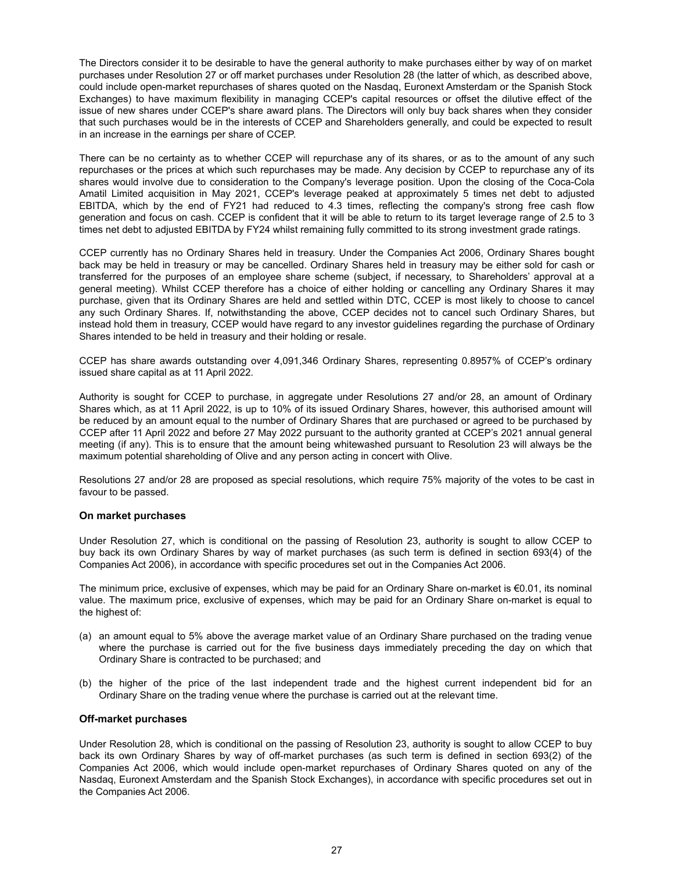The Directors consider it to be desirable to have the general authority to make purchases either by way of on market purchases under Resolution 27 or off market purchases under Resolution 28 (the latter of which, as described above, could include open-market repurchases of shares quoted on the Nasdaq, Euronext Amsterdam or the Spanish Stock Exchanges) to have maximum flexibility in managing CCEP's capital resources or offset the dilutive effect of the issue of new shares under CCEP's share award plans. The Directors will only buy back shares when they consider that such purchases would be in the interests of CCEP and Shareholders generally, and could be expected to result in an increase in the earnings per share of CCEP.

There can be no certainty as to whether CCEP will repurchase any of its shares, or as to the amount of any such repurchases or the prices at which such repurchases may be made. Any decision by CCEP to repurchase any of its shares would involve due to consideration to the Company's leverage position. Upon the closing of the Coca-Cola Amatil Limited acquisition in May 2021, CCEP's leverage peaked at approximately 5 times net debt to adjusted EBITDA, which by the end of FY21 had reduced to 4.3 times, reflecting the company's strong free cash flow generation and focus on cash. CCEP is confident that it will be able to return to its target leverage range of 2.5 to 3 times net debt to adjusted EBITDA by FY24 whilst remaining fully committed to its strong investment grade ratings.

CCEP currently has no Ordinary Shares held in treasury. Under the Companies Act 2006, Ordinary Shares bought back may be held in treasury or may be cancelled. Ordinary Shares held in treasury may be either sold for cash or transferred for the purposes of an employee share scheme (subject, if necessary, to Shareholders' approval at a general meeting). Whilst CCEP therefore has a choice of either holding or cancelling any Ordinary Shares it may purchase, given that its Ordinary Shares are held and settled within DTC, CCEP is most likely to choose to cancel any such Ordinary Shares. If, notwithstanding the above, CCEP decides not to cancel such Ordinary Shares, but instead hold them in treasury, CCEP would have regard to any investor guidelines regarding the purchase of Ordinary Shares intended to be held in treasury and their holding or resale.

CCEP has share awards outstanding over 4,091,346 Ordinary Shares, representing 0.8957% of CCEP's ordinary issued share capital as at 11 April 2022.

Authority is sought for CCEP to purchase, in aggregate under Resolutions 27 and/or 28, an amount of Ordinary Shares which, as at 11 April 2022, is up to 10% of its issued Ordinary Shares, however, this authorised amount will be reduced by an amount equal to the number of Ordinary Shares that are purchased or agreed to be purchased by CCEP after 11 April 2022 and before 27 May 2022 pursuant to the authority granted at CCEP's 2021 annual general meeting (if any). This is to ensure that the amount being whitewashed pursuant to Resolution 23 will always be the maximum potential shareholding of Olive and any person acting in concert with Olive.

Resolutions 27 and/or 28 are proposed as special resolutions, which require 75% majority of the votes to be cast in favour to be passed.

#### **On market purchases**

Under Resolution 27, which is conditional on the passing of Resolution 23, authority is sought to allow CCEP to buy back its own Ordinary Shares by way of market purchases (as such term is defined in section 693(4) of the Companies Act 2006), in accordance with specific procedures set out in the Companies Act 2006.

The minimum price, exclusive of expenses, which may be paid for an Ordinary Share on-market is €0.01, its nominal value. The maximum price, exclusive of expenses, which may be paid for an Ordinary Share on-market is equal to the highest of:

- (a) an amount equal to 5% above the average market value of an Ordinary Share purchased on the trading venue where the purchase is carried out for the five business days immediately preceding the day on which that Ordinary Share is contracted to be purchased; and
- (b) the higher of the price of the last independent trade and the highest current independent bid for an Ordinary Share on the trading venue where the purchase is carried out at the relevant time.

#### **Off-market purchases**

Under Resolution 28, which is conditional on the passing of Resolution 23, authority is sought to allow CCEP to buy back its own Ordinary Shares by way of off-market purchases (as such term is defined in section 693(2) of the Companies Act 2006, which would include open-market repurchases of Ordinary Shares quoted on any of the Nasdaq, Euronext Amsterdam and the Spanish Stock Exchanges), in accordance with specific procedures set out in the Companies Act 2006.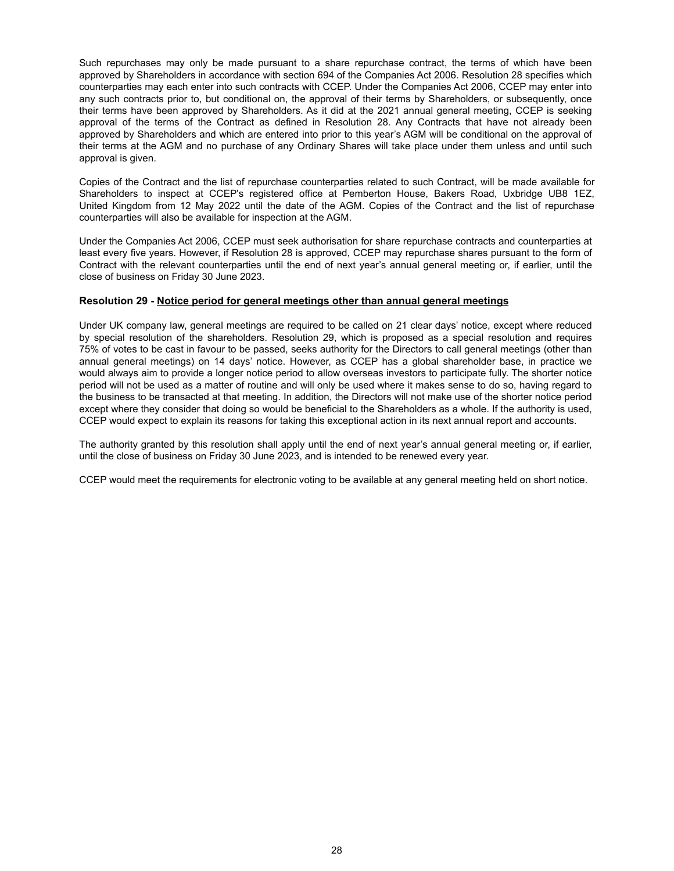Such repurchases may only be made pursuant to a share repurchase contract, the terms of which have been approved by Shareholders in accordance with section 694 of the Companies Act 2006. Resolution 28 specifies which counterparties may each enter into such contracts with CCEP. Under the Companies Act 2006, CCEP may enter into any such contracts prior to, but conditional on, the approval of their terms by Shareholders, or subsequently, once their terms have been approved by Shareholders. As it did at the 2021 annual general meeting, CCEP is seeking approval of the terms of the Contract as defined in Resolution 28. Any Contracts that have not already been approved by Shareholders and which are entered into prior to this year's AGM will be conditional on the approval of their terms at the AGM and no purchase of any Ordinary Shares will take place under them unless and until such approval is given.

Copies of the Contract and the list of repurchase counterparties related to such Contract, will be made available for Shareholders to inspect at CCEP's registered office at Pemberton House, Bakers Road, Uxbridge UB8 1EZ, United Kingdom from 12 May 2022 until the date of the AGM. Copies of the Contract and the list of repurchase counterparties will also be available for inspection at the AGM.

Under the Companies Act 2006, CCEP must seek authorisation for share repurchase contracts and counterparties at least every five years. However, if Resolution 28 is approved, CCEP may repurchase shares pursuant to the form of Contract with the relevant counterparties until the end of next year's annual general meeting or, if earlier, until the close of business on Friday 30 June 2023.

# **Resolution 29 - Notice period for general meetings other than annual general meetings**

Under UK company law, general meetings are required to be called on 21 clear days' notice, except where reduced by special resolution of the shareholders. Resolution 29, which is proposed as a special resolution and requires 75% of votes to be cast in favour to be passed, seeks authority for the Directors to call general meetings (other than annual general meetings) on 14 days' notice. However, as CCEP has a global shareholder base, in practice we would always aim to provide a longer notice period to allow overseas investors to participate fully. The shorter notice period will not be used as a matter of routine and will only be used where it makes sense to do so, having regard to the business to be transacted at that meeting. In addition, the Directors will not make use of the shorter notice period except where they consider that doing so would be beneficial to the Shareholders as a whole. If the authority is used, CCEP would expect to explain its reasons for taking this exceptional action in its next annual report and accounts.

The authority granted by this resolution shall apply until the end of next year's annual general meeting or, if earlier, until the close of business on Friday 30 June 2023, and is intended to be renewed every year.

CCEP would meet the requirements for electronic voting to be available at any general meeting held on short notice.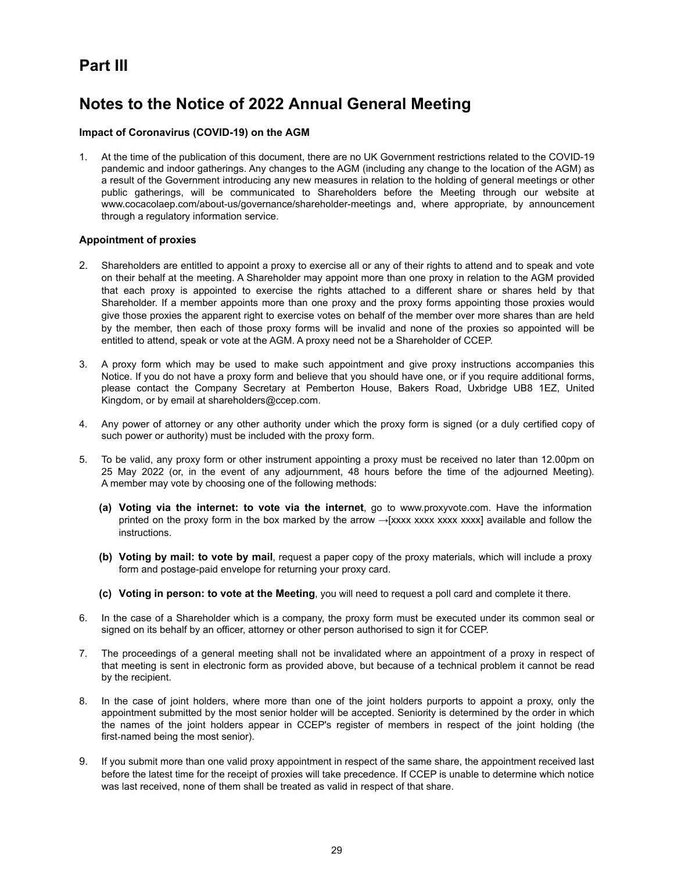# **Part III**

# **Notes to the Notice of 2022 Annual General Meeting**

# **Impact of Coronavirus (COVID-19) on the AGM**

1. At the time of the publication of this document, there are no UK Government restrictions related to the COVID-19 pandemic and indoor gatherings. Any changes to the AGM (including any change to the location of the AGM) as a result of the Government introducing any new measures in relation to the holding of general meetings or other public gatherings, will be communicated to Shareholders before the Meeting through our website at www.cocacolaep.com/about-us/governance/shareholder-meetings and, where appropriate, by announcement through a regulatory information service.

#### **Appointment of proxies**

- 2. Shareholders are entitled to appoint a proxy to exercise all or any of their rights to attend and to speak and vote on their behalf at the meeting. A Shareholder may appoint more than one proxy in relation to the AGM provided that each proxy is appointed to exercise the rights attached to a different share or shares held by that Shareholder. If a member appoints more than one proxy and the proxy forms appointing those proxies would give those proxies the apparent right to exercise votes on behalf of the member over more shares than are held by the member, then each of those proxy forms will be invalid and none of the proxies so appointed will be entitled to attend, speak or vote at the AGM. A proxy need not be a Shareholder of CCEP.
- 3. A proxy form which may be used to make such appointment and give proxy instructions accompanies this Notice. If you do not have a proxy form and believe that you should have one, or if you require additional forms, please contact the Company Secretary at Pemberton House, Bakers Road, Uxbridge UB8 1EZ, United Kingdom, or by email at shareholders@ccep.com.
- 4. Any power of attorney or any other authority under which the proxy form is signed (or a duly certified copy of such power or authority) must be included with the proxy form.
- 5. To be valid, any proxy form or other instrument appointing a proxy must be received no later than 12.00pm on 25 May 2022 (or, in the event of any adjournment, 48 hours before the time of the adjourned Meeting). A member may vote by choosing one of the following methods:
	- **(a) Voting via the internet: to vote via the internet**, go to www.proxyvote.com. Have the information printed on the proxy form in the box marked by the arrow  $\rightarrow$ [xxxx xxxx xxxx xxxx] available and follow the instructions.
	- **(b) Voting by mail: to vote by mail**, request a paper copy of the proxy materials, which will include a proxy form and postage-paid envelope for returning your proxy card.
	- **(c) Voting in person: to vote at the Meeting**, you will need to request a poll card and complete it there.
- 6. In the case of a Shareholder which is a company, the proxy form must be executed under its common seal or signed on its behalf by an officer, attorney or other person authorised to sign it for CCEP.
- 7. The proceedings of a general meeting shall not be invalidated where an appointment of a proxy in respect of that meeting is sent in electronic form as provided above, but because of a technical problem it cannot be read by the recipient.
- 8. In the case of joint holders, where more than one of the joint holders purports to appoint a proxy, only the appointment submitted by the most senior holder will be accepted. Seniority is determined by the order in which the names of the joint holders appear in CCEP's register of members in respect of the joint holding (the first-named being the most senior).
- 9. If you submit more than one valid proxy appointment in respect of the same share, the appointment received last before the latest time for the receipt of proxies will take precedence. If CCEP is unable to determine which notice was last received, none of them shall be treated as valid in respect of that share.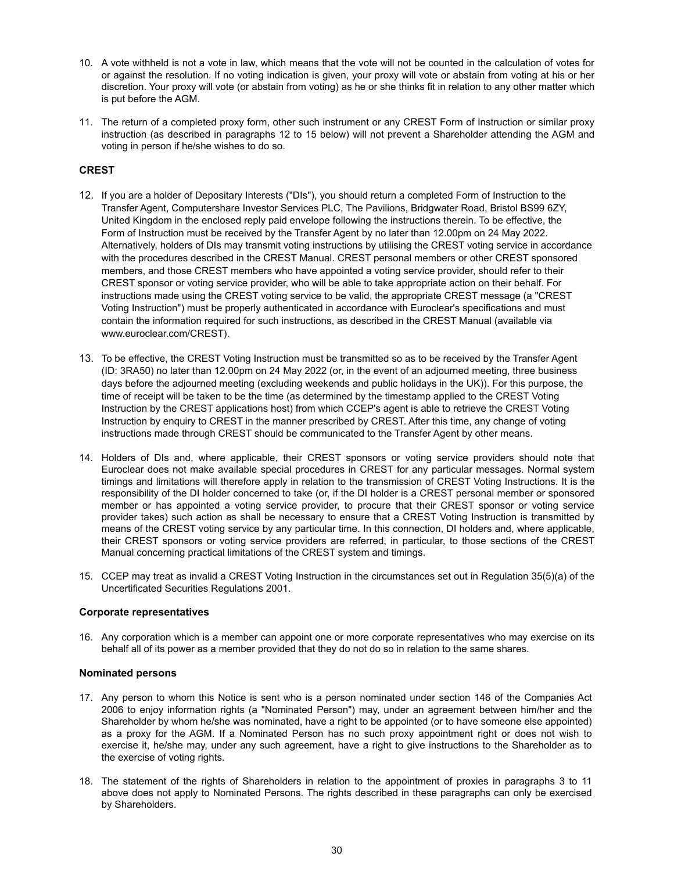- 10. A vote withheld is not a vote in law, which means that the vote will not be counted in the calculation of votes for or against the resolution. If no voting indication is given, your proxy will vote or abstain from voting at his or her discretion. Your proxy will vote (or abstain from voting) as he or she thinks fit in relation to any other matter which is put before the AGM.
- 11. The return of a completed proxy form, other such instrument or any CREST Form of Instruction or similar proxy instruction (as described in paragraphs 12 to 15 below) will not prevent a Shareholder attending the AGM and voting in person if he/she wishes to do so.

# **CREST**

- 12. If you are a holder of Depositary Interests ("DIs"), you should return a completed Form of Instruction to the Transfer Agent, Computershare Investor Services PLC, The Pavilions, Bridgwater Road, Bristol BS99 6ZY, United Kingdom in the enclosed reply paid envelope following the instructions therein. To be effective, the Form of Instruction must be received by the Transfer Agent by no later than 12.00pm on 24 May 2022. Alternatively, holders of DIs may transmit voting instructions by utilising the CREST voting service in accordance with the procedures described in the CREST Manual. CREST personal members or other CREST sponsored members, and those CREST members who have appointed a voting service provider, should refer to their CREST sponsor or voting service provider, who will be able to take appropriate action on their behalf. For instructions made using the CREST voting service to be valid, the appropriate CREST message (a "CREST Voting Instruction") must be properly authenticated in accordance with Euroclear's specifications and must contain the information required for such instructions, as described in the CREST Manual (available via www.euroclear.com/CREST).
- 13. To be effective, the CREST Voting Instruction must be transmitted so as to be received by the Transfer Agent (ID: 3RA50) no later than 12.00pm on 24 May 2022 (or, in the event of an adjourned meeting, three business days before the adjourned meeting (excluding weekends and public holidays in the UK)). For this purpose, the time of receipt will be taken to be the time (as determined by the timestamp applied to the CREST Voting Instruction by the CREST applications host) from which CCEP's agent is able to retrieve the CREST Voting Instruction by enquiry to CREST in the manner prescribed by CREST. After this time, any change of voting instructions made through CREST should be communicated to the Transfer Agent by other means.
- 14. Holders of DIs and, where applicable, their CREST sponsors or voting service providers should note that Euroclear does not make available special procedures in CREST for any particular messages. Normal system timings and limitations will therefore apply in relation to the transmission of CREST Voting Instructions. It is the responsibility of the DI holder concerned to take (or, if the DI holder is a CREST personal member or sponsored member or has appointed a voting service provider, to procure that their CREST sponsor or voting service provider takes) such action as shall be necessary to ensure that a CREST Voting Instruction is transmitted by means of the CREST voting service by any particular time. In this connection, DI holders and, where applicable, their CREST sponsors or voting service providers are referred, in particular, to those sections of the CREST Manual concerning practical limitations of the CREST system and timings.
- 15. CCEP may treat as invalid a CREST Voting Instruction in the circumstances set out in Regulation 35(5)(a) of the Uncertificated Securities Regulations 2001.

# **Corporate representatives**

16. Any corporation which is a member can appoint one or more corporate representatives who may exercise on its behalf all of its power as a member provided that they do not do so in relation to the same shares.

#### **Nominated persons**

- 17. Any person to whom this Notice is sent who is a person nominated under section 146 of the Companies Act 2006 to enjoy information rights (a "Nominated Person") may, under an agreement between him/her and the Shareholder by whom he/she was nominated, have a right to be appointed (or to have someone else appointed) as a proxy for the AGM. If a Nominated Person has no such proxy appointment right or does not wish to exercise it, he/she may, under any such agreement, have a right to give instructions to the Shareholder as to the exercise of voting rights.
- 18. The statement of the rights of Shareholders in relation to the appointment of proxies in paragraphs 3 to 11 above does not apply to Nominated Persons. The rights described in these paragraphs can only be exercised by Shareholders.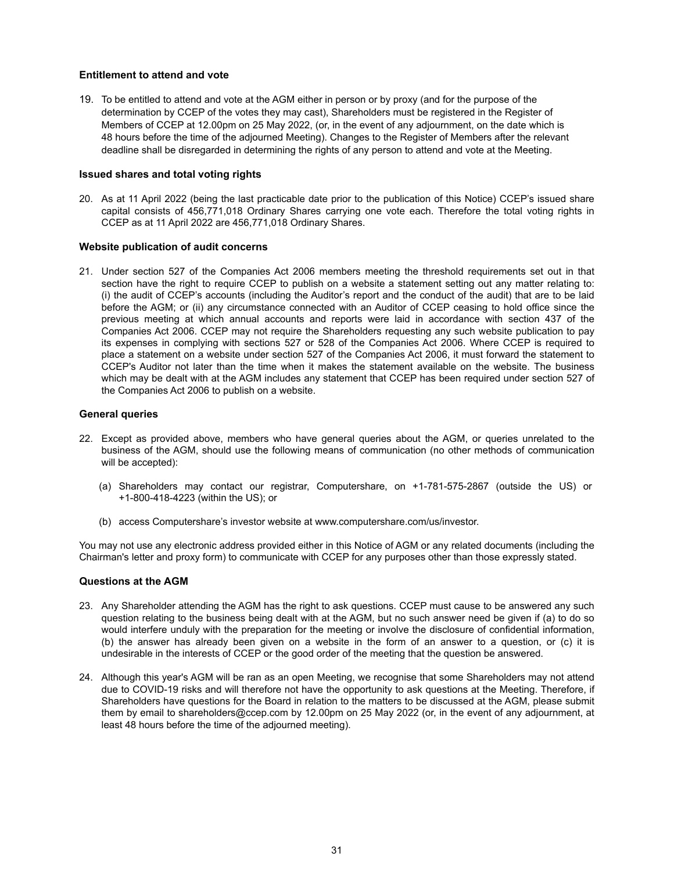# **Entitlement to attend and vote**

19. To be entitled to attend and vote at the AGM either in person or by proxy (and for the purpose of the determination by CCEP of the votes they may cast), Shareholders must be registered in the Register of Members of CCEP at 12.00pm on 25 May 2022, (or, in the event of any adjournment, on the date which is 48 hours before the time of the adjourned Meeting). Changes to the Register of Members after the relevant deadline shall be disregarded in determining the rights of any person to attend and vote at the Meeting.

## **Issued shares and total voting rights**

20. As at 11 April 2022 (being the last practicable date prior to the publication of this Notice) CCEP's issued share capital consists of 456,771,018 Ordinary Shares carrying one vote each. Therefore the total voting rights in CCEP as at 11 April 2022 are 456,771,018 Ordinary Shares.

#### **Website publication of audit concerns**

21. Under section 527 of the Companies Act 2006 members meeting the threshold requirements set out in that section have the right to require CCEP to publish on a website a statement setting out any matter relating to: (i) the audit of CCEP's accounts (including the Auditor's report and the conduct of the audit) that are to be laid before the AGM; or (ii) any circumstance connected with an Auditor of CCEP ceasing to hold office since the previous meeting at which annual accounts and reports were laid in accordance with section 437 of the Companies Act 2006. CCEP may not require the Shareholders requesting any such website publication to pay its expenses in complying with sections 527 or 528 of the Companies Act 2006. Where CCEP is required to place a statement on a website under section 527 of the Companies Act 2006, it must forward the statement to CCEP's Auditor not later than the time when it makes the statement available on the website. The business which may be dealt with at the AGM includes any statement that CCEP has been required under section 527 of the Companies Act 2006 to publish on a website.

#### **General queries**

- 22. Except as provided above, members who have general queries about the AGM, or queries unrelated to the business of the AGM, should use the following means of communication (no other methods of communication will be accepted):
	- (a) Shareholders may contact our registrar, Computershare, on +1-781-575-2867 (outside the US) or +1-800-418-4223 (within the US); or
	- (b) access Computershare's investor website at www.computershare.com/us/investor.

You may not use any electronic address provided either in this Notice of AGM or any related documents (including the Chairman's letter and proxy form) to communicate with CCEP for any purposes other than those expressly stated.

#### **Questions at the AGM**

- 23. Any Shareholder attending the AGM has the right to ask questions. CCEP must cause to be answered any such question relating to the business being dealt with at the AGM, but no such answer need be given if (a) to do so would interfere unduly with the preparation for the meeting or involve the disclosure of confidential information, (b) the answer has already been given on a website in the form of an answer to a question, or (c) it is undesirable in the interests of CCEP or the good order of the meeting that the question be answered.
- 24. Although this year's AGM will be ran as an open Meeting, we recognise that some Shareholders may not attend due to COVID-19 risks and will therefore not have the opportunity to ask questions at the Meeting. Therefore, if Shareholders have questions for the Board in relation to the matters to be discussed at the AGM, please submit them by email to shareholders@ccep.com by 12.00pm on 25 May 2022 (or, in the event of any adjournment, at least 48 hours before the time of the adjourned meeting).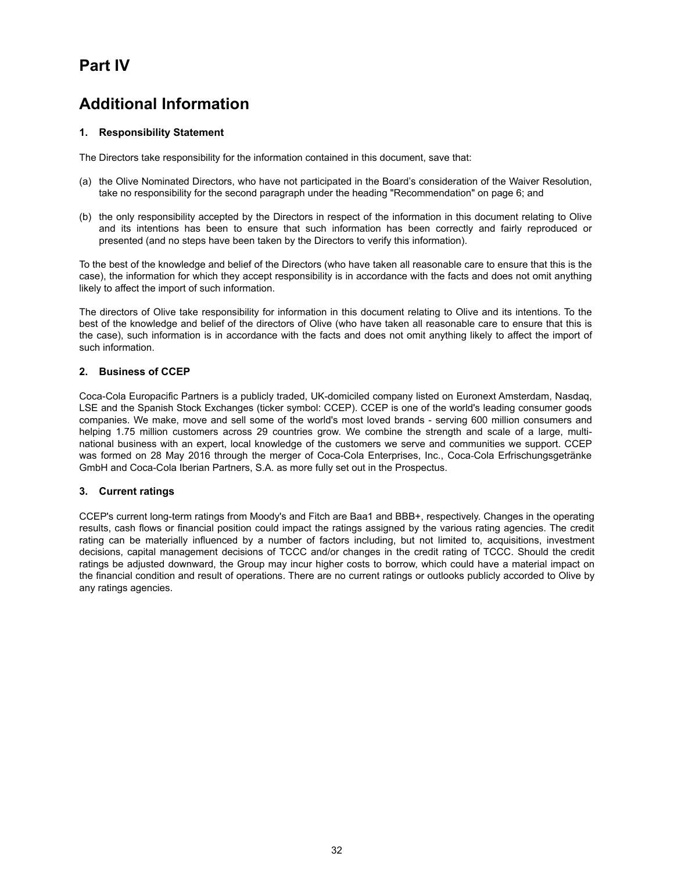# **Part IV**

# **Additional Information**

# **1. Responsibility Statement**

The Directors take responsibility for the information contained in this document, save that:

- (a) the Olive Nominated Directors, who have not participated in the Board's consideration of the Waiver Resolution, take no responsibility for the second paragraph under the heading "Recommendation" on page 6; and
- (b) the only responsibility accepted by the Directors in respect of the information in this document relating to Olive and its intentions has been to ensure that such information has been correctly and fairly reproduced or presented (and no steps have been taken by the Directors to verify this information).

To the best of the knowledge and belief of the Directors (who have taken all reasonable care to ensure that this is the case), the information for which they accept responsibility is in accordance with the facts and does not omit anything likely to affect the import of such information.

The directors of Olive take responsibility for information in this document relating to Olive and its intentions. To the best of the knowledge and belief of the directors of Olive (who have taken all reasonable care to ensure that this is the case), such information is in accordance with the facts and does not omit anything likely to affect the import of such information.

# **2. Business of CCEP**

Coca-Cola Europacific Partners is a publicly traded, UK-domiciled company listed on Euronext Amsterdam, Nasdaq, LSE and the Spanish Stock Exchanges (ticker symbol: CCEP). CCEP is one of the world's leading consumer goods companies. We make, move and sell some of the world's most loved brands - serving 600 million consumers and helping 1.75 million customers across 29 countries grow. We combine the strength and scale of a large, multinational business with an expert, local knowledge of the customers we serve and communities we support. CCEP was formed on 28 May 2016 through the merger of Coca-Cola Enterprises, Inc., Coca-Cola Erfrischungsgetränke GmbH and Coca-Cola Iberian Partners, S.A. as more fully set out in the Prospectus.

#### **3. Current ratings**

CCEP's current long-term ratings from Moody's and Fitch are Baa1 and BBB+, respectively. Changes in the operating results, cash flows or financial position could impact the ratings assigned by the various rating agencies. The credit rating can be materially influenced by a number of factors including, but not limited to, acquisitions, investment decisions, capital management decisions of TCCC and/or changes in the credit rating of TCCC. Should the credit ratings be adjusted downward, the Group may incur higher costs to borrow, which could have a material impact on the financial condition and result of operations. There are no current ratings or outlooks publicly accorded to Olive by any ratings agencies.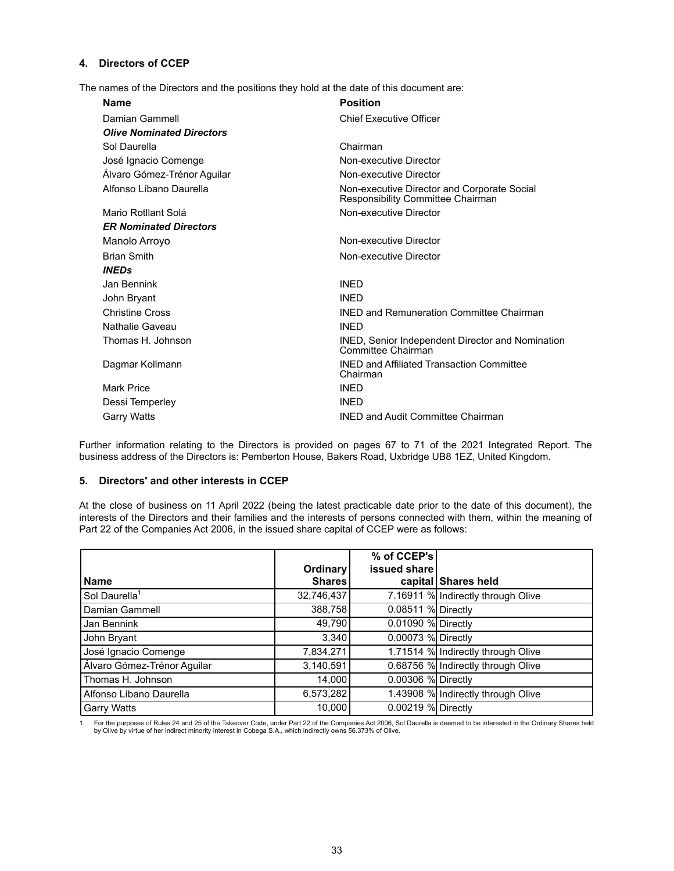# **4. Directors of CCEP**

The names of the Directors and the positions they hold at the date of this document are:

| <b>Name</b>                      | <b>Position</b>                                                                  |
|----------------------------------|----------------------------------------------------------------------------------|
| Damian Gammell                   | <b>Chief Executive Officer</b>                                                   |
| <b>Olive Nominated Directors</b> |                                                                                  |
| Sol Daurella                     | Chairman                                                                         |
| José Ignacio Comenge             | Non-executive Director                                                           |
| Alvaro Gómez-Trénor Aguilar      | Non-executive Director                                                           |
| Alfonso Líbano Daurella          | Non-executive Director and Corporate Social<br>Responsibility Committee Chairman |
| Mario Rotllant Solá              | Non-executive Director                                                           |
| <b>ER Nominated Directors</b>    |                                                                                  |
| Manolo Arroyo                    | Non-executive Director                                                           |
| <b>Brian Smith</b>               | Non-executive Director                                                           |
| <b>INEDs</b>                     |                                                                                  |
| Jan Bennink                      | <b>INED</b>                                                                      |
| John Bryant                      | <b>INFD</b>                                                                      |
| <b>Christine Cross</b>           | <b>INED and Remuneration Committee Chairman</b>                                  |
| Nathalie Gaveau                  | <b>INFD</b>                                                                      |
| Thomas H. Johnson                | INED, Senior Independent Director and Nomination<br>Committee Chairman           |
| Dagmar Kollmann                  | <b>INED and Affiliated Transaction Committee</b><br>Chairman                     |
| Mark Price                       | <b>INED</b>                                                                      |
| Dessi Temperley                  | <b>INFD</b>                                                                      |
| <b>Garry Watts</b>               | <b>INED and Audit Committee Chairman</b>                                         |

Further information relating to the Directors is provided on pages 67 to 71 of the 2021 Integrated Report. The business address of the Directors is: Pemberton House, Bakers Road, Uxbridge UB8 1EZ, United Kingdom.

#### **5. Directors' and other interests in CCEP**

At the close of business on 11 April 2022 (being the latest practicable date prior to the date of this document), the interests of the Directors and their families and the interests of persons connected with them, within the meaning of Part 22 of the Companies Act 2006, in the issued share capital of CCEP were as follows:

|                             |                     | % of CCEP's        |                                    |
|-----------------------------|---------------------|--------------------|------------------------------------|
|                             | Ordinary            | issued share       |                                    |
| <b>Name</b>                 | Shares <sup> </sup> |                    | capital Shares held                |
| Sol Daurella <sup>1</sup>   | 32,746,437          |                    | 7.16911 % Indirectly through Olive |
| Damian Gammell              | 388,758             | 0.08511 % Directly |                                    |
| Jan Bennink                 | 49,790              | 0.01090 % Directly |                                    |
| John Bryant                 | 3,340               | 0.00073 % Directly |                                    |
| José Ignacio Comenge        | 7,834,271           |                    | 1.71514 % Indirectly through Olive |
| Álvaro Gómez-Trénor Aguilar | 3,140,591           |                    | 0.68756 % Indirectly through Olive |
| Thomas H. Johnson           | 14.000              | 0.00306 % Directly |                                    |
| Alfonso Líbano Daurella     | 6,573,282           |                    | 1.43908 % Indirectly through Olive |
| <b>Garry Watts</b>          | 10.000              | 0.00219 % Directly |                                    |

1. For the purposes of Rules 24 and 25 of the Takeover Code, under Part 22 of the Companies Act 2006, Sol Daurella is deemed to be interested in the Ordinary Shares held by Olive by virtue of her indirect minority interest in Cobega S.A., which indirectly owns 56.373% of Olive.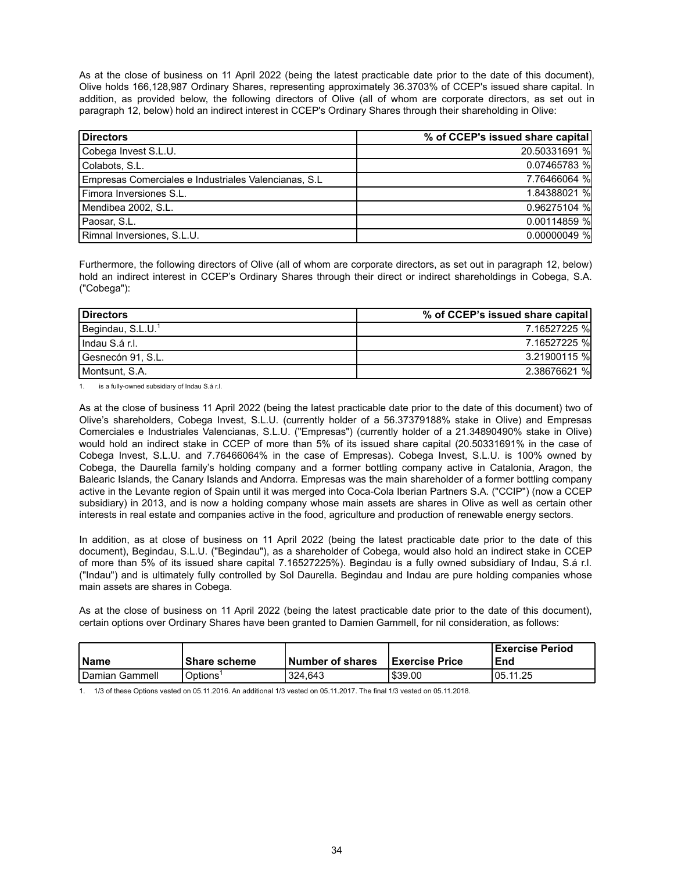As at the close of business on 11 April 2022 (being the latest practicable date prior to the date of this document), Olive holds 166,128,987 Ordinary Shares, representing approximately 36.3703% of CCEP's issued share capital. In addition, as provided below, the following directors of Olive (all of whom are corporate directors, as set out in paragraph 12, below) hold an indirect interest in CCEP's Ordinary Shares through their shareholding in Olive:

| <b>Directors</b>                                      | % of CCEP's issued share capital |
|-------------------------------------------------------|----------------------------------|
| Cobega Invest S.L.U.                                  | 20.50331691 %                    |
| Colabots, S.L.                                        | 0.07465783 %                     |
| Empresas Comerciales e Industriales Valencianas, S.L. | 7.76466064 %                     |
| Fimora Inversiones S.L.                               | 1.84388021 %                     |
| Mendibea 2002, S.L.                                   | 0.96275104 %                     |
| Paosar, S.L.                                          | 0.00114859 %                     |
| Rimnal Inversiones, S.L.U.                            | $0.00000049$ %                   |

Furthermore, the following directors of Olive (all of whom are corporate directors, as set out in paragraph 12, below) hold an indirect interest in CCEP's Ordinary Shares through their direct or indirect shareholdings in Cobega, S.A. ("Cobega"):

| Directors                     | % of CCEP's issued share capital |
|-------------------------------|----------------------------------|
| Begindau, S.L.U. <sup>1</sup> | 7.16527225 %                     |
| l Indau S.á r.l.              | 7.16527225 %                     |
| l Gesnecón 91, S.L.           | 3.21900115 %                     |
| Montsunt, S.A.                | 2.38676621 %                     |

1. is a fully-owned subsidiary of Indau S.á r.l.

As at the close of business 11 April 2022 (being the latest practicable date prior to the date of this document) two of Olive's shareholders, Cobega Invest, S.L.U. (currently holder of a 56.37379188% stake in Olive) and Empresas Comerciales e Industriales Valencianas, S.L.U. ("Empresas") (currently holder of a 21.34890490% stake in Olive) would hold an indirect stake in CCEP of more than 5% of its issued share capital (20.50331691% in the case of Cobega Invest, S.L.U. and 7.76466064% in the case of Empresas). Cobega Invest, S.L.U. is 100% owned by Cobega, the Daurella family's holding company and a former bottling company active in Catalonia, Aragon, the Balearic Islands, the Canary Islands and Andorra. Empresas was the main shareholder of a former bottling company active in the Levante region of Spain until it was merged into Coca-Cola Iberian Partners S.A. ("CCIP") (now a CCEP subsidiary) in 2013, and is now a holding company whose main assets are shares in Olive as well as certain other interests in real estate and companies active in the food, agriculture and production of renewable energy sectors.

In addition, as at close of business on 11 April 2022 (being the latest practicable date prior to the date of this document), Begindau, S.L.U. ("Begindau"), as a shareholder of Cobega, would also hold an indirect stake in CCEP of more than 5% of its issued share capital 7.16527225%). Begindau is a fully owned subsidiary of Indau, S.á r.l. ("Indau") and is ultimately fully controlled by Sol Daurella. Begindau and Indau are pure holding companies whose main assets are shares in Cobega.

As at the close of business on 11 April 2022 (being the latest practicable date prior to the date of this document), certain options over Ordinary Shares have been granted to Damien Gammell, for nil consideration, as follows:

| l Name           | l Share scheme | <b>Number of shares</b> | <b>I</b> Exercise Price | l Exercise Period<br>End |
|------------------|----------------|-------------------------|-------------------------|--------------------------|
| l Damian Gammell | Options        | 324.643                 | 539.00 ا                | 05.11.25                 |

1. 1/3 of these Options vested on 05.11.2016. An additional 1/3 vested on 05.11.2017. The final 1/3 vested on 05.11.2018.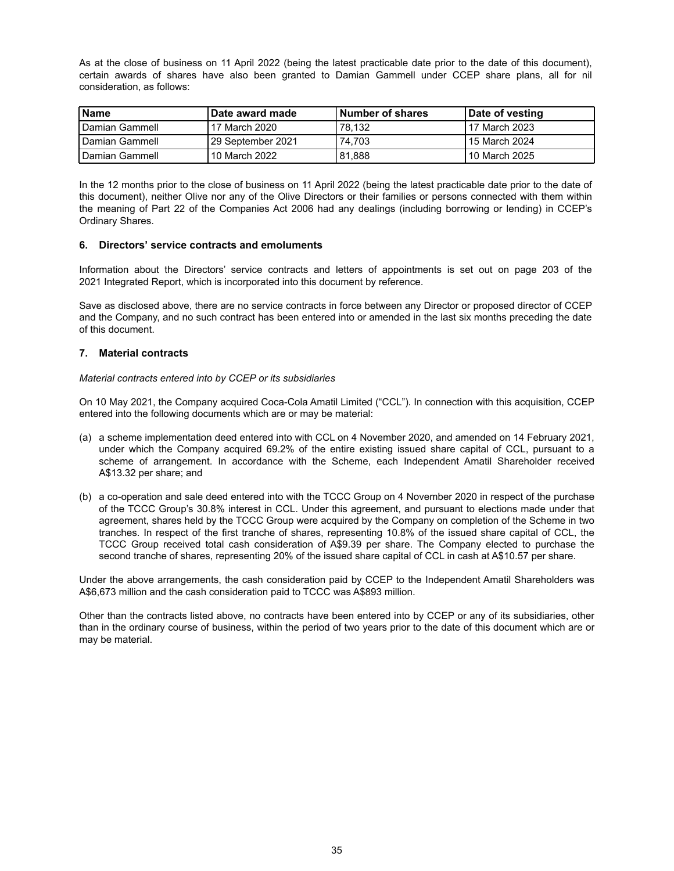As at the close of business on 11 April 2022 (being the latest practicable date prior to the date of this document), certain awards of shares have also been granted to Damian Gammell under CCEP share plans, all for nil consideration, as follows:

| l Name                  | <b>∖Date award made</b> | <b>Number of shares</b> | Date of vesting |
|-------------------------|-------------------------|-------------------------|-----------------|
| <b>I</b> Damian Gammell | 17 March 2020           | 78.132                  | 17 March 2023   |
| <b>I</b> Damian Gammell | 129 September 2021      | 74.703                  | l 15 March 2024 |
| <b>I</b> Damian Gammell | 10 March 2022           | 81,888                  | l 10 March 2025 |

In the 12 months prior to the close of business on 11 April 2022 (being the latest practicable date prior to the date of this document), neither Olive nor any of the Olive Directors or their families or persons connected with them within the meaning of Part 22 of the Companies Act 2006 had any dealings (including borrowing or lending) in CCEP's Ordinary Shares.

#### **6. Directors' service contracts and emoluments**

Information about the Directors' service contracts and letters of appointments is set out on page 203 of the 2021 Integrated Report, which is incorporated into this document by reference.

Save as disclosed above, there are no service contracts in force between any Director or proposed director of CCEP and the Company, and no such contract has been entered into or amended in the last six months preceding the date of this document.

# **7. Material contracts**

#### *Material contracts entered into by CCEP or its subsidiaries*

On 10 May 2021, the Company acquired Coca-Cola Amatil Limited ("CCL"). In connection with this acquisition, CCEP entered into the following documents which are or may be material:

- (a) a scheme implementation deed entered into with CCL on 4 November 2020, and amended on 14 February 2021, under which the Company acquired 69.2% of the entire existing issued share capital of CCL, pursuant to a scheme of arrangement. In accordance with the Scheme, each Independent Amatil Shareholder received A\$13.32 per share; and
- (b) a co-operation and sale deed entered into with the TCCC Group on 4 November 2020 in respect of the purchase of the TCCC Group's 30.8% interest in CCL. Under this agreement, and pursuant to elections made under that agreement, shares held by the TCCC Group were acquired by the Company on completion of the Scheme in two tranches. In respect of the first tranche of shares, representing 10.8% of the issued share capital of CCL, the TCCC Group received total cash consideration of A\$9.39 per share. The Company elected to purchase the second tranche of shares, representing 20% of the issued share capital of CCL in cash at A\$10.57 per share.

Under the above arrangements, the cash consideration paid by CCEP to the Independent Amatil Shareholders was A\$6,673 million and the cash consideration paid to TCCC was A\$893 million.

Other than the contracts listed above, no contracts have been entered into by CCEP or any of its subsidiaries, other than in the ordinary course of business, within the period of two years prior to the date of this document which are or may be material.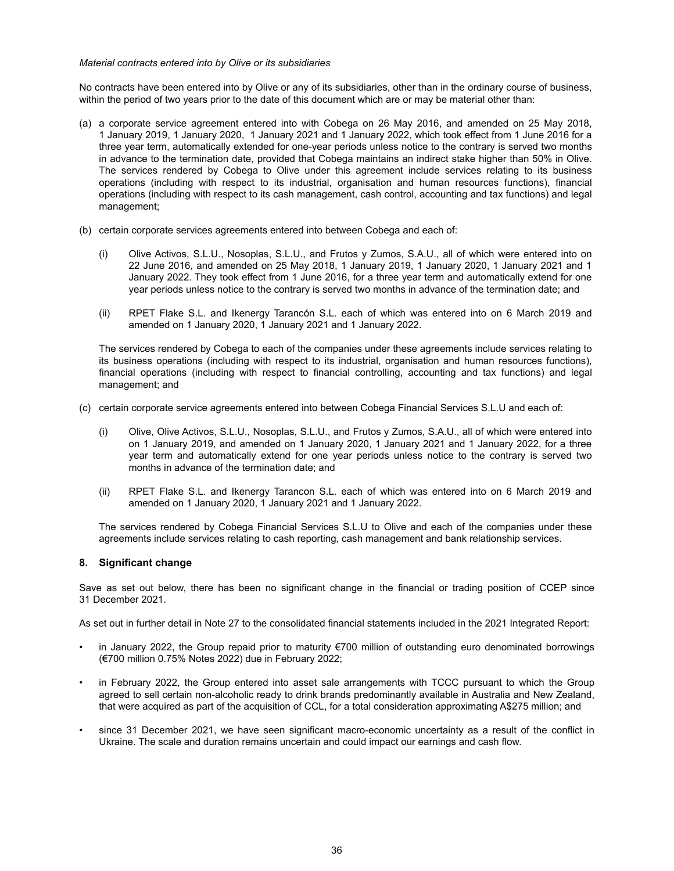#### *Material contracts entered into by Olive or its subsidiaries*

No contracts have been entered into by Olive or any of its subsidiaries, other than in the ordinary course of business, within the period of two years prior to the date of this document which are or may be material other than:

- (a) a corporate service agreement entered into with Cobega on 26 May 2016, and amended on 25 May 2018, 1 January 2019, 1 January 2020, 1 January 2021 and 1 January 2022, which took effect from 1 June 2016 for a three year term, automatically extended for one-year periods unless notice to the contrary is served two months in advance to the termination date, provided that Cobega maintains an indirect stake higher than 50% in Olive. The services rendered by Cobega to Olive under this agreement include services relating to its business operations (including with respect to its industrial, organisation and human resources functions), financial operations (including with respect to its cash management, cash control, accounting and tax functions) and legal management;
- (b) certain corporate services agreements entered into between Cobega and each of:
	- (i) Olive Activos, S.L.U., Nosoplas, S.L.U., and Frutos y Zumos, S.A.U., all of which were entered into on 22 June 2016, and amended on 25 May 2018, 1 January 2019, 1 January 2020, 1 January 2021 and 1 January 2022. They took effect from 1 June 2016, for a three year term and automatically extend for one year periods unless notice to the contrary is served two months in advance of the termination date; and
	- (ii) RPET Flake S.L. and Ikenergy Tarancón S.L. each of which was entered into on 6 March 2019 and amended on 1 January 2020, 1 January 2021 and 1 January 2022.

The services rendered by Cobega to each of the companies under these agreements include services relating to its business operations (including with respect to its industrial, organisation and human resources functions), financial operations (including with respect to financial controlling, accounting and tax functions) and legal management; and

- (c) certain corporate service agreements entered into between Cobega Financial Services S.L.U and each of:
	- (i) Olive, Olive Activos, S.L.U., Nosoplas, S.L.U., and Frutos y Zumos, S.A.U., all of which were entered into on 1 January 2019, and amended on 1 January 2020, 1 January 2021 and 1 January 2022, for a three year term and automatically extend for one year periods unless notice to the contrary is served two months in advance of the termination date; and
	- (ii) RPET Flake S.L. and Ikenergy Tarancon S.L. each of which was entered into on 6 March 2019 and amended on 1 January 2020, 1 January 2021 and 1 January 2022.

The services rendered by Cobega Financial Services S.L.U to Olive and each of the companies under these agreements include services relating to cash reporting, cash management and bank relationship services.

#### **8. Significant change**

Save as set out below, there has been no significant change in the financial or trading position of CCEP since 31 December 2021.

As set out in further detail in Note 27 to the consolidated financial statements included in the 2021 Integrated Report:

- in January 2022, the Group repaid prior to maturity €700 million of outstanding euro denominated borrowings (€700 million 0.75% Notes 2022) due in February 2022;
- in February 2022, the Group entered into asset sale arrangements with TCCC pursuant to which the Group agreed to sell certain non-alcoholic ready to drink brands predominantly available in Australia and New Zealand, that were acquired as part of the acquisition of CCL, for a total consideration approximating A\$275 million; and
- since 31 December 2021, we have seen significant macro-economic uncertainty as a result of the conflict in Ukraine. The scale and duration remains uncertain and could impact our earnings and cash flow.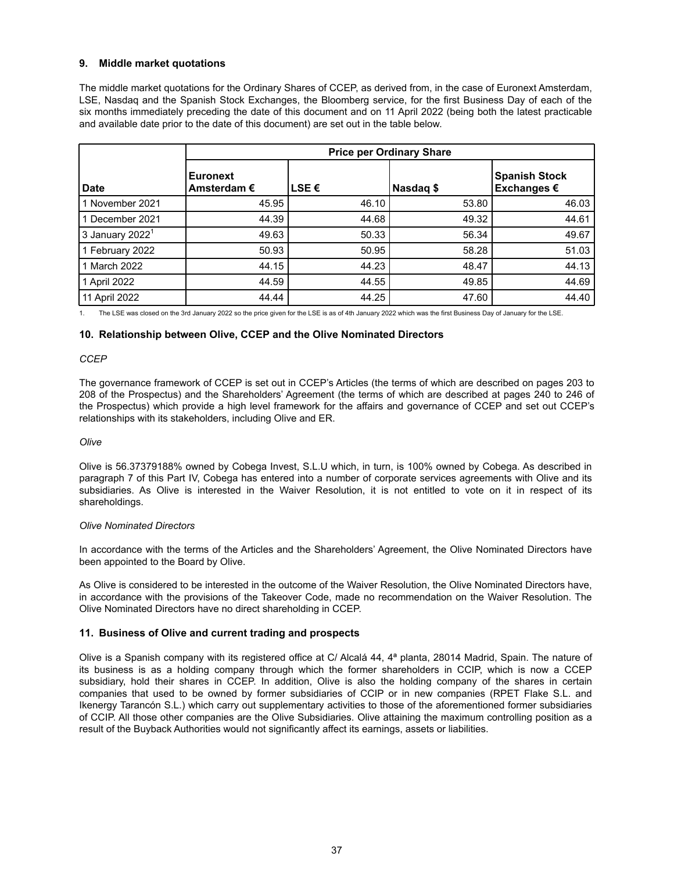# **9. Middle market quotations**

The middle market quotations for the Ordinary Shares of CCEP, as derived from, in the case of Euronext Amsterdam, LSE, Nasdaq and the Spanish Stock Exchanges, the Bloomberg service, for the first Business Day of each of the six months immediately preceding the date of this document and on 11 April 2022 (being both the latest practicable and available date prior to the date of this document) are set out in the table below.

|                             | <b>Price per Ordinary Share</b>  |             |           |                                     |
|-----------------------------|----------------------------------|-------------|-----------|-------------------------------------|
| <b>Date</b>                 | Euronext<br>Amsterdam $\epsilon$ | <b>LSE€</b> | Nasdaq \$ | <b>Spanish Stock</b><br>Exchanges € |
| 1 November 2021             | 45.95                            | 46.10       | 53.80     | 46.03                               |
| 1 December 2021             | 44.39                            | 44.68       | 49.32     | 44.61                               |
| 3 January 2022 <sup>1</sup> | 49.63                            | 50.33       | 56.34     | 49.67                               |
| 1 February 2022             | 50.93                            | 50.95       | 58.28     | 51.03                               |
| 1 March 2022                | 44.15                            | 44.23       | 48.47     | 44.13                               |
| 1 April 2022                | 44.59                            | 44.55       | 49.85     | 44.69                               |
| 11 April 2022               | 44.44                            | 44.25       | 47.60     | 44.40                               |

1. The LSE was closed on the 3rd January 2022 so the price given for the LSE is as of 4th January 2022 which was the first Business Day of January for the LSE.

#### **10. Relationship between Olive, CCEP and the Olive Nominated Directors**

#### *CCEP*

The governance framework of CCEP is set out in CCEP's Articles (the terms of which are described on pages 203 to 208 of the Prospectus) and the Shareholders' Agreement (the terms of which are described at pages 240 to 246 of the Prospectus) which provide a high level framework for the affairs and governance of CCEP and set out CCEP's relationships with its stakeholders, including Olive and ER.

#### *Olive*

Olive is 56.37379188% owned by Cobega Invest, S.L.U which, in turn, is 100% owned by Cobega. As described in paragraph 7 of this Part IV, Cobega has entered into a number of corporate services agreements with Olive and its subsidiaries. As Olive is interested in the Waiver Resolution, it is not entitled to vote on it in respect of its shareholdings.

#### *Olive Nominated Directors*

In accordance with the terms of the Articles and the Shareholders' Agreement, the Olive Nominated Directors have been appointed to the Board by Olive.

As Olive is considered to be interested in the outcome of the Waiver Resolution, the Olive Nominated Directors have, in accordance with the provisions of the Takeover Code, made no recommendation on the Waiver Resolution. The Olive Nominated Directors have no direct shareholding in CCEP.

#### **11. Business of Olive and current trading and prospects**

Olive is a Spanish company with its registered office at C/ Alcalá 44, 4ª planta, 28014 Madrid, Spain. The nature of its business is as a holding company through which the former shareholders in CCIP, which is now a CCEP subsidiary, hold their shares in CCEP. In addition, Olive is also the holding company of the shares in certain companies that used to be owned by former subsidiaries of CCIP or in new companies (RPET Flake S.L. and Ikenergy Tarancón S.L.) which carry out supplementary activities to those of the aforementioned former subsidiaries of CCIP. All those other companies are the Olive Subsidiaries. Olive attaining the maximum controlling position as a result of the Buyback Authorities would not significantly affect its earnings, assets or liabilities.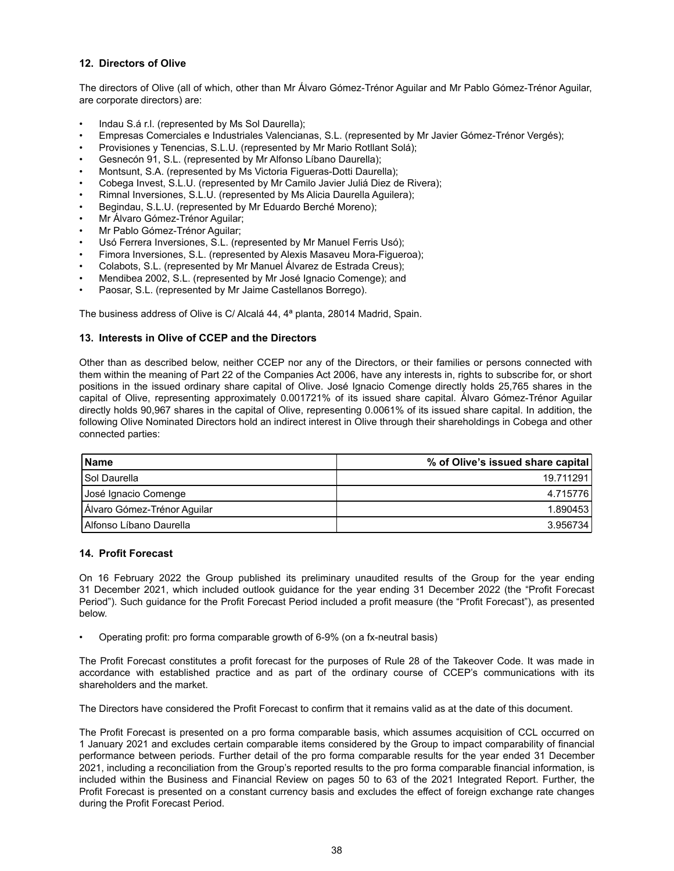# **12. Directors of Olive**

The directors of Olive (all of which, other than Mr Álvaro Gómez-Trénor Aguilar and Mr Pablo Gómez-Trénor Aguilar, are corporate directors) are:

- Indau S.á r.l. (represented by Ms Sol Daurella);
- Empresas Comerciales e Industriales Valencianas, S.L. (represented by Mr Javier Gómez-Trénor Vergés);
- Provisiones y Tenencias, S.L.U. (represented by Mr Mario Rotllant Solá);
- Gesnecón 91, S.L. (represented by Mr Alfonso Líbano Daurella);
- Montsunt, S.A. (represented by Ms Victoria Figueras-Dotti Daurella);
- Cobega Invest, S.L.U. (represented by Mr Camilo Javier Juliá Diez de Rivera);
- Rimnal Inversiones, S.L.U. (represented by Ms Alicia Daurella Aguilera);
- Begindau, S.L.U. (represented by Mr Eduardo Berché Moreno);
- Mr Álvaro Gómez-Trénor Aguilar;
- Mr Pablo Gómez-Trénor Aguilar;
- Usó Ferrera Inversiones, S.L. (represented by Mr Manuel Ferris Usó);
- Fimora Inversiones, S.L. (represented by Alexis Masaveu Mora-Figueroa);
- Colabots, S.L. (represented by Mr Manuel Álvarez de Estrada Creus);
- Mendibea 2002, S.L. (represented by Mr José Ignacio Comenge); and
- Paosar, S.L. (represented by Mr Jaime Castellanos Borrego).

The business address of Olive is C/ Alcalá 44, 4ª planta, 28014 Madrid, Spain.

# **13. Interests in Olive of CCEP and the Directors**

Other than as described below, neither CCEP nor any of the Directors, or their families or persons connected with them within the meaning of Part 22 of the Companies Act 2006, have any interests in, rights to subscribe for, or short positions in the issued ordinary share capital of Olive. José Ignacio Comenge directly holds 25,765 shares in the capital of Olive, representing approximately 0.001721% of its issued share capital. Álvaro Gómez-Trénor Aguilar directly holds 90,967 shares in the capital of Olive, representing 0.0061% of its issued share capital. In addition, the following Olive Nominated Directors hold an indirect interest in Olive through their shareholdings in Cobega and other connected parties:

| l Name                      | % of Olive's issued share capital |
|-----------------------------|-----------------------------------|
| <b>Sol Daurella</b>         | 19.711291                         |
| José Ignacio Comenge        | 4.715776                          |
| Álvaro Gómez-Trénor Aguilar | 1.890453                          |
| Alfonso Líbano Daurella     | 3.956734                          |

#### **14. Profit Forecast**

On 16 February 2022 the Group published its preliminary unaudited results of the Group for the year ending 31 December 2021, which included outlook guidance for the year ending 31 December 2022 (the "Profit Forecast Period"). Such guidance for the Profit Forecast Period included a profit measure (the "Profit Forecast"), as presented below.

• Operating profit: pro forma comparable growth of 6-9% (on a fx-neutral basis)

The Profit Forecast constitutes a profit forecast for the purposes of Rule 28 of the Takeover Code. It was made in accordance with established practice and as part of the ordinary course of CCEP's communications with its shareholders and the market.

The Directors have considered the Profit Forecast to confirm that it remains valid as at the date of this document.

The Profit Forecast is presented on a pro forma comparable basis, which assumes acquisition of CCL occurred on 1 January 2021 and excludes certain comparable items considered by the Group to impact comparability of financial performance between periods. Further detail of the pro forma comparable results for the year ended 31 December 2021, including a reconciliation from the Group's reported results to the pro forma comparable financial information, is included within the Business and Financial Review on pages 50 to 63 of the 2021 Integrated Report. Further, the Profit Forecast is presented on a constant currency basis and excludes the effect of foreign exchange rate changes during the Profit Forecast Period.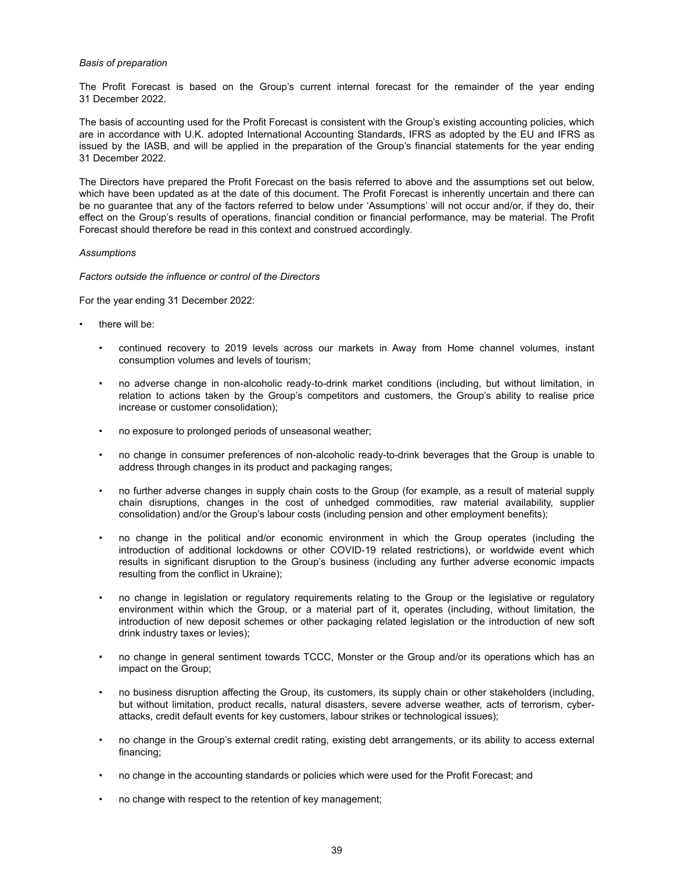#### *Basis of preparation*

The Profit Forecast is based on the Group's current internal forecast for the remainder of the year ending 31 December 2022.

The basis of accounting used for the Profit Forecast is consistent with the Group's existing accounting policies, which are in accordance with U.K. adopted International Accounting Standards, IFRS as adopted by the EU and IFRS as issued by the IASB, and will be applied in the preparation of the Group's financial statements for the year ending 31 December 2022.

The Directors have prepared the Profit Forecast on the basis referred to above and the assumptions set out below, which have been updated as at the date of this document. The Profit Forecast is inherently uncertain and there can be no guarantee that any of the factors referred to below under 'Assumptions' will not occur and/or, if they do, their effect on the Group's results of operations, financial condition or financial performance, may be material. The Profit Forecast should therefore be read in this context and construed accordingly.

#### *Assumptions*

*Factors outside the influence or control of the Directors*

For the year ending 31 December 2022:

- there will be:
	- continued recovery to 2019 levels across our markets in Away from Home channel volumes, instant consumption volumes and levels of tourism;
	- no adverse change in non-alcoholic ready-to-drink market conditions (including, but without limitation, in relation to actions taken by the Group's competitors and customers, the Group's ability to realise price increase or customer consolidation);
	- no exposure to prolonged periods of unseasonal weather;
	- no change in consumer preferences of non-alcoholic ready-to-drink beverages that the Group is unable to address through changes in its product and packaging ranges;
	- no further adverse changes in supply chain costs to the Group (for example, as a result of material supply chain disruptions, changes in the cost of unhedged commodities, raw material availability, supplier consolidation) and/or the Group's labour costs (including pension and other employment benefits);
	- no change in the political and/or economic environment in which the Group operates (including the introduction of additional lockdowns or other COVID-19 related restrictions), or worldwide event which results in significant disruption to the Group's business (including any further adverse economic impacts resulting from the conflict in Ukraine);
	- no change in legislation or regulatory requirements relating to the Group or the legislative or regulatory environment within which the Group, or a material part of it, operates (including, without limitation, the introduction of new deposit schemes or other packaging related legislation or the introduction of new soft drink industry taxes or levies);
	- no change in general sentiment towards TCCC, Monster or the Group and/or its operations which has an impact on the Group;
	- no business disruption affecting the Group, its customers, its supply chain or other stakeholders (including, but without limitation, product recalls, natural disasters, severe adverse weather, acts of terrorism, cyberattacks, credit default events for key customers, labour strikes or technological issues);
	- no change in the Group's external credit rating, existing debt arrangements, or its ability to access external financing;
	- no change in the accounting standards or policies which were used for the Profit Forecast; and
	- no change with respect to the retention of key management;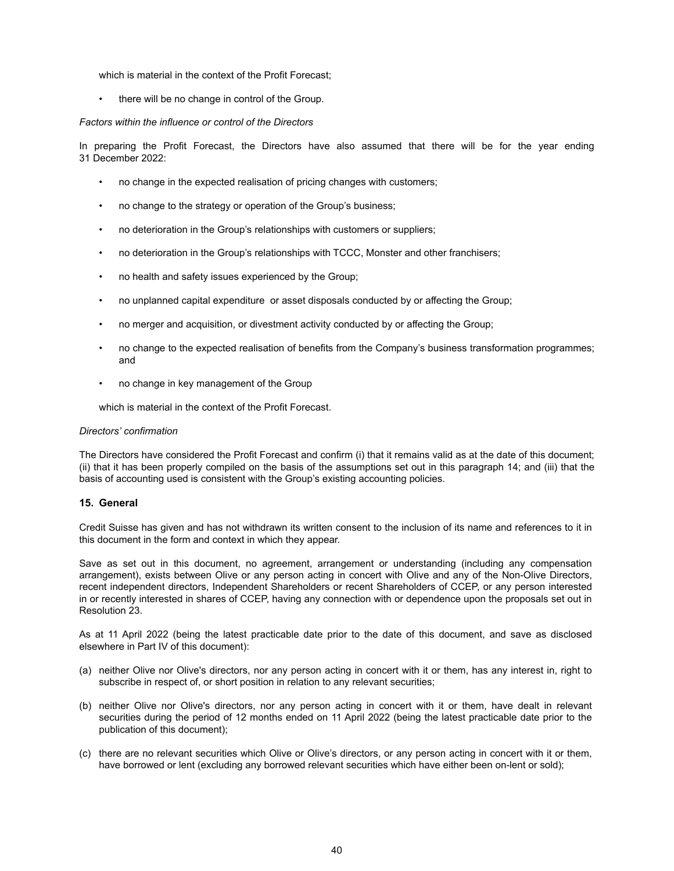which is material in the context of the Profit Forecast;

• there will be no change in control of the Group.

#### *Factors within the influence or control of the Directors*

In preparing the Profit Forecast, the Directors have also assumed that there will be for the year ending 31 December 2022:

- no change in the expected realisation of pricing changes with customers;
- no change to the strategy or operation of the Group's business;
- no deterioration in the Group's relationships with customers or suppliers;
- no deterioration in the Group's relationships with TCCC, Monster and other franchisers;
- no health and safety issues experienced by the Group;
- no unplanned capital expenditure or asset disposals conducted by or affecting the Group;
- no merger and acquisition, or divestment activity conducted by or affecting the Group;
- no change to the expected realisation of benefits from the Company's business transformation programmes; and
- no change in key management of the Group

which is material in the context of the Profit Forecast.

#### *Directors' confirmation*

The Directors have considered the Profit Forecast and confirm (i) that it remains valid as at the date of this document; (ii) that it has been properly compiled on the basis of the assumptions set out in this paragraph 14; and (iii) that the basis of accounting used is consistent with the Group's existing accounting policies.

#### **15. General**

Credit Suisse has given and has not withdrawn its written consent to the inclusion of its name and references to it in this document in the form and context in which they appear.

Save as set out in this document, no agreement, arrangement or understanding (including any compensation arrangement), exists between Olive or any person acting in concert with Olive and any of the Non-Olive Directors, recent independent directors, Independent Shareholders or recent Shareholders of CCEP, or any person interested in or recently interested in shares of CCEP, having any connection with or dependence upon the proposals set out in Resolution 23.

As at 11 April 2022 (being the latest practicable date prior to the date of this document, and save as disclosed elsewhere in Part IV of this document):

- (a) neither Olive nor Olive's directors, nor any person acting in concert with it or them, has any interest in, right to subscribe in respect of, or short position in relation to any relevant securities;
- (b) neither Olive nor Olive's directors, nor any person acting in concert with it or them, have dealt in relevant securities during the period of 12 months ended on 11 April 2022 (being the latest practicable date prior to the publication of this document);
- (c) there are no relevant securities which Olive or Olive's directors, or any person acting in concert with it or them, have borrowed or lent (excluding any borrowed relevant securities which have either been on-lent or sold);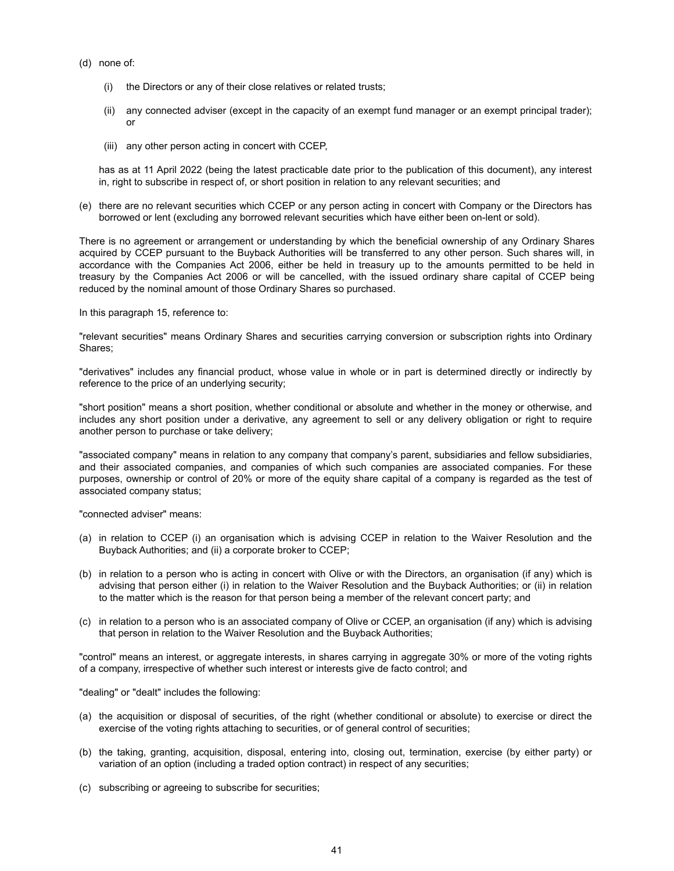- (d) none of:
	- (i) the Directors or any of their close relatives or related trusts;
	- (ii) any connected adviser (except in the capacity of an exempt fund manager or an exempt principal trader); or
	- (iii) any other person acting in concert with CCEP,

has as at 11 April 2022 (being the latest practicable date prior to the publication of this document), any interest in, right to subscribe in respect of, or short position in relation to any relevant securities; and

(e) there are no relevant securities which CCEP or any person acting in concert with Company or the Directors has borrowed or lent (excluding any borrowed relevant securities which have either been on-lent or sold).

There is no agreement or arrangement or understanding by which the beneficial ownership of any Ordinary Shares acquired by CCEP pursuant to the Buyback Authorities will be transferred to any other person. Such shares will, in accordance with the Companies Act 2006, either be held in treasury up to the amounts permitted to be held in treasury by the Companies Act 2006 or will be cancelled, with the issued ordinary share capital of CCEP being reduced by the nominal amount of those Ordinary Shares so purchased.

In this paragraph 15, reference to:

"relevant securities" means Ordinary Shares and securities carrying conversion or subscription rights into Ordinary Shares;

"derivatives" includes any financial product, whose value in whole or in part is determined directly or indirectly by reference to the price of an underlying security;

"short position" means a short position, whether conditional or absolute and whether in the money or otherwise, and includes any short position under a derivative, any agreement to sell or any delivery obligation or right to require another person to purchase or take delivery;

"associated company" means in relation to any company that company's parent, subsidiaries and fellow subsidiaries, and their associated companies, and companies of which such companies are associated companies. For these purposes, ownership or control of 20% or more of the equity share capital of a company is regarded as the test of associated company status;

"connected adviser" means:

- (a) in relation to CCEP (i) an organisation which is advising CCEP in relation to the Waiver Resolution and the Buyback Authorities; and (ii) a corporate broker to CCEP;
- (b) in relation to a person who is acting in concert with Olive or with the Directors, an organisation (if any) which is advising that person either (i) in relation to the Waiver Resolution and the Buyback Authorities; or (ii) in relation to the matter which is the reason for that person being a member of the relevant concert party; and
- (c) in relation to a person who is an associated company of Olive or CCEP, an organisation (if any) which is advising that person in relation to the Waiver Resolution and the Buyback Authorities;

"control" means an interest, or aggregate interests, in shares carrying in aggregate 30% or more of the voting rights of a company, irrespective of whether such interest or interests give de facto control; and

"dealing" or "dealt" includes the following:

- (a) the acquisition or disposal of securities, of the right (whether conditional or absolute) to exercise or direct the exercise of the voting rights attaching to securities, or of general control of securities;
- (b) the taking, granting, acquisition, disposal, entering into, closing out, termination, exercise (by either party) or variation of an option (including a traded option contract) in respect of any securities;
- (c) subscribing or agreeing to subscribe for securities;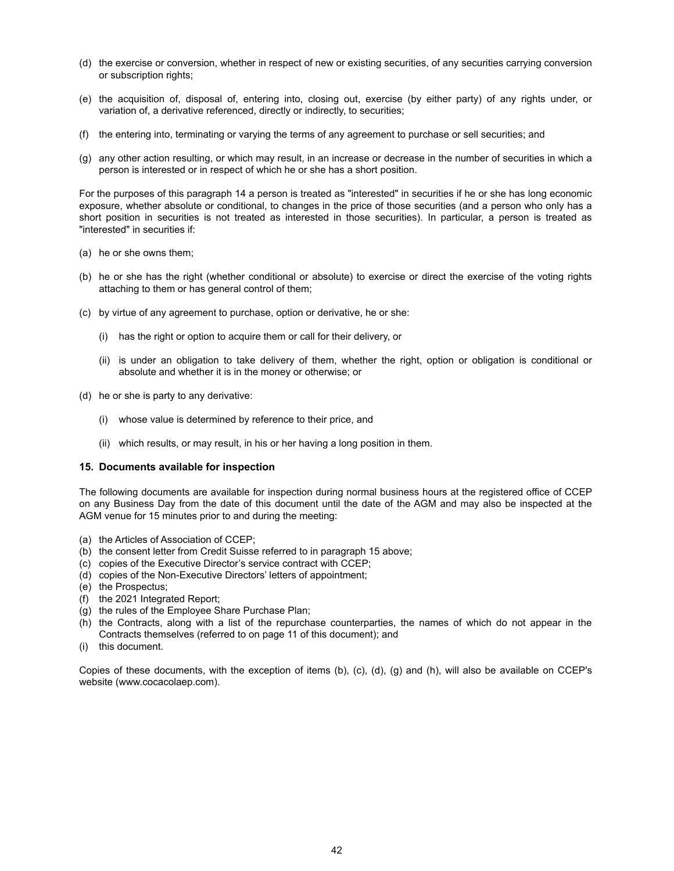- (d) the exercise or conversion, whether in respect of new or existing securities, of any securities carrying conversion or subscription rights;
- (e) the acquisition of, disposal of, entering into, closing out, exercise (by either party) of any rights under, or variation of, a derivative referenced, directly or indirectly, to securities;
- (f) the entering into, terminating or varying the terms of any agreement to purchase or sell securities; and
- (g) any other action resulting, or which may result, in an increase or decrease in the number of securities in which a person is interested or in respect of which he or she has a short position.

For the purposes of this paragraph 14 a person is treated as "interested" in securities if he or she has long economic exposure, whether absolute or conditional, to changes in the price of those securities (and a person who only has a short position in securities is not treated as interested in those securities). In particular, a person is treated as "interested" in securities if:

- (a) he or she owns them;
- (b) he or she has the right (whether conditional or absolute) to exercise or direct the exercise of the voting rights attaching to them or has general control of them;
- (c) by virtue of any agreement to purchase, option or derivative, he or she:
	- (i) has the right or option to acquire them or call for their delivery, or
	- (ii) is under an obligation to take delivery of them, whether the right, option or obligation is conditional or absolute and whether it is in the money or otherwise; or
- (d) he or she is party to any derivative:
	- (i) whose value is determined by reference to their price, and
	- (ii) which results, or may result, in his or her having a long position in them.

#### **15. Documents available for inspection**

The following documents are available for inspection during normal business hours at the registered office of CCEP on any Business Day from the date of this document until the date of the AGM and may also be inspected at the AGM venue for 15 minutes prior to and during the meeting:

- (a) the Articles of Association of CCEP;
- (b) the consent letter from Credit Suisse referred to in paragraph 15 above;
- (c) copies of the Executive Director's service contract with CCEP;
- (d) copies of the Non-Executive Directors' letters of appointment;
- (e) the Prospectus;
- (f) the 2021 Integrated Report;
- (g) the rules of the Employee Share Purchase Plan;
- (h) the Contracts, along with a list of the repurchase counterparties, the names of which do not appear in the Contracts themselves (referred to on page 11 of this document); and
- (i) this document.

Copies of these documents, with the exception of items (b), (c), (d), (g) and (h), will also be available on CCEP's website (www.cocacolaep.com).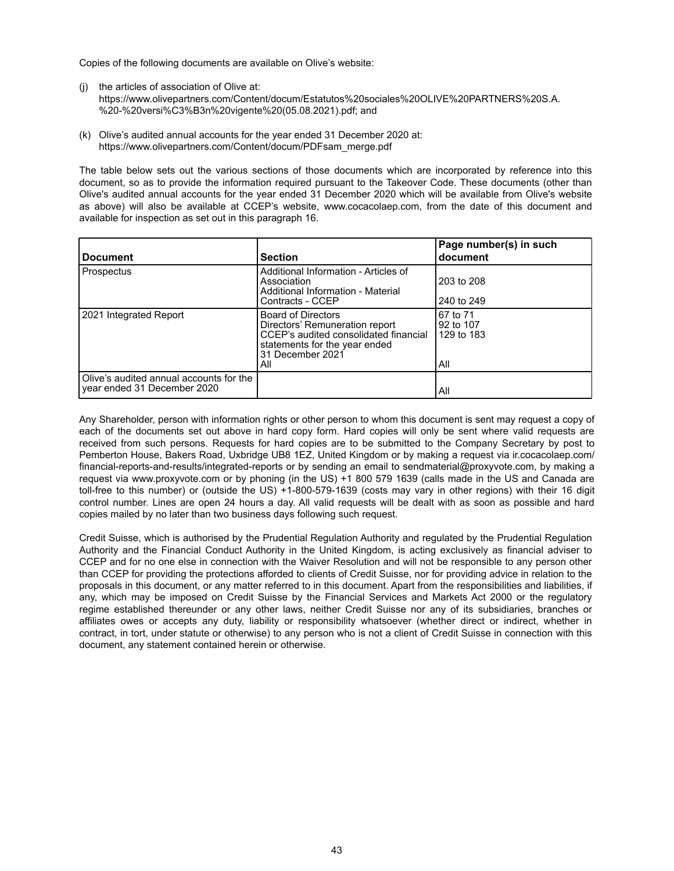Copies of the following documents are available on Olive's website:

- (j) the articles of association of Olive at: https://www.olivepartners.com/Content/docum/Estatutos%20sociales%20OLIVE%20PARTNERS%20S.A. %20-%20versi%C3%B3n%20vigente%20(05.08.2021).pdf; and
- (k) Olive's audited annual accounts for the year ended 31 December 2020 at: https://www.olivepartners.com/Content/docum/PDFsam\_merge.pdf

The table below sets out the various sections of those documents which are incorporated by reference into this document, so as to provide the information required pursuant to the Takeover Code. These documents (other than Olive's audited annual accounts for the year ended 31 December 2020 which will be available from Olive's website as above) will also be available at CCEP's website, www.cocacolaep.com, from the date of this document and available for inspection as set out in this paragraph 16.

| <b>Document</b>                                                        | <b>Section</b>                                                                                                                                                   | Page number(s) in such<br>document         |
|------------------------------------------------------------------------|------------------------------------------------------------------------------------------------------------------------------------------------------------------|--------------------------------------------|
| Prospectus                                                             | Additional Information - Articles of<br>Association<br>Additional Information - Material<br>Contracts - CCEP                                                     | 203 to 208<br>240 to 249                   |
| 2021 Integrated Report                                                 | <b>Board of Directors</b><br>Directors' Remuneration report<br>CCEP's audited consolidated financial<br>statements for the year ended<br>31 December 2021<br>All | 67 to 71<br>92 to 107<br>129 to 183<br>All |
| Olive's audited annual accounts for the<br>year ended 31 December 2020 |                                                                                                                                                                  | All                                        |

Any Shareholder, person with information rights or other person to whom this document is sent may request a copy of each of the documents set out above in hard copy form. Hard copies will only be sent where valid requests are received from such persons. Requests for hard copies are to be submitted to the Company Secretary by post to Pemberton House, Bakers Road, Uxbridge UB8 1EZ, United Kingdom or by making a request via ir.cocacolaep.com/ financial-reports-and-results/integrated-reports or by sending an email to sendmaterial@proxyvote.com, by making a request via www.proxyvote.com or by phoning (in the US) +1 800 579 1639 (calls made in the US and Canada are toll-free to this number) or (outside the US) +1-800-579-1639 (costs may vary in other regions) with their 16 digit control number. Lines are open 24 hours a day. All valid requests will be dealt with as soon as possible and hard copies mailed by no later than two business days following such request.

Credit Suisse, which is authorised by the Prudential Regulation Authority and regulated by the Prudential Regulation Authority and the Financial Conduct Authority in the United Kingdom, is acting exclusively as financial adviser to CCEP and for no one else in connection with the Waiver Resolution and will not be responsible to any person other than CCEP for providing the protections afforded to clients of Credit Suisse, nor for providing advice in relation to the proposals in this document, or any matter referred to in this document. Apart from the responsibilities and liabilities, if any, which may be imposed on Credit Suisse by the Financial Services and Markets Act 2000 or the regulatory regime established thereunder or any other laws, neither Credit Suisse nor any of its subsidiaries, branches or affiliates owes or accepts any duty, liability or responsibility whatsoever (whether direct or indirect, whether in contract, in tort, under statute or otherwise) to any person who is not a client of Credit Suisse in connection with this document, any statement contained herein or otherwise.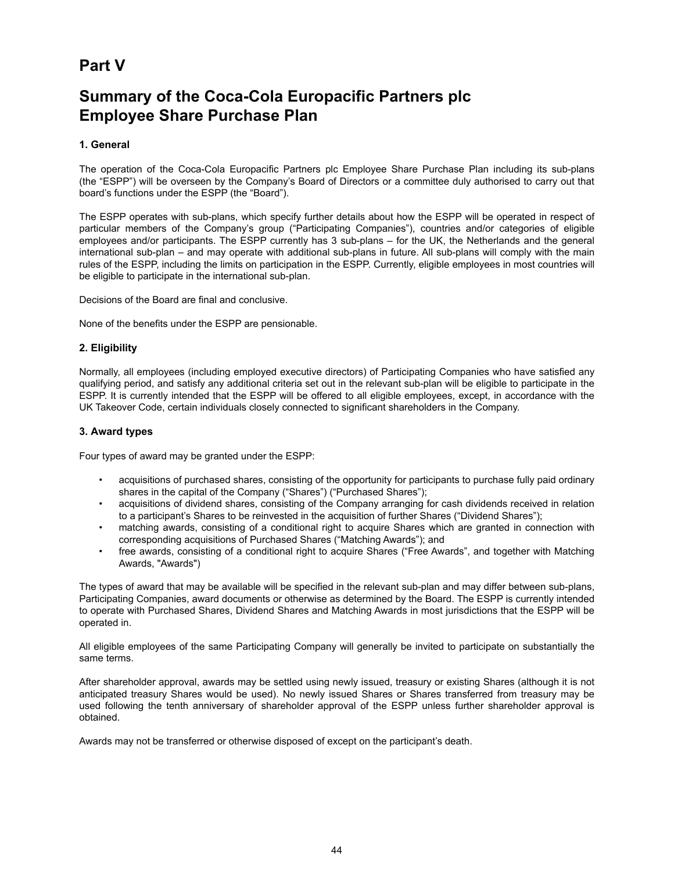# **Part V**

# **Summary of the Coca-Cola Europacific Partners plc Employee Share Purchase Plan**

# **1. General**

The operation of the Coca-Cola Europacific Partners plc Employee Share Purchase Plan including its sub-plans (the "ESPP") will be overseen by the Company's Board of Directors or a committee duly authorised to carry out that board's functions under the ESPP (the "Board").

The ESPP operates with sub-plans, which specify further details about how the ESPP will be operated in respect of particular members of the Company's group ("Participating Companies"), countries and/or categories of eligible employees and/or participants. The ESPP currently has 3 sub-plans – for the UK, the Netherlands and the general international sub-plan – and may operate with additional sub-plans in future. All sub-plans will comply with the main rules of the ESPP, including the limits on participation in the ESPP. Currently, eligible employees in most countries will be eligible to participate in the international sub-plan.

Decisions of the Board are final and conclusive.

None of the benefits under the ESPP are pensionable.

# **2. Eligibility**

Normally, all employees (including employed executive directors) of Participating Companies who have satisfied any qualifying period, and satisfy any additional criteria set out in the relevant sub-plan will be eligible to participate in the ESPP. It is currently intended that the ESPP will be offered to all eligible employees, except, in accordance with the UK Takeover Code, certain individuals closely connected to significant shareholders in the Company.

# **3. Award types**

Four types of award may be granted under the ESPP:

- acquisitions of purchased shares, consisting of the opportunity for participants to purchase fully paid ordinary shares in the capital of the Company ("Shares") ("Purchased Shares");
- acquisitions of dividend shares, consisting of the Company arranging for cash dividends received in relation to a participant's Shares to be reinvested in the acquisition of further Shares ("Dividend Shares");
- matching awards, consisting of a conditional right to acquire Shares which are granted in connection with corresponding acquisitions of Purchased Shares ("Matching Awards"); and
- free awards, consisting of a conditional right to acquire Shares ("Free Awards", and together with Matching Awards, "Awards")

The types of award that may be available will be specified in the relevant sub-plan and may differ between sub-plans, Participating Companies, award documents or otherwise as determined by the Board. The ESPP is currently intended to operate with Purchased Shares, Dividend Shares and Matching Awards in most jurisdictions that the ESPP will be operated in.

All eligible employees of the same Participating Company will generally be invited to participate on substantially the same terms.

After shareholder approval, awards may be settled using newly issued, treasury or existing Shares (although it is not anticipated treasury Shares would be used). No newly issued Shares or Shares transferred from treasury may be used following the tenth anniversary of shareholder approval of the ESPP unless further shareholder approval is obtained.

Awards may not be transferred or otherwise disposed of except on the participant's death.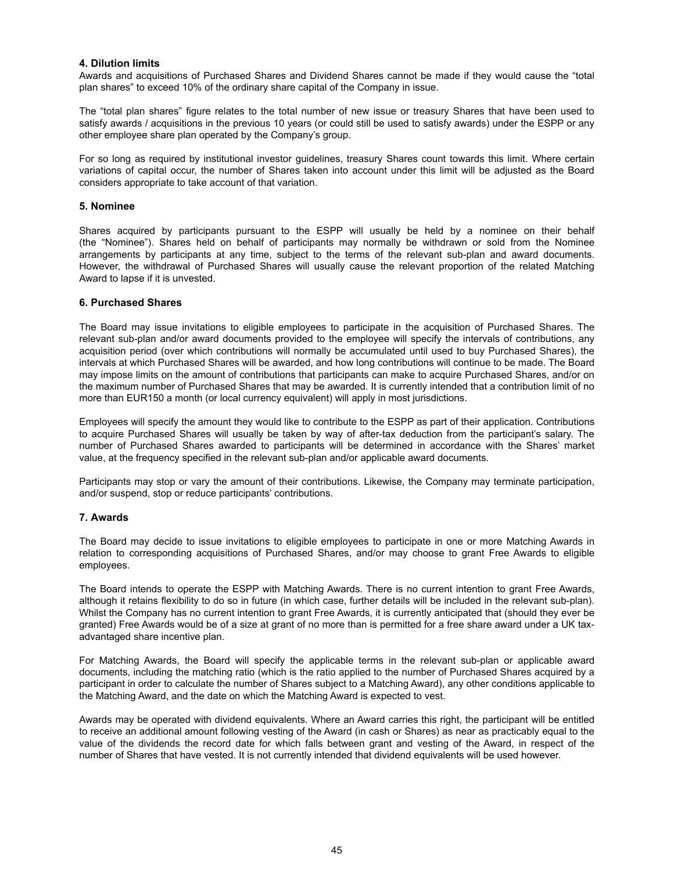### **4. Dilution limits**

Awards and acquisitions of Purchased Shares and Dividend Shares cannot be made if they would cause the "total plan shares" to exceed 10% of the ordinary share capital of the Company in issue.

The "total plan shares" figure relates to the total number of new issue or treasury Shares that have been used to satisfy awards / acquisitions in the previous 10 years (or could still be used to satisfy awards) under the ESPP or any other employee share plan operated by the Company's group.

For so long as required by institutional investor guidelines, treasury Shares count towards this limit. Where certain variations of capital occur, the number of Shares taken into account under this limit will be adjusted as the Board considers appropriate to take account of that variation.

#### **5. Nominee**

Shares acquired by participants pursuant to the ESPP will usually be held by a nominee on their behalf (the "Nominee"). Shares held on behalf of participants may normally be withdrawn or sold from the Nominee arrangements by participants at any time, subject to the terms of the relevant sub-plan and award documents. However, the withdrawal of Purchased Shares will usually cause the relevant proportion of the related Matching Award to lapse if it is unvested.

### **6. Purchased Shares**

The Board may issue invitations to eligible employees to participate in the acquisition of Purchased Shares. The relevant sub-plan and/or award documents provided to the employee will specify the intervals of contributions, any acquisition period (over which contributions will normally be accumulated until used to buy Purchased Shares), the intervals at which Purchased Shares will be awarded, and how long contributions will continue to be made. The Board may impose limits on the amount of contributions that participants can make to acquire Purchased Shares, and/or on the maximum number of Purchased Shares that may be awarded. It is currently intended that a contribution limit of no more than EUR150 a month (or local currency equivalent) will apply in most jurisdictions.

Employees will specify the amount they would like to contribute to the ESPP as part of their application. Contributions to acquire Purchased Shares will usually be taken by way of after-tax deduction from the participant's salary. The number of Purchased Shares awarded to participants will be determined in accordance with the Shares' market value, at the frequency specified in the relevant sub-plan and/or applicable award documents.

Participants may stop or vary the amount of their contributions. Likewise, the Company may terminate participation, and/or suspend, stop or reduce participants' contributions.

# **7. Awards**

The Board may decide to issue invitations to eligible employees to participate in one or more Matching Awards in relation to corresponding acquisitions of Purchased Shares, and/or may choose to grant Free Awards to eligible employees.

The Board intends to operate the ESPP with Matching Awards. There is no current intention to grant Free Awards, although it retains flexibility to do so in future (in which case, further details will be included in the relevant sub-plan). Whilst the Company has no current intention to grant Free Awards, it is currently anticipated that (should they ever be granted) Free Awards would be of a size at grant of no more than is permitted for a free share award under a UK taxadvantaged share incentive plan.

For Matching Awards, the Board will specify the applicable terms in the relevant sub-plan or applicable award documents, including the matching ratio (which is the ratio applied to the number of Purchased Shares acquired by a participant in order to calculate the number of Shares subject to a Matching Award), any other conditions applicable to the Matching Award, and the date on which the Matching Award is expected to vest.

Awards may be operated with dividend equivalents. Where an Award carries this right, the participant will be entitled to receive an additional amount following vesting of the Award (in cash or Shares) as near as practicably equal to the value of the dividends the record date for which falls between grant and vesting of the Award, in respect of the number of Shares that have vested. It is not currently intended that dividend equivalents will be used however.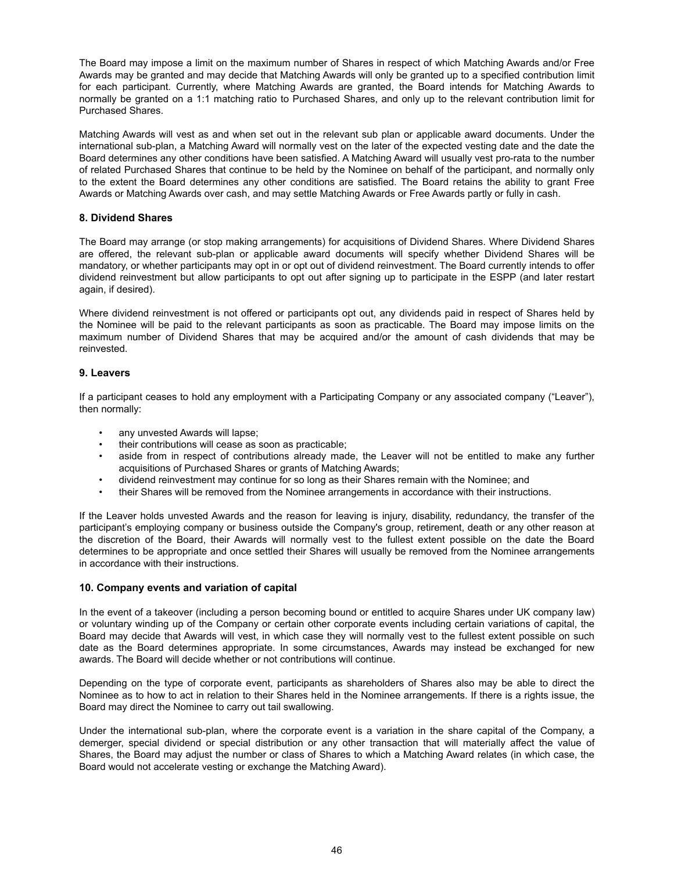The Board may impose a limit on the maximum number of Shares in respect of which Matching Awards and/or Free Awards may be granted and may decide that Matching Awards will only be granted up to a specified contribution limit for each participant. Currently, where Matching Awards are granted, the Board intends for Matching Awards to normally be granted on a 1:1 matching ratio to Purchased Shares, and only up to the relevant contribution limit for Purchased Shares.

Matching Awards will vest as and when set out in the relevant sub plan or applicable award documents. Under the international sub-plan, a Matching Award will normally vest on the later of the expected vesting date and the date the Board determines any other conditions have been satisfied. A Matching Award will usually vest pro-rata to the number of related Purchased Shares that continue to be held by the Nominee on behalf of the participant, and normally only to the extent the Board determines any other conditions are satisfied. The Board retains the ability to grant Free Awards or Matching Awards over cash, and may settle Matching Awards or Free Awards partly or fully in cash.

# **8. Dividend Shares**

The Board may arrange (or stop making arrangements) for acquisitions of Dividend Shares. Where Dividend Shares are offered, the relevant sub-plan or applicable award documents will specify whether Dividend Shares will be mandatory, or whether participants may opt in or opt out of dividend reinvestment. The Board currently intends to offer dividend reinvestment but allow participants to opt out after signing up to participate in the ESPP (and later restart again, if desired).

Where dividend reinvestment is not offered or participants opt out, any dividends paid in respect of Shares held by the Nominee will be paid to the relevant participants as soon as practicable. The Board may impose limits on the maximum number of Dividend Shares that may be acquired and/or the amount of cash dividends that may be reinvested.

# **9. Leavers**

If a participant ceases to hold any employment with a Participating Company or any associated company ("Leaver"), then normally:

- any unvested Awards will lapse;
- their contributions will cease as soon as practicable;
- aside from in respect of contributions already made, the Leaver will not be entitled to make any further acquisitions of Purchased Shares or grants of Matching Awards;
- dividend reinvestment may continue for so long as their Shares remain with the Nominee; and
- their Shares will be removed from the Nominee arrangements in accordance with their instructions.

If the Leaver holds unvested Awards and the reason for leaving is injury, disability, redundancy, the transfer of the participant's employing company or business outside the Company's group, retirement, death or any other reason at the discretion of the Board, their Awards will normally vest to the fullest extent possible on the date the Board determines to be appropriate and once settled their Shares will usually be removed from the Nominee arrangements in accordance with their instructions.

#### **10. Company events and variation of capital**

In the event of a takeover (including a person becoming bound or entitled to acquire Shares under UK company law) or voluntary winding up of the Company or certain other corporate events including certain variations of capital, the Board may decide that Awards will vest, in which case they will normally vest to the fullest extent possible on such date as the Board determines appropriate. In some circumstances, Awards may instead be exchanged for new awards. The Board will decide whether or not contributions will continue.

Depending on the type of corporate event, participants as shareholders of Shares also may be able to direct the Nominee as to how to act in relation to their Shares held in the Nominee arrangements. If there is a rights issue, the Board may direct the Nominee to carry out tail swallowing.

Under the international sub-plan, where the corporate event is a variation in the share capital of the Company, a demerger, special dividend or special distribution or any other transaction that will materially affect the value of Shares, the Board may adjust the number or class of Shares to which a Matching Award relates (in which case, the Board would not accelerate vesting or exchange the Matching Award).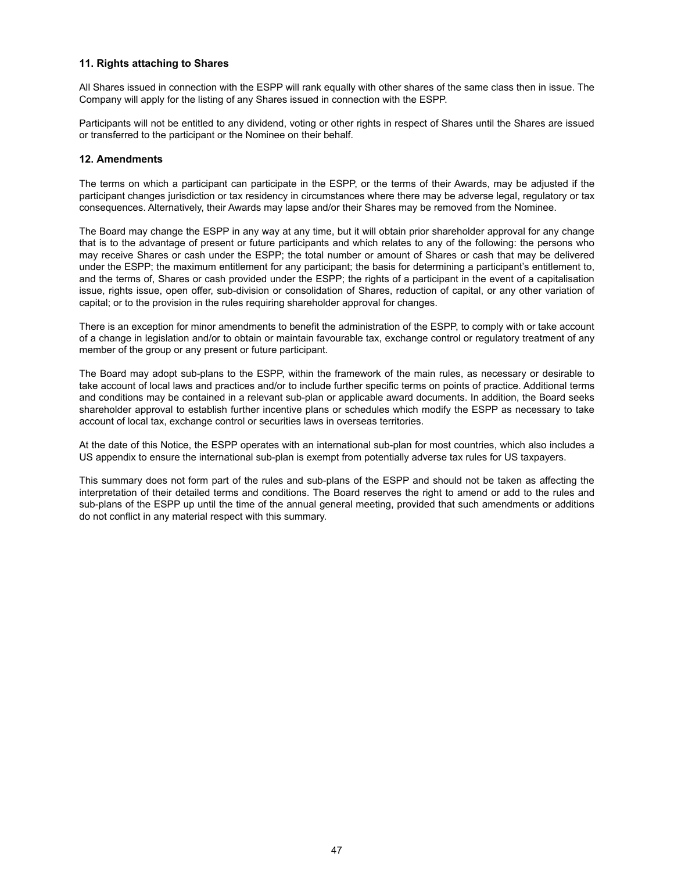### **11. Rights attaching to Shares**

All Shares issued in connection with the ESPP will rank equally with other shares of the same class then in issue. The Company will apply for the listing of any Shares issued in connection with the ESPP.

Participants will not be entitled to any dividend, voting or other rights in respect of Shares until the Shares are issued or transferred to the participant or the Nominee on their behalf.

# **12. Amendments**

The terms on which a participant can participate in the ESPP, or the terms of their Awards, may be adjusted if the participant changes jurisdiction or tax residency in circumstances where there may be adverse legal, regulatory or tax consequences. Alternatively, their Awards may lapse and/or their Shares may be removed from the Nominee.

The Board may change the ESPP in any way at any time, but it will obtain prior shareholder approval for any change that is to the advantage of present or future participants and which relates to any of the following: the persons who may receive Shares or cash under the ESPP; the total number or amount of Shares or cash that may be delivered under the ESPP; the maximum entitlement for any participant; the basis for determining a participant's entitlement to, and the terms of, Shares or cash provided under the ESPP; the rights of a participant in the event of a capitalisation issue, rights issue, open offer, sub-division or consolidation of Shares, reduction of capital, or any other variation of capital; or to the provision in the rules requiring shareholder approval for changes.

There is an exception for minor amendments to benefit the administration of the ESPP, to comply with or take account of a change in legislation and/or to obtain or maintain favourable tax, exchange control or regulatory treatment of any member of the group or any present or future participant.

The Board may adopt sub-plans to the ESPP, within the framework of the main rules, as necessary or desirable to take account of local laws and practices and/or to include further specific terms on points of practice. Additional terms and conditions may be contained in a relevant sub-plan or applicable award documents. In addition, the Board seeks shareholder approval to establish further incentive plans or schedules which modify the ESPP as necessary to take account of local tax, exchange control or securities laws in overseas territories.

At the date of this Notice, the ESPP operates with an international sub-plan for most countries, which also includes a US appendix to ensure the international sub-plan is exempt from potentially adverse tax rules for US taxpayers.

This summary does not form part of the rules and sub-plans of the ESPP and should not be taken as affecting the interpretation of their detailed terms and conditions. The Board reserves the right to amend or add to the rules and sub-plans of the ESPP up until the time of the annual general meeting, provided that such amendments or additions do not conflict in any material respect with this summary.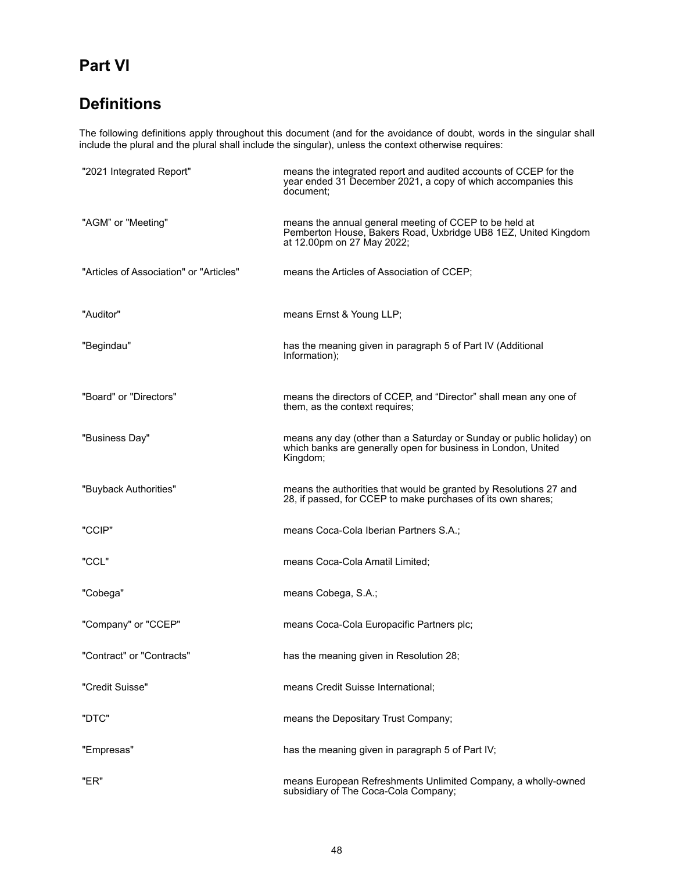# **Part VI**

# **Definitions**

The following definitions apply throughout this document (and for the avoidance of doubt, words in the singular shall include the plural and the plural shall include the singular), unless the context otherwise requires:

| "2021 Integrated Report"                | means the integrated report and audited accounts of CCEP for the<br>year ended 31 December 2021, a copy of which accompanies this<br>document:         |
|-----------------------------------------|--------------------------------------------------------------------------------------------------------------------------------------------------------|
| "AGM" or "Meeting"                      | means the annual general meeting of CCEP to be held at<br>Pemberton House, Bakers Road, Uxbridge UB8 1EZ, United Kingdom<br>at 12.00pm on 27 May 2022; |
| "Articles of Association" or "Articles" | means the Articles of Association of CCEP;                                                                                                             |
| "Auditor"                               | means Ernst & Young LLP;                                                                                                                               |
| "Begindau"                              | has the meaning given in paragraph 5 of Part IV (Additional<br>Information);                                                                           |
| "Board" or "Directors"                  | means the directors of CCEP, and "Director" shall mean any one of<br>them, as the context requires;                                                    |
| "Business Day"                          | means any day (other than a Saturday or Sunday or public holiday) on<br>which banks are generally open for business in London, United<br>Kingdom;      |
| "Buyback Authorities"                   | means the authorities that would be granted by Resolutions 27 and<br>28, if passed, for CCEP to make purchases of its own shares;                      |
| "CCIP"                                  | means Coca-Cola Iberian Partners S.A.;                                                                                                                 |
| "CCL"                                   | means Coca-Cola Amatil Limited;                                                                                                                        |
| "Cobega"                                | means Cobega, S.A.;                                                                                                                                    |
| "Company" or "CCEP"                     | means Coca-Cola Europacific Partners plc;                                                                                                              |
| "Contract" or "Contracts"               | has the meaning given in Resolution 28;                                                                                                                |
| "Credit Suisse"                         | means Credit Suisse International;                                                                                                                     |
| "DTC"                                   | means the Depositary Trust Company;                                                                                                                    |
| "Empresas"                              | has the meaning given in paragraph 5 of Part IV;                                                                                                       |
| "ER"                                    | means European Refreshments Unlimited Company, a wholly-owned<br>subsidiary of The Coca-Cola Company;                                                  |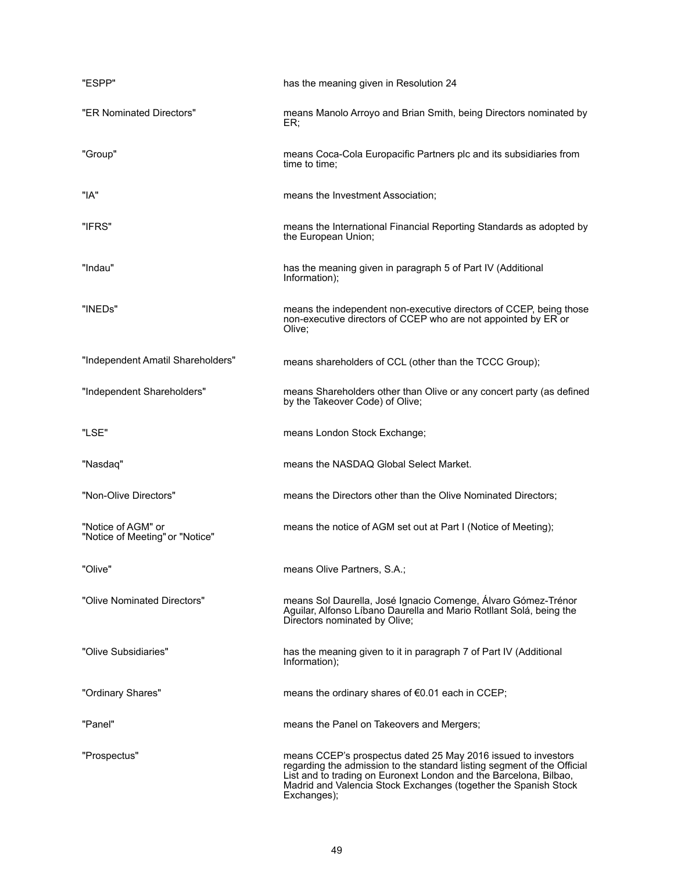| "ESPP"                                                | has the meaning given in Resolution 24                                                                                                                                                                                                                                                          |
|-------------------------------------------------------|-------------------------------------------------------------------------------------------------------------------------------------------------------------------------------------------------------------------------------------------------------------------------------------------------|
| "ER Nominated Directors"                              | means Manolo Arroyo and Brian Smith, being Directors nominated by<br>ER:                                                                                                                                                                                                                        |
| "Group"                                               | means Coca-Cola Europacific Partners plc and its subsidiaries from<br>time to time:                                                                                                                                                                                                             |
| "IA"                                                  | means the Investment Association;                                                                                                                                                                                                                                                               |
| "IFRS"                                                | means the International Financial Reporting Standards as adopted by<br>the European Union;                                                                                                                                                                                                      |
| "Indau"                                               | has the meaning given in paragraph 5 of Part IV (Additional<br>Information);                                                                                                                                                                                                                    |
| "INEDs"                                               | means the independent non-executive directors of CCEP, being those<br>non-executive directors of CCEP who are not appointed by ER or<br>Olive;                                                                                                                                                  |
| "Independent Amatil Shareholders"                     | means shareholders of CCL (other than the TCCC Group);                                                                                                                                                                                                                                          |
| "Independent Shareholders"                            | means Shareholders other than Olive or any concert party (as defined<br>by the Takeover Code) of Olive;                                                                                                                                                                                         |
| "LSE"                                                 | means London Stock Exchange;                                                                                                                                                                                                                                                                    |
| "Nasdaq"                                              | means the NASDAQ Global Select Market.                                                                                                                                                                                                                                                          |
| "Non-Olive Directors"                                 | means the Directors other than the Olive Nominated Directors;                                                                                                                                                                                                                                   |
| "Notice of AGM" or<br>"Notice of Meeting" or "Notice" | means the notice of AGM set out at Part I (Notice of Meeting);                                                                                                                                                                                                                                  |
| "Olive"                                               | means Olive Partners, S.A.;                                                                                                                                                                                                                                                                     |
| "Olive Nominated Directors"                           | means Sol Daurella, José Ignacio Comenge, Álvaro Gómez-Trénor<br>Aguilar, Alfonso Líbano Daurella and Mario Rotllant Solá, being the<br>Directors nominated by Olive;                                                                                                                           |
| "Olive Subsidiaries"                                  | has the meaning given to it in paragraph 7 of Part IV (Additional<br>Information);                                                                                                                                                                                                              |
| "Ordinary Shares"                                     | means the ordinary shares of €0.01 each in CCEP;                                                                                                                                                                                                                                                |
| "Panel"                                               | means the Panel on Takeovers and Mergers;                                                                                                                                                                                                                                                       |
| "Prospectus"                                          | means CCEP's prospectus dated 25 May 2016 issued to investors<br>regarding the admission to the standard listing segment of the Official<br>List and to trading on Euronext London and the Barcelona, Bilbao,<br>Madrid and Valencia Stock Exchanges (together the Spanish Stock<br>Exchanges); |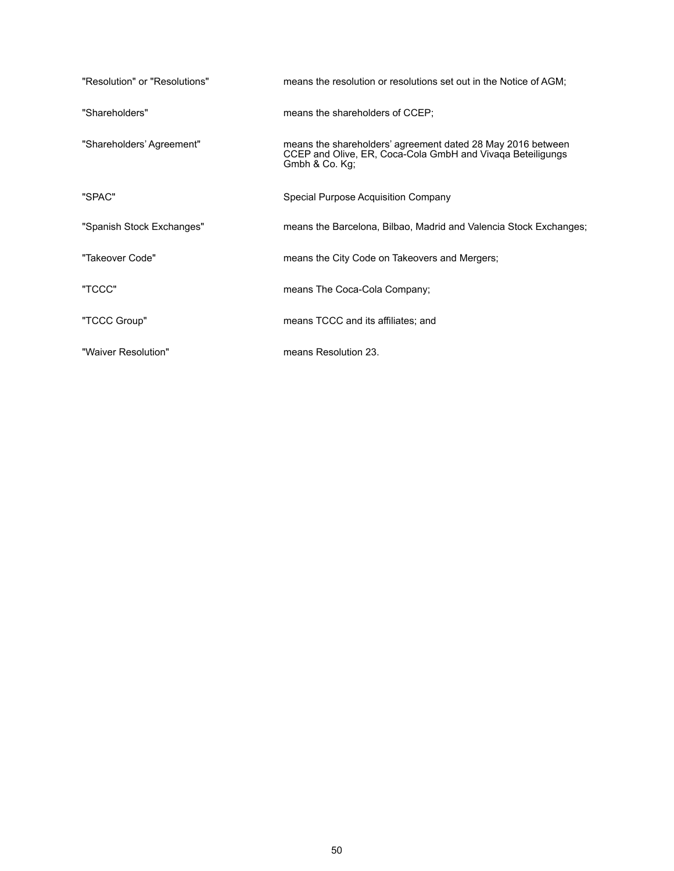| "Resolution" or "Resolutions" | means the resolution or resolutions set out in the Notice of AGM;                                                                           |
|-------------------------------|---------------------------------------------------------------------------------------------------------------------------------------------|
| "Shareholders"                | means the shareholders of CCEP;                                                                                                             |
| "Shareholders' Agreement"     | means the shareholders' agreement dated 28 May 2016 between<br>CCEP and Olive, ER, Coca-Cola GmbH and Vivaga Beteiligungs<br>Gmbh & Co. Kg; |
| "SPAC"                        | Special Purpose Acquisition Company                                                                                                         |
| "Spanish Stock Exchanges"     | means the Barcelona, Bilbao, Madrid and Valencia Stock Exchanges;                                                                           |
| "Takeover Code"               | means the City Code on Takeovers and Mergers;                                                                                               |
| "TCCC"                        | means The Coca-Cola Company;                                                                                                                |
| "TCCC Group"                  | means TCCC and its affiliates; and                                                                                                          |
| "Waiver Resolution"           | means Resolution 23.                                                                                                                        |